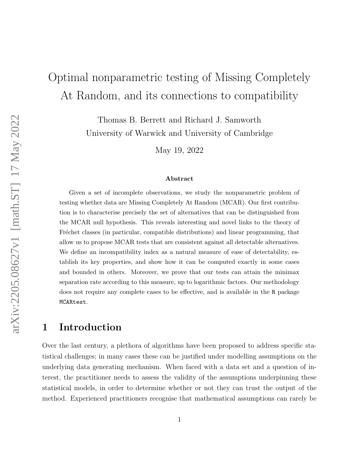# Optimal nonparametric testing of Missing Completely At Random, and its connections to compatibility

Thomas B. Berrett and Richard J. Samworth University of Warwick and University of Cambridge

May 19, 2022

#### Abstract

Given a set of incomplete observations, we study the nonparametric problem of testing whether data are Missing Completely At Random (MCAR). Our first contribution is to characterise precisely the set of alternatives that can be distinguished from the MCAR null hypothesis. This reveals interesting and novel links to the theory of Fréchet classes (in particular, compatible distributions) and linear programming, that allow us to propose MCAR tests that are consistent against all detectable alternatives. We define an incompatibility index as a natural measure of ease of detectability, establish its key properties, and show how it can be computed exactly in some cases and bounded in others. Moreover, we prove that our tests can attain the minimax separation rate according to this measure, up to logarithmic factors. Our methodology does not require any complete cases to be effective, and is available in the R package MCARtest.

### 1 Introduction

Over the last century, a plethora of algorithms have been proposed to address specific statistical challenges; in many cases these can be justified under modelling assumptions on the underlying data generating mechanism. When faced with a data set and a question of interest, the practitioner needs to assess the validity of the assumptions underpinning these statistical models, in order to determine whether or not they can trust the output of the method. Experienced practitioners recognise that mathematical assumptions can rarely be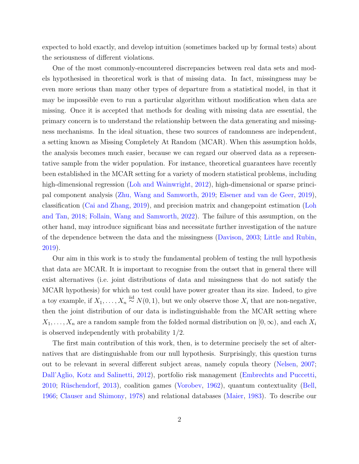expected to hold exactly, and develop intuition (sometimes backed up by formal tests) about the seriousness of different violations.

One of the most commonly-encountered discrepancies between real data sets and models hypothesised in theoretical work is that of missing data. In fact, missingness may be even more serious than many other types of departure from a statistical model, in that it may be impossible even to run a particular algorithm without modification when data are missing. Once it is accepted that methods for dealing with missing data are essential, the primary concern is to understand the relationship between the data generating and missingness mechanisms. In the ideal situation, these two sources of randomness are independent, a setting known as Missing Completely At Random (MCAR). When this assumption holds, the analysis becomes much easier, because we can regard our observed data as a representative sample from the wider population. For instance, theoretical guarantees have recently been established in the MCAR setting for a variety of modern statistical problems, including high-dimensional regression [\(Loh and Wainwright,](#page-63-0) [2012\)](#page-63-0), high-dimensional or sparse principal component analysis [\(Zhu, Wang and Samworth,](#page-64-0) [2019;](#page-64-0) [Elsener and van de Geer,](#page-61-0) [2019\)](#page-61-0), classification [\(Cai and Zhang,](#page-60-0) [2019\)](#page-60-0), and precision matrix and changepoint estimation [\(Loh](#page-63-1) [and Tan,](#page-63-1) [2018;](#page-63-1) [Follain, Wang and Samworth,](#page-61-1) [2022\)](#page-61-1). The failure of this assumption, on the other hand, may introduce significant bias and necessitate further investigation of the nature of the dependence between the data and the missingness [\(Davison,](#page-61-2) [2003;](#page-61-2) [Little and Rubin,](#page-63-2) [2019\)](#page-63-2).

Our aim in this work is to study the fundamental problem of testing the null hypothesis that data are MCAR. It is important to recognise from the outset that in general there will exist alternatives (i.e. joint distributions of data and missingness that do not satisfy the MCAR hypothesis) for which no test could have power greater than its size. Indeed, to give a toy example, if  $X_1, \ldots, X_n \stackrel{\text{iid}}{\sim} N(0, 1)$ , but we only observe those  $X_i$  that are non-negative, then the joint distribution of our data is indistinguishable from the MCAR setting where  $X_1, \ldots, X_n$  are a random sample from the folded normal distribution on  $[0, \infty)$ , and each  $X_i$ is observed independently with probability 1/2.

The first main contribution of this work, then, is to determine precisely the set of alternatives that are distinguishable from our null hypothesis. Surprisingly, this question turns out to be relevant in several different subject areas, namely copula theory [\(Nelsen,](#page-63-3) [2007;](#page-63-3) [Dall'Aglio, Kotz and Salinetti,](#page-61-3) [2012\)](#page-61-3), portfolio risk management [\(Embrechts and Puccetti,](#page-61-4) [2010;](#page-61-4) Rüschendorf, [2013\)](#page-64-1), coalition games [\(Vorobev,](#page-64-2) [1962\)](#page-64-2), quantum contextuality [\(Bell,](#page-60-1) [1966;](#page-60-1) [Clauser and Shimony,](#page-61-5) [1978\)](#page-61-5) and relational databases [\(Maier,](#page-63-4) [1983\)](#page-63-4). To describe our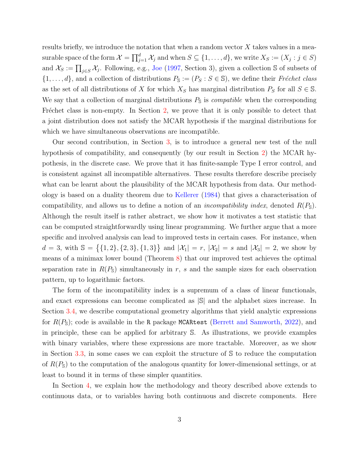results briefly, we introduce the notation that when a random vector  $X$  takes values in a measurable space of the form  $\mathcal{X}=\prod_{j=1}^d \mathcal{X}_j$  and when  $S\subseteq \{1,\ldots,d\}$ , we write  $X_S:=(X_j: j\in S)$ and  $\mathcal{X}_S := \prod_{j \in S} \mathcal{X}_j$ . Following, e.g., [Joe](#page-62-0) [\(1997,](#page-62-0) Section 3), given a collection S of subsets of  $\{1, \ldots, d\}$ , and a collection of distributions  $P_{\mathbb{S}} := (P_S : S \in \mathbb{S})$ , we define their Fréchet class as the set of all distributions of X for which  $X_S$  has marginal distribution  $P_S$  for all  $S \in \mathbb{S}$ . We say that a collection of marginal distributions  $P_{\mathbb{S}}$  is *compatible* when the corresponding Fréchet class is non-empty. In Section [2,](#page-4-0) we prove that it is only possible to detect that a joint distribution does not satisfy the MCAR hypothesis if the marginal distributions for which we have simultaneous observations are incompatible.

Our second contribution, in Section [3,](#page-6-0) is to introduce a general new test of the null hypothesis of compatibility, and consequently (by our result in Section [2\)](#page-4-0) the MCAR hypothesis, in the discrete case. We prove that it has finite-sample Type I error control, and is consistent against all incompatible alternatives. These results therefore describe precisely what can be learnt about the plausibility of the MCAR hypothesis from data. Our methodology is based on a duality theorem due to [Kellerer](#page-62-1) [\(1984\)](#page-62-1) that gives a characterisation of compatibility, and allows us to define a notion of an *incompatibility index*, denoted  $R(P_{\rm s})$ . Although the result itself is rather abstract, we show how it motivates a test statistic that can be computed straightforwardly using linear programming. We further argue that a more specific and involved analysis can lead to improved tests in certain cases. For instance, when  $d = 3$ , with  $\mathbb{S} = \{ \{1, 2\}, \{2, 3\}, \{1, 3\} \}$  and  $|\mathcal{X}_1| = r$ ,  $|\mathcal{X}_2| = s$  and  $|\mathcal{X}_3| = 2$ , we show by means of a minimax lower bound (Theorem [8\)](#page-13-0) that our improved test achieves the optimal separation rate in  $R(P_{\rm s})$  simultaneously in r, s and the sample sizes for each observation pattern, up to logarithmic factors.

The form of the incompatibility index is a supremum of a class of linear functionals, and exact expressions can become complicated as |S| and the alphabet sizes increase. In Section [3.4,](#page-16-0) we describe computational geometry algorithms that yield analytic expressions for  $R(P<sub>s</sub>)$ ; code is available in the R package MCARtest [\(Berrett and Samworth,](#page-60-2) [2022\)](#page-60-2), and in principle, these can be applied for arbitrary S. As illustrations, we provide examples with binary variables, where these expressions are more tractable. Moreover, as we show in Section [3.3,](#page-14-0) in some cases we can exploit the structure of S to reduce the computation of  $R(P<sub>s</sub>)$  to the computation of the analogous quantity for lower-dimensional settings, or at least to bound it in terms of these simpler quantities.

In Section [4,](#page-22-0) we explain how the methodology and theory described above extends to continuous data, or to variables having both continuous and discrete components. Here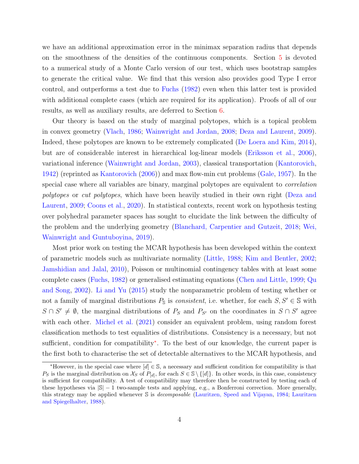we have an additional approximation error in the minimax separation radius that depends on the smoothness of the densities of the continuous components. Section [5](#page-24-0) is devoted to a numerical study of a Monte Carlo version of our test, which uses bootstrap samples to generate the critical value. We find that this version also provides good Type I error control, and outperforms a test due to [Fuchs](#page-62-2) [\(1982\)](#page-62-2) even when this latter test is provided with additional complete cases (which are required for its application). Proofs of all of our results, as well as auxiliary results, are deferred to Section [6.](#page-26-0)

Our theory is based on the study of marginal polytopes, which is a topical problem in convex geometry [\(Vlach,](#page-64-3) [1986;](#page-64-3) [Wainwright and Jordan,](#page-64-4) [2008;](#page-64-4) [Deza and Laurent,](#page-61-6) [2009\)](#page-61-6). Indeed, these polytopes are known to be extremely complicated [\(De Loera and Kim,](#page-61-7) [2014\)](#page-61-7), but are of considerable interest in hierarchical log-linear models [\(Eriksson et al.,](#page-61-8) [2006\)](#page-61-8), variational inference [\(Wainwright and Jordan,](#page-64-5) [2003\)](#page-64-5), classical transportation [\(Kantorovich,](#page-62-3) [1942\)](#page-62-3) (reprinted as [Kantorovich](#page-62-4) [\(2006\)](#page-62-4)) and max flow-min cut problems [\(Gale,](#page-62-5) [1957\)](#page-62-5). In the special case where all variables are binary, marginal polytopes are equivalent to correlation polytopes or cut polytopes, which have been heavily studied in their own right [\(Deza and](#page-61-6) [Laurent,](#page-61-6) [2009;](#page-61-6) [Coons et al.,](#page-61-9) [2020\)](#page-61-9). In statistical contexts, recent work on hypothesis testing over polyhedral parameter spaces has sought to elucidate the link between the difficulty of the problem and the underlying geometry [\(Blanchard, Carpentier and Gutzeit,](#page-60-3) [2018;](#page-60-3) [Wei,](#page-64-6) [Wainwright and Guntuboyina,](#page-64-6) [2019\)](#page-64-6).

Most prior work on testing the MCAR hypothesis has been developed within the context of parametric models such as multivariate normality [\(Little,](#page-63-5) [1988;](#page-63-5) [Kim and Bentler,](#page-62-6) [2002;](#page-62-6) [Jamshidian and Jalal,](#page-62-7) [2010\)](#page-62-7), Poisson or multinomial contingency tables with at least some complete cases [\(Fuchs,](#page-62-2) [1982\)](#page-62-2) or generalised estimating equations [\(Chen and Little,](#page-60-4) [1999;](#page-60-4) [Qu](#page-63-6) [and Song,](#page-63-6) [2002\)](#page-63-6). [Li and Yu](#page-63-7) [\(2015\)](#page-63-7) study the nonparametric problem of testing whether or not a family of marginal distributions  $P_{\mathbb{S}}$  is *consistent*, i.e. whether, for each  $S, S' \in \mathbb{S}$  with  $S \cap S' \neq \emptyset$ , the marginal distributions of  $P_S$  and  $P_{S'}$  on the coordinates in  $S \cap S'$  agree with each other. [Michel et al.](#page-63-8) [\(2021\)](#page-63-8) consider an equivalent problem, using random forest classification methods to test equalities of distributions. Consistency is a necessary, but not sufficient, condition for compatibility<sup>\*</sup>. To the best of our knowledge, the current paper is the first both to characterise the set of detectable alternatives to the MCAR hypothesis, and

<span id="page-3-0"></span><sup>\*</sup>However, in the special case where  $[d] \in \mathbb{S}$ , a necessary and sufficient condition for compatibility is that  $P_S$  is the marginal distribution on  $\mathcal{X}_S$  of  $P_{[d]}$ , for each  $S \in \mathbb{S} \setminus \{[d]\}$ . In other words, in this case, consistency is sufficient for compatibility. A test of compatibility may therefore then be constructed by testing each of these hypotheses via  $|\mathbb{S}| - 1$  two-sample tests and applying, e.g., a Bonferroni correction. More generally, this strategy may be applied whenever S is *decomposable* [\(Lauritzen, Speed and Vijayan,](#page-62-8) [1984;](#page-62-8) [Lauritzen](#page-63-9) [and Spiegelhalter,](#page-63-9) [1988\)](#page-63-9).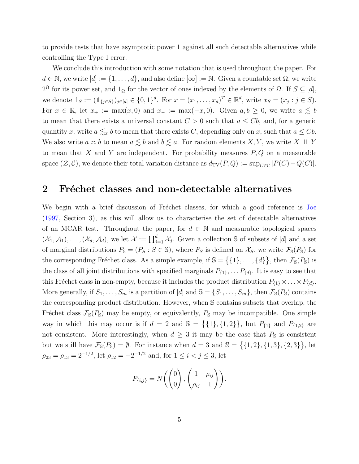to provide tests that have asymptotic power 1 against all such detectable alternatives while controlling the Type I error.

We conclude this introduction with some notation that is used throughout the paper. For  $d \in \mathbb{N}$ , we write  $[d] := \{1, \ldots, d\}$ , and also define  $[\infty] := \mathbb{N}$ . Given a countable set  $\Omega$ , we write 2<sup>Ω</sup> for its power set, and 1<sub>Ω</sub> for the vector of ones indexed by the elements of Ω. If  $S \subseteq [d]$ , we denote  $\mathbb{1}_S := (\mathbb{1}_{\{j \in S\}})_{j \in [d]} \in \{0,1\}^d$ . For  $x = (x_1, \ldots, x_d)^T \in \mathbb{R}^d$ , write  $x_S = (x_j : j \in S)$ . For  $x \in \mathbb{R}$ , let  $x_+ := \max(x, 0)$  and  $x_- := \max(-x, 0)$ . Given  $a, b \ge 0$ , we write  $a \le b$ to mean that there exists a universal constant  $C > 0$  such that  $a \leq Cb$ , and, for a generic quantity x, write  $a \leq x$  b to mean that there exists C, depending only on x, such that  $a \leq Cb$ . We also write  $a \leq b$  to mean  $a \leq b$  and  $b \leq a$ . For random elements  $X, Y$ , we write  $X \perp \!\!\! \perp Y$ to mean that  $X$  and  $Y$  are independent. For probability measures  $P, Q$  on a measurable space  $(\mathcal{Z}, \mathcal{C})$ , we denote their total variation distance as  $d_{TV}(P, Q) := \sup_{C \in \mathcal{C}} |P(C) - Q(C)|$ .

### <span id="page-4-0"></span>2 Fréchet classes and non-detectable alternatives

We begin with a brief discussion of Fréchet classes, for which a good reference is [Joe](#page-62-0) [\(1997,](#page-62-0) Section 3), as this will allow us to characterise the set of detectable alternatives of an MCAR test. Throughout the paper, for  $d \in \mathbb{N}$  and measurable topological spaces  $(\mathcal{X}_1, \mathcal{A}_1), \ldots, (\mathcal{X}_d, \mathcal{A}_d)$ , we let  $\mathcal{X} := \prod_{j=1}^d \mathcal{X}_j$ . Given a collection S of subsets of [d] and a set of marginal distributions  $P_{\mathbb{S}} = (P_S : S \in \mathbb{S})$ , where  $P_S$  is defined on  $\mathcal{X}_S$ , we write  $\mathcal{F}_{\mathbb{S}}(P_{\mathbb{S}})$  for the corresponding Fréchet class. As a simple example, if  $\mathbb{S} = \{ \{1\}, \ldots, \{d\} \}$ , then  $\mathcal{F}_{\mathbb{S}}(P_{\mathbb{S}})$  is the class of all joint distributions with specified marginals  $P_{\{1\}}, \ldots P_{\{d\}}$ . It is easy to see that this Fréchet class in non-empty, because it includes the product distribution  $P_{\{1\}} \times \ldots \times P_{\{d\}}$ . More generally, if  $S_1, \ldots, S_m$  is a partition of [d] and  $\mathbb{S} = \{S_1, \ldots, S_m\}$ , then  $\mathcal{F}_{\mathbb{S}}(P_{\mathbb{S}})$  contains the corresponding product distribution. However, when S contains subsets that overlap, the Fréchet class  $\mathcal{F}_{S}(P_{S})$  may be empty, or equivalently,  $P_{S}$  may be incompatible. One simple way in which this may occur is if  $d = 2$  and  $\mathbb{S} = \{\{1\}, \{1, 2\}\}\$ , but  $P_{\{1\}}$  and  $P_{\{1,2\}}$  are not consistent. More interestingly, when  $d \geq 3$  it may be the case that  $P_{\mathbb{S}}$  is consistent but we still have  $\mathcal{F}_{\mathbb{S}}(P_{\mathbb{S}}) = \emptyset$ . For instance when  $d = 3$  and  $\mathbb{S} = \{ \{1,2\}, \{1,3\}, \{2,3\} \}$ , let  $\rho_{23} = \rho_{13} = 2^{-1/2}$ , let  $\rho_{12} = -2^{-1/2}$  and, for  $1 \le i < j \le 3$ , let

$$
P_{\{i,j\}} = N\left(\begin{pmatrix}0\\0\end{pmatrix}, \begin{pmatrix}1 & \rho_{ij}\\ \rho_{ij} & 1\end{pmatrix}\right).
$$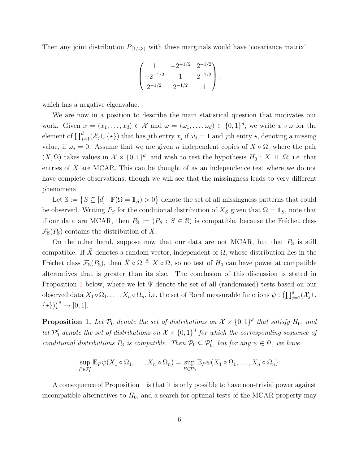Then any joint distribution  $P_{\{1,2,3\}}$  with these marginals would have 'covariance matrix'

$$
\begin{pmatrix} 1 & -2^{-1/2} & 2^{-1/2} \\ -2^{-1/2} & 1 & 2^{-1/2} \\ 2^{-1/2} & 2^{-1/2} & 1 \end{pmatrix},
$$

which has a negative eigenvalue.

We are now in a position to describe the main statistical question that motivates our work. Given  $x = (x_1, \ldots, x_d) \in \mathcal{X}$  and  $\omega = (\omega_1, \ldots, \omega_d) \in \{0, 1\}^d$ , we write  $x \circ \omega$  for the element of  $\prod_{j=1}^d (\mathcal{X}_j \cup \{\star\})$  that has jth entry  $x_j$  if  $\omega_j = 1$  and jth entry  $\star$ , denoting a missing value, if  $\omega_j = 0$ . Assume that we are given n independent copies of  $X \circ \Omega$ , where the pair  $(X, \Omega)$  takes values in  $\mathcal{X} \times \{0,1\}^d$ , and wish to test the hypothesis  $H_0 : X \perp \!\!\!\perp \Omega$ , i.e. that entries of X are MCAR. This can be thought of as an independence test where we do not have complete observations, though we will see that the missingness leads to very different phenomena.

Let  $\mathbb{S} := \{ S \subseteq [d] : \mathbb{P}(\Omega = \mathbb{1}_S) > 0 \}$  denote the set of all missingness patterns that could be observed. Writing  $P_S$  for the conditional distribution of  $X_S$  given that  $\Omega = \mathbb{1}_S$ , note that if our data are MCAR, then  $P_{\mathbb{S}} := (P_S : S \in \mathbb{S})$  is compatible, because the Fréchet class  $\mathcal{F}_\mathbb{S}(P_\mathbb{S})$  contains the distribution of X.

On the other hand, suppose now that our data are not MCAR, but that  $P_{\rm S}$  is still compatible. If  $\tilde{X}$  denotes a random vector, independent of  $\Omega$ , whose distribution lies in the Fréchet class  $\mathcal{F}_{\mathbb{S}}(P_{\mathbb{S}})$ , then  $\tilde{X} \circ \Omega \stackrel{d}{=} X \circ \Omega$ , so no test of  $H_0$  can have power at compatible alternatives that is greater than its size. The conclusion of this discussion is stated in Proposition [1](#page-5-0) below, where we let  $\Psi$  denote the set of all (randomised) tests based on our observed data  $X_1 \circ \Omega_1, \ldots, X_n \circ \Omega_n$ , i.e. the set of Borel measurable functions  $\psi : \left(\prod_{j=1}^d (\mathcal X_j \cup$  $\{\star\})$ <sup>n</sup>  $\rightarrow$  [0, 1].

<span id="page-5-0"></span>**Proposition 1.** Let  $\mathcal{P}_0$  denote the set of distributions on  $\mathcal{X} \times \{0,1\}^d$  that satisfy  $H_0$ , and let  $\mathcal{P}'_0$  denote the set of distributions on  $\mathcal{X} \times \{0,1\}^d$  for which the corresponding sequence of conditional distributions  $P_{\mathbb{S}}$  is compatible. Then  $\mathcal{P}_0 \subseteq \mathcal{P}'_0$ , but for any  $\psi \in \Psi$ , we have

$$
\sup_{P \in \mathcal{P}'_0} \mathbb{E}_P \psi(X_1 \circ \Omega_1, \dots, X_n \circ \Omega_n) = \sup_{P \in \mathcal{P}_0} \mathbb{E}_P \psi(X_1 \circ \Omega_1, \dots, X_n \circ \Omega_n).
$$

A consequence of Proposition [1](#page-5-0) is that it is only possible to have non-trivial power against incompatible alternatives to  $H_0$ , and a search for optimal tests of the MCAR property may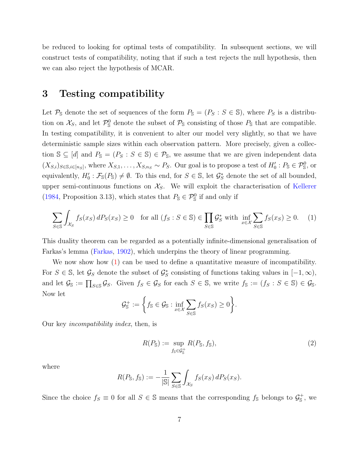be reduced to looking for optimal tests of compatibility. In subsequent sections, we will construct tests of compatibility, noting that if such a test rejects the null hypothesis, then we can also reject the hypothesis of MCAR.

### <span id="page-6-0"></span>3 Testing compatibility

Let  $\mathcal{P}_\mathcal{S}$  denote the set of sequences of the form  $P_\mathcal{S} = (P_S : S \in \mathcal{S})$ , where  $P_S$  is a distribution on  $\mathcal{X}_S$ , and let  $\mathcal{P}_S^0$  denote the subset of  $\mathcal{P}_S$  consisting of those  $P_S$  that are compatible. In testing compatibility, it is convenient to alter our model very slightly, so that we have deterministic sample sizes within each observation pattern. More precisely, given a collection  $\mathbb{S} \subseteq [d]$  and  $P_{\mathbb{S}} = (P_S : S \in \mathbb{S}) \in \mathcal{P}_{\mathbb{S}}$ , we assume that we are given independent data  $(X_{S,i})_{S \in \mathbb{S}, i \in [n_S]},$  where  $X_{S,1}, \ldots, X_{S,n_S} \sim P_S$ . Our goal is to propose a test of  $H_0': P_{\mathbb{S}} \in \mathcal{P}_{\mathbb{S}}^0$ , or equivalently,  $H_0': \mathcal{F}_{\mathbb{S}}(P_{\mathbb{S}}) \neq \emptyset$ . To this end, for  $S \in \mathbb{S}$ , let  $\mathcal{G}_{S}^*$  denote the set of all bounded, upper semi-continuous functions on  $\mathcal{X}_S$ . We will exploit the characterisation of [Kellerer](#page-62-1) [\(1984,](#page-62-1) Proposition 3.13), which states that  $P_{\mathbb{S}} \in \mathcal{P}_{\mathbb{S}}^0$  if and only if

<span id="page-6-1"></span>
$$
\sum_{S \in \mathbb{S}} \int_{\mathcal{X}_S} f_S(x_S) \, dP_S(x_S) \ge 0 \quad \text{for all } (f_S : S \in \mathbb{S}) \in \prod_{S \in \mathbb{S}} \mathcal{G}_S^* \text{ with } \inf_{x \in \mathcal{X}} \sum_{S \in \mathbb{S}} f_S(x_S) \ge 0. \tag{1}
$$

This duality theorem can be regarded as a potentially infinite-dimensional generalisation of Farkas's lemma [\(Farkas,](#page-61-10) [1902\)](#page-61-10), which underpins the theory of linear programming.

We now show how [\(1\)](#page-6-1) can be used to define a quantitative measure of incompatibility. For  $S \in \mathbb{S}$ , let  $\mathcal{G}_S$  denote the subset of  $\mathcal{G}_S^*$  consisting of functions taking values in  $[-1,\infty)$ , and let  $\mathcal{G}_{\mathbb{S}} := \prod_{S \in \mathbb{S}} \mathcal{G}_S$ . Given  $f_S \in \mathcal{G}_S$  for each  $S \in \mathbb{S}$ , we write  $f_{\mathbb{S}} := (f_S : S \in \mathbb{S}) \in \mathcal{G}_{\mathbb{S}}$ . Now let

$$
\mathcal{G}_{\mathbb{S}}^+ := \bigg\{ f_{\mathbb{S}} \in \mathcal{G}_{\mathbb{S}} : \inf_{x \in \mathcal{X}} \sum_{S \in \mathbb{S}} f_S(x_S) \ge 0 \bigg\}.
$$

Our key incompatibility index, then, is

<span id="page-6-2"></span>
$$
R(P_{\mathbb{S}}) := \sup_{f_{\mathbb{S}} \in \mathcal{G}_{\mathbb{S}}^+} R(P_{\mathbb{S}}, f_{\mathbb{S}}),\tag{2}
$$

where

$$
R(P_{\mathbb{S}}, f_{\mathbb{S}}) := -\frac{1}{|\mathbb{S}|} \sum_{S \in \mathbb{S}} \int_{\mathcal{X}_S} f_S(x_S) dP_S(x_S).
$$

Since the choice  $f_s \equiv 0$  for all  $S \in \mathbb{S}$  means that the corresponding  $f_s$  belongs to  $\mathcal{G}_{\mathbb{S}}^+$ , we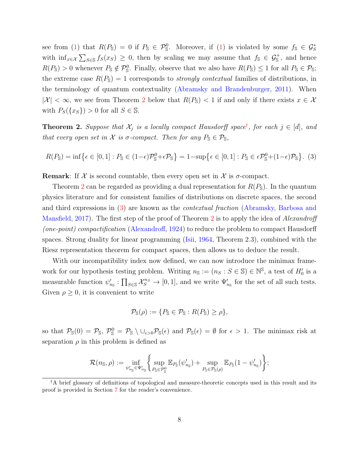see from [\(1\)](#page-6-1) that  $R(P_{\mathbb{S}}) = 0$  if  $P_{\mathbb{S}} \in \mathcal{P}_{\mathbb{S}}^0$ . Moreover, if (1) is violated by some  $f_{\mathbb{S}} \in \mathcal{G}_{\mathcal{S}}^*$ with  $\inf_{x \in \mathcal{X}} \sum_{S \in \mathbb{S}} f_S(x_S) \geq 0$ , then by scaling we may assume that  $f_{\mathbb{S}} \in \mathcal{G}_{\mathbb{S}}^+$ , and hence  $R(P_{\rm S}) > 0$  whenever  $P_{\rm S} \notin \mathcal{P}_{\rm S}^0$ . Finally, observe that we also have  $R(P_{\rm S}) \leq 1$  for all  $P_{\rm S} \in \mathcal{P}_{\rm S}$ ; the extreme case  $R(P_{\rm S}) = 1$  corresponds to *strongly contextual* families of distributions, in the terminology of quantum contextuality [\(Abramsky and Brandenburger,](#page-60-5) [2011\)](#page-60-5). When  $|\mathcal{X}| < \infty$ , we see from Theorem [2](#page-7-0) below that  $R(P_{\mathbb{S}}) < 1$  if and only if there exists  $x \in \mathcal{X}$ with  $P_S({x_S}) > 0$  for all  $S \in \mathbb{S}$ .

<span id="page-7-0"></span>**Theorem 2.** Suppose that  $\mathcal{X}_j$  is a locally compact Hausdorff space<sup>[†](#page-7-1)</sup>, for each  $j \in [d]$ , and that every open set in X is  $\sigma$ -compact. Then for any  $P_{\mathbb{S}} \in \mathcal{P}_{\mathbb{S}}$ ,

<span id="page-7-2"></span>
$$
R(P_{\mathbb{S}}) = \inf \left\{ \epsilon \in [0, 1] : P_{\mathbb{S}} \in (1 - \epsilon) \mathcal{P}_{\mathbb{S}}^0 + \epsilon \mathcal{P}_{\mathbb{S}} \right\} = 1 - \sup \left\{ \epsilon \in [0, 1] : P_{\mathbb{S}} \in \epsilon \mathcal{P}_{\mathbb{S}}^0 + (1 - \epsilon) \mathcal{P}_{\mathbb{S}} \right\}.
$$
 (3)

**Remark:** If X is second countable, then every open set in X is  $\sigma$ -compact.

Theorem [2](#page-7-0) can be regarded as providing a dual representation for  $R(P_{\rm s})$ . In the quantum physics literature and for consistent families of distributions on discrete spaces, the second and third expressions in [\(3\)](#page-7-2) are known as the contextual fraction [\(Abramsky, Barbosa and](#page-60-6) [Mansfield,](#page-60-6) [2017\)](#page-60-6). The first step of the proof of Theorem [2](#page-7-0) is to apply the idea of Alexandroff (one-point) compactification [\(Alexandroff,](#page-60-7) [1924\)](#page-60-7) to reduce the problem to compact Hausdorff spaces. Strong duality for linear programming [\(Isii,](#page-62-9) [1964,](#page-62-9) Theorem 2.3), combined with the Riesz representation theorem for compact spaces, then allows us to deduce the result.

With our incompatibility index now defined, we can now introduce the minimax framework for our hypothesis testing problem. Writing  $n_{\mathbb{S}} := (n_S : S \in \mathbb{S}) \in \mathbb{N}^{\mathbb{S}}$ , a test of  $H'_0$  is a measurable function  $\psi'_{n_{\mathbb{S}}} : \prod_{S \in \mathbb{S}} \mathcal{X}_{S}^{n_{S}} \to [0,1]$ , and we write  $\Psi'_{n_{\mathbb{S}}}$  for the set of all such tests. Given  $\rho \geq 0$ , it is convenient to write

$$
\mathcal{P}_{\mathbb{S}}(\rho) := \{ P_{\mathbb{S}} \in \mathcal{P}_{\mathbb{S}} : R(P_{\mathbb{S}}) \ge \rho \},
$$

so that  $\mathcal{P}_{\mathbb{S}}(0) = \mathcal{P}_{\mathbb{S}}, \mathcal{P}_{\mathbb{S}}^0 = \mathcal{P}_{\mathbb{S}} \setminus \cup_{\epsilon > 0} \mathcal{P}_{\mathbb{S}}(\epsilon)$  and  $\mathcal{P}_{\mathbb{S}}(\epsilon) = \emptyset$  for  $\epsilon > 1$ . The minimax risk at separation  $\rho$  in this problem is defined as

$$
\mathcal{R}(n_{\mathbb{S}},\rho) := \inf_{\psi_{n_{\mathbb{S}}}^{\prime} \in \Psi_{n_{\mathbb{S}}}^{\prime}} \left\{ \sup_{P_{\mathbb{S}} \in \mathcal{P}_{\mathbb{S}}^0} \mathbb{E}_{P_{\mathbb{S}}}(\psi_{n_{\mathbb{S}}}^{\prime}) + \sup_{P_{\mathbb{S}} \in \mathcal{P}_{\mathbb{S}}(\rho)} \mathbb{E}_{P_{\mathbb{S}}}(1 - \psi_{n_{\mathbb{S}}}^{\prime}) \right\};
$$

<span id="page-7-1"></span><sup>†</sup>A brief glossary of definitions of topological and measure-theoretic concepts used in this result and its proof is provided in Section [7](#page-64-7) for the reader's convenience.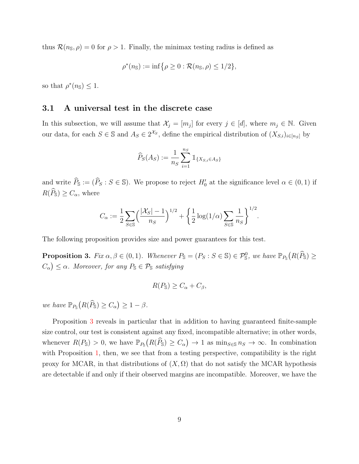thus  $\mathcal{R}(n_{\rm S}, \rho) = 0$  for  $\rho > 1$ . Finally, the minimax testing radius is defined as

$$
\rho^*(n_{\mathbb{S}}) := \inf \{ \rho \ge 0 : \mathcal{R}(n_{\mathbb{S}}, \rho) \le 1/2 \},
$$

so that  $\rho^*(n_{\mathbb{S}}) \leq 1$ .

#### <span id="page-8-1"></span>3.1 A universal test in the discrete case

In this subsection, we will assume that  $\mathcal{X}_j = [m_j]$  for every  $j \in [d]$ , where  $m_j \in \mathbb{N}$ . Given our data, for each  $S \in \mathbb{S}$  and  $A_S \in 2^{\mathcal{X}_S}$ , define the empirical distribution of  $(X_{S,i})_{i \in [n_S]}$  by

$$
\widehat{P}_S(A_S) := \frac{1}{n_S} \sum_{i=1}^{n_S} \mathbb{1}_{\{X_{S,i} \in A_S\}}
$$

and write  $\widehat{P}_{\mathbb{S}} := (\widehat{P}_S : S \in \mathbb{S})$ . We propose to reject  $H'_0$  at the significance level  $\alpha \in (0,1)$  if  $R(\widehat{P}_{\mathbb{S}}) \geq C_{\alpha}$ , where

$$
C_{\alpha} := \frac{1}{2} \sum_{S \in \mathbb{S}} \left( \frac{|\mathcal{X}_S| - 1}{n_S} \right)^{1/2} + \left\{ \frac{1}{2} \log(1/\alpha) \sum_{S \in \mathbb{S}} \frac{1}{n_S} \right\}^{1/2}.
$$

The following proposition provides size and power guarantees for this test.

<span id="page-8-0"></span>**Proposition 3.** Fix  $\alpha, \beta \in (0, 1)$ . Whenever  $P_{\mathbb{S}} = (P_S : S \in \mathbb{S}) \in \mathcal{P}_{\mathbb{S}}^0$ , we have  $\mathbb{P}_{P_{\mathbb{S}}}(R(\widehat{P}_{\mathbb{S}}) \geq$  $(C_{\alpha}) \leq \alpha$ . Moreover, for any  $P_{\mathbb{S}} \in \mathcal{P}_{\mathbb{S}}$  satisfying

$$
R(P_{\mathbb{S}}) \ge C_{\alpha} + C_{\beta},
$$

we have  $\mathbb{P}_{P_{\mathbb{S}}}\big(R(\widehat{P}_{\mathbb{S}}) \geq C_{\alpha}\big) \geq 1 - \beta$ .

Proposition [3](#page-8-0) reveals in particular that in addition to having guaranteed finite-sample size control, our test is consistent against any fixed, incompatible alternative; in other words, whenever  $R(P_{\mathbb{S}}) > 0$ , we have  $\mathbb{P}_{P_{\mathbb{S}}}(R(\widehat{P}_{\mathbb{S}}) \geq C_{\alpha}) \to 1$  as  $\min_{S \in \mathbb{S}} n_S \to \infty$ . In combination with Proposition [1,](#page-5-0) then, we see that from a testing perspective, compatibility is the right proxy for MCAR, in that distributions of  $(X, \Omega)$  that do not satisfy the MCAR hypothesis are detectable if and only if their observed margins are incompatible. Moreover, we have the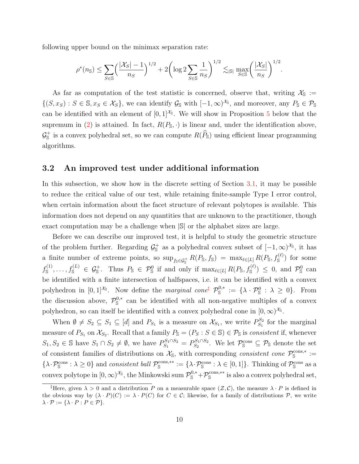following upper bound on the minimax separation rate:

$$
\rho^*(n_{\rm S}) \le \sum_{S \in \mathbb{S}} \left( \frac{|\mathcal{X}_S| - 1}{n_S} \right)^{1/2} + 2 \left( \log 2 \sum_{S \in \mathbb{S}} \frac{1}{n_S} \right)^{1/2} \lesssim_{|\mathbb{S}|} \max_{S \in \mathbb{S}} \left( \frac{|\mathcal{X}_S|}{n_S} \right)^{1/2}.
$$

As far as computation of the test statistic is concerned, observe that, writing  $\mathcal{X}_{\mathbb{S}} :=$  $\{(S, x_S) : S \in \mathbb{S}, x_S \in \mathcal{X}_S\}$ , we can identify  $\mathcal{G}_{\mathbb{S}}$  with  $[-1, \infty)^{\mathcal{X}_{\mathbb{S}}}$ , and moreover, any  $P_{\mathbb{S}} \in \mathcal{P}_{\mathbb{S}}$ can be identified with an element of  $[0,1]^{X_{\mathbb{S}}}$ . We will show in Proposition [5](#page-10-0) below that the supremum in [\(2\)](#page-6-2) is attained. In fact,  $R(P_{\rm s},\cdot)$  is linear and, under the identification above,  $\mathcal{G}_{\mathbb{S}}^+$  is a convex polyhedral set, so we can compute  $R(\widehat{P}_{\mathbb{S}})$  using efficient linear programming algorithms.

#### <span id="page-9-1"></span>3.2 An improved test under additional information

In this subsection, we show how in the discrete setting of Section [3.1,](#page-8-1) it may be possible to reduce the critical value of our test, while retaining finite-sample Type I error control, when certain information about the facet structure of relevant polytopes is available. This information does not depend on any quantities that are unknown to the practitioner, though exact computation may be a challenge when |S| or the alphabet sizes are large.

Before we can describe our improved test, it is helpful to study the geometric structure of the problem further. Regarding  $\mathcal{G}_{s}^{+}$  as a polyhedral convex subset of  $[-1,\infty)^{\mathcal{X}_{s}}$ , it has a finite number of extreme points, so  $\sup_{f_{\mathbb{S}}\in\mathcal{G}_{\mathbb{S}}^+} R(P_{\mathbb{S}}, f_{\mathbb{S}}) = \max_{\ell \in [L]} R(P_{\mathbb{S}}, f_{\mathbb{S}}^{(\ell)})$  for some  $f_{\mathbb{S}}^{(1)},\ldots,f_{\mathbb{S}}^{(L)} \in \mathcal{G}_{\mathbb{S}}^+$ . Thus  $P_{\mathbb{S}} \in \mathcal{P}_{\mathbb{S}}^0$  if and only if  $\max_{\ell \in [L]} R(P_{\mathbb{S}},f_{\mathbb{S}}^{(\ell)}) \leq 0$ , and  $\mathcal{P}_{\mathbb{S}}^0$  can be identified with a finite intersection of halfspaces, i.e. it can be identified with a convex polyhedron in  $[0,1]^{\mathcal{X}_{\mathbb{S}}}$ . Now define the *marginal cone*<sup>[‡](#page-9-0)</sup>  $\mathcal{P}_{\mathbb{S}}^{0,*} := {\lambda \cdot \mathcal{P}_{\mathbb{S}}^0 : \lambda \geq 0}.$  From the discussion above,  $\mathcal{P}_{\mathbb{S}}^{0,*}$  can be identified with all non-negative multiples of a convex polyhedron, so can itself be identified with a convex polyhedral cone in  $[0, \infty)^{\mathcal{X}_{\mathbb{S}}}$ .

When  $\emptyset \neq S_2 \subseteq S_1 \subseteq [d]$  and  $P_{S_1}$  is a measure on  $\mathcal{X}_{S_1}$ , we write  $P_{S_1}^{S_2}$  $S_1^{S_2}$  for the marginal measure of  $P_{S_1}$  on  $\mathcal{X}_{S_2}$ . Recall that a family  $P_{\mathbb{S}} = (P_S : S \in \mathbb{S}) \in \mathcal{P}_{\mathbb{S}}$  is consistent if, whenever  $S_1, S_2 \in \mathbb{S}$  have  $S_1 \cap S_2 \neq \emptyset$ , we have  $P_{S_1}^{S_1 \cap S_2} = P_{S_2}^{S_1 \cap S_2}$  $S_2^{S_1 \cap S_2}$ . We let  $\mathcal{P}_\mathbb{S}^{\text{cons}} \subseteq \mathcal{P}_\mathbb{S}$  denote the set of consistent families of distributions on  $\mathcal{X}_{\mathbb{S}}$ , with corresponding consistent cone  $\mathcal{P}_{\mathbb{S}}^{\text{cons},*}$ :=  $\{\lambda \cdot \mathcal{P}_{\mathbb{S}}^{\text{cons}} : \lambda \geq 0\}$  and consistent ball  $\mathcal{P}_{\mathbb{S}}^{\text{cons},**} := {\lambda \cdot \mathcal{P}_{\mathbb{S}}^{\text{cons}} : \lambda \in [0,1]\}.$  Thinking of  $\mathcal{P}_{\mathbb{S}}^{\text{cons}}$  as a convex polytope in  $[0, \infty)^{\mathcal{X}_{\mathbb{S}}}$ , the Minkowski sum  $\mathcal{P}_{\mathbb{S}}^{0,*} + \mathcal{P}_{\mathbb{S}}^{\text{cons},**}$  is also a convex polyhedral set,

<span id="page-9-0"></span><sup>&</sup>lt;sup>‡</sup>Here, given  $\lambda > 0$  and a distribution P on a measurable space  $(\mathcal{Z}, \mathcal{C})$ , the measure  $\lambda \cdot P$  is defined in the obvious way by  $(\lambda \cdot P)(C) := \lambda \cdot P(C)$  for  $C \in \mathcal{C}$ ; likewise, for a family of distributions  $\mathcal{P}$ , we write  $\lambda \cdot \mathcal{P} := {\lambda \cdot P : P \in \mathcal{P}}.$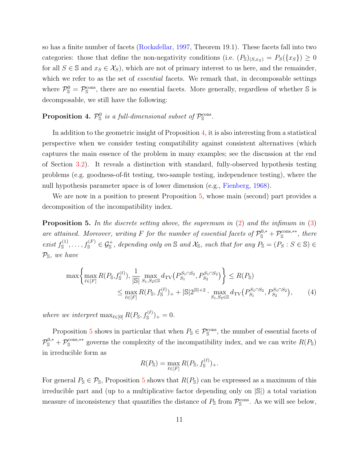so has a finite number of facets [\(Rockafellar,](#page-64-8) [1997,](#page-64-8) Theorem 19.1). These facets fall into two categories: those that define the non-negativity conditions (i.e.  $(P_{\mathbb{S}})_{(S,x_S)} = P_S({x_S}) \geq 0$ for all  $S \in \mathbb{S}$  and  $x_S \in \mathcal{X}_S$ , which are not of primary interest to us here, and the remainder, which we refer to as the set of *essential* facets. We remark that, in decomposable settings where  $\mathcal{P}_s^0 = \mathcal{P}_s^{\text{cons}}$ , there are no essential facets. More generally, regardless of whether S is decomposable, we still have the following:

### <span id="page-10-1"></span>**Proposition 4.**  $\mathcal{P}_s^0$  is a full-dimensional subset of  $\mathcal{P}_s^{\text{cons}}$ .

In addition to the geometric insight of Proposition [4,](#page-10-1) it is also interesting from a statistical perspective when we consider testing compatibility against consistent alternatives (which captures the main essence of the problem in many examples; see the discussion at the end of Section [3.2\)](#page-9-1). It reveals a distinction with standard, fully-observed hypothesis testing problems (e.g. goodness-of-fit testing, two-sample testing, independence testing), where the null hypothesis parameter space is of lower dimension (e.g., [Fienberg,](#page-61-11) [1968\)](#page-61-11).

We are now in a position to present Proposition [5,](#page-10-0) whose main (second) part provides a decomposition of the incompatibility index.

<span id="page-10-0"></span>**Proposition 5.** In the discrete setting above, the supremum in  $(2)$  and the infimum in  $(3)$ are attained. Moreover, writing F for the number of essential facets of  $\mathcal{P}_s^{0,*} + \mathcal{P}_s^{cons, **}$ , there exist  $f_{\mathbb{S}}^{(1)},\ldots,f_{\mathbb{S}}^{(F)} \in \mathcal{G}_{\mathbb{S}}^+$ , depending only on  $\mathbb{S}$  and  $\mathcal{X}_{\mathbb{S}}$ , such that for any  $P_{\mathbb{S}}=(P_S: S \in \mathbb{S}) \in$  $P_{\rm S}$ , we have

$$
\max \left\{ \max_{\ell \in [F]} R(P_{\mathbb{S}}, f_{\mathbb{S}}^{(\ell)}), \frac{1}{|\mathbb{S}|} \max_{S_1, S_2 \in \mathbb{S}} d_{\text{TV}}(P_{S_1}^{S_1 \cap S_2}, P_{S_2}^{S_1 \cap S_2}) \right\} \le R(P_{\mathbb{S}})
$$
  
\$\le \max\_{\ell \in [F]} R(P\_{\mathbb{S}}, f\_{\mathbb{S}}^{(\ell)})\_+ + |\mathbb{S}|2^{|\mathbb{S}|+2} \cdot \max\_{S\_1, S\_2 \in \mathbb{S}} d\_{\text{TV}}(P\_{S\_1}^{S\_1 \cap S\_2}, P\_{S\_2}^{S\_1 \cap S\_2}), \quad (4)\$

where we interpret  $\max_{\ell \in [0]} R(P_{\mathbb{S}}, f_{\mathbb{S}}^{(\ell)})_+ = 0.$ 

Proposition [5](#page-10-0) shows in particular that when  $P_{\mathbb{S}} \in \mathcal{P}_{\mathbb{S}}^{\text{cons}}$ , the number of essential facets of  $\mathcal{P}_s^{0,*} + \mathcal{P}_s^{\text{cons},**}$  governs the complexity of the incompatibility index, and we can write  $R(P_s)$ in irreducible form as

<span id="page-10-2"></span>
$$
R(P_{\mathbb{S}}) = \max_{\ell \in [F]} R(P_{\mathbb{S}}, f_{\mathbb{S}}^{(\ell)})_+.
$$

For general  $P_{\mathbb{S}} \in \mathcal{P}_{\mathbb{S}}$ , Proposition [5](#page-10-0) shows that  $R(P_{\mathbb{S}})$  can be expressed as a maximum of this irreducible part and (up to a multiplicative factor depending only on |S|) a total variation measure of inconsistency that quantifies the distance of  $P_{\rm S}$  from  $\mathcal{P}_{\rm S}^{\rm cons}$ . As we will see below,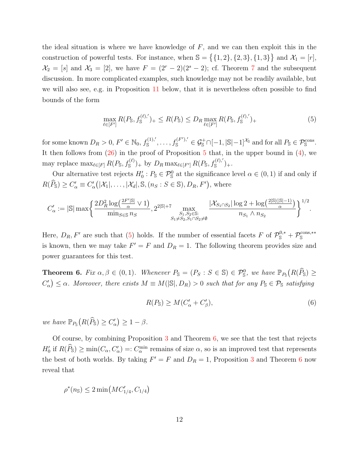the ideal situation is where we have knowledge of  $F$ , and we can then exploit this in the construction of powerful tests. For instance, when  $\mathbb{S} = \{ \{1, 2\}, \{2, 3\}, \{1, 3\} \}$  and  $\mathcal{X}_1 = [r]$ ,  $\mathcal{X}_2 = [s]$  and  $\mathcal{X}_3 = [2]$ , we have  $F = (2^r - 2)(2^s - 2)$ ; cf. Theorem [7](#page-12-0) and the subsequent discussion. In more complicated examples, such knowledge may not be readily available, but we will also see, e.g. in Proposition [11](#page-15-0) below, that it is nevertheless often possible to find bounds of the form

<span id="page-11-0"></span>
$$
\max_{\ell \in [F']} R(P_{\mathbb{S}}, f_{\mathbb{S}}^{(\ell),'})_+ \leq R(P_{\mathbb{S}}) \leq D_R \max_{\ell \in [F']} R(P_{\mathbb{S}}, f_{\mathbb{S}}^{(\ell),'})_+ \tag{5}
$$

for some known  $D_R > 0, F' \in \mathbb{N}_0, f_{\mathbb{S}}^{(1),'}$  $S^{(1),'}$ , ...,  $f_{\mathbb{S}}^{(F')},' \in \mathcal{G}_{\mathbb{S}}^+\cap[-1, |\mathbb{S}|-1]^{\mathcal{X}_{\mathbb{S}}}$  and for all  $P_{\mathbb{S}} \in \mathcal{P}_{\mathbb{S}}^{\text{cons}}$ . It then follows from  $(26)$  in the proof of Proposition [5](#page-10-0) that, in the upper bound in  $(4)$ , we may replace  $\max_{\ell \in [F]} R(P_{\mathbb{S}}, f_{\mathbb{S}}^{(\ell)})_+$  by  $D_R \max_{\ell \in [F']} R(P_{\mathbb{S}}, f_{\mathbb{S}}^{(\ell),'}$  $(\binom{\ell}{s}^{\cdot})_{+}.$ 

Our alternative test rejects  $H_0': P_{\mathbb{S}} \in \mathcal{P}_{\mathbb{S}}^0$  at the significance level  $\alpha \in (0,1)$  if and only if  $R(\widehat{P}_{\mathbb{S}}) \geq C'_{\alpha} \equiv C'_{\alpha}(|X_1|, \ldots, |X_d|, \mathbb{S}, (n_S : S \in \mathbb{S}), D_R, F'),$  where

$$
C'_\alpha := |\mathbb{S}| \max\biggl\{\frac{2D_R^2\log\bigl(\frac{2F'|\mathbb{S}|}{\alpha}\vee 1\bigr)}{\min_{S\in \mathbb{S}} n_S}, 2^{2|\mathbb{S}|+7} \max_{\substack{S_1,S_2\in \mathbb{S}:\\S_1\neq S_2,S_1\cap S_2\neq \emptyset}}\frac{|\mathcal{X}_{S_1\cap S_2}|\log 2+\log\bigl(\frac{2|\mathbb{S}|(|\mathbb{S}|-1)}{\alpha}\bigr)}{n_{S_1}\wedge n_{S_2}}\biggr\}^{1/2}.
$$

Here,  $D_R$ , F' are such that [\(5\)](#page-11-0) holds. If the number of essential facets F of  $\mathcal{P}_S^{0,*} + \mathcal{P}_S^{\text{cons},**}$ is known, then we may take  $F' = F$  and  $D_R = 1$ . The following theorem provides size and power guarantees for this test.

<span id="page-11-1"></span>**Theorem 6.** Fix  $\alpha, \beta \in (0, 1)$ . Whenever  $P_{\mathbb{S}} = (P_S : S \in \mathbb{S}) \in \mathcal{P}_{\mathbb{S}}^0$ , we have  $\mathbb{P}_{P_{\mathbb{S}}}(R(\widehat{P}_{\mathbb{S}}) \geq$  $C'_{\alpha}$ )  $\leq \alpha$ . Moreover, there exists  $M \equiv M(|\mathbb{S}|, D_R) > 0$  such that for any  $P_{\mathbb{S}} \in \mathcal{P}_{\mathbb{S}}$  satisfying

$$
R(P_{\mathbb{S}}) \ge M(C'_{\alpha} + C'_{\beta}),\tag{6}
$$

we have  $\mathbb{P}_{P_{\mathbb{S}}}\big(R(\widehat{P}_{\mathbb{S}}) \geq C'_{\alpha}\big) \geq 1 - \beta$ .

Of course, by combining Proposition [3](#page-8-0) and Theorem [6,](#page-11-1) we see that the test that rejects  $H'_0$  if  $R(\hat{P}_s) \ge \min(C_\alpha, C'_\alpha) =: C_\alpha^{\min}$  remains of size  $\alpha$ , so is an improved test that represents the best of both worlds. By taking  $F' = F$  and  $D_R = 1$ , Proposition [3](#page-8-0) and Theorem [6](#page-11-1) now reveal that

$$
\rho^*(n_{\rm S}) \le 2 \min\left(MC'_{1/4}, C_{1/4}\right)
$$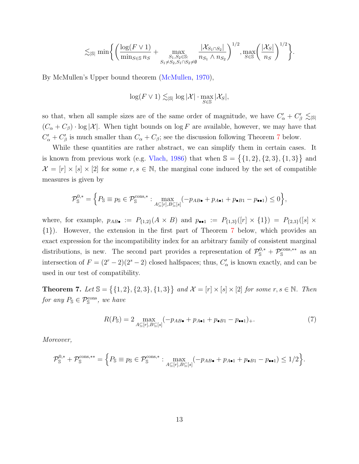$$
\lesssim_{|\mathbb{S}|} \min \bigg\{ \bigg( \frac{\log(F \vee 1)}{\min_{S \in \mathbb{S}} n_S} + \max_{\substack{S_1, S_2 \in \mathbb{S}: \\ S_1 \neq S_2, S_1 \cap S_2 \neq \emptyset}} \frac{|\mathcal{X}_{S_1 \cap S_2}|}{n_{S_1} \wedge n_{S_2}} \bigg)^{1/2}, \max_{S \in \mathbb{S}} \bigg( \frac{|\mathcal{X}_S|}{n_S} \bigg)^{1/2} \bigg\}.
$$

By McMullen's Upper bound theorem [\(McMullen,](#page-63-10) [1970\)](#page-63-10),

$$
\log(F\vee 1)\lesssim_{|\mathbb S|}\log|\mathcal X|\cdot \max_{S\in \mathbb S}|\mathcal X_S|,
$$

so that, when all sample sizes are of the same order of magnitude, we have  $C'_\alpha + C'_\beta \lesssim_{|S|}$  $(C_{\alpha} + C_{\beta}) \cdot \log |\mathcal{X}|$ . When tight bounds on  $\log F$  are available, however, we may have that  $C'_{\alpha} + C'_{\beta}$  is much smaller than  $C_{\alpha} + C_{\beta}$ ; see the discussion following Theorem [7](#page-12-0) below.

While these quantities are rather abstract, we can simplify them in certain cases. It is known from previous work (e.g. [Vlach,](#page-64-3) [1986\)](#page-64-3) that when  $\mathbb{S} = \{ \{1, 2\}, \{2, 3\}, \{1, 3\} \}$  and  $\mathcal{X} = [r] \times [s] \times [2]$  for some  $r, s \in \mathbb{N}$ , the marginal cone induced by the set of compatible measures is given by

$$
\mathcal{P}_{\mathbb{S}}^{0,*} = \left\{ P_{\mathbb{S}} \equiv p_{\mathbb{S}} \in \mathcal{P}_{\mathbb{S}}^{\text{cons},*} : \max_{A \subseteq [r], B \subseteq [s]} (-p_{AB\bullet} + p_{A\bullet 1} + p_{\bullet B1} - p_{\bullet \bullet 1}) \le 0 \right\},\
$$

where, for example,  $p_{AB} = P_{\{1,2\}}(A \times B)$  and  $p_{\bullet \bullet 1} := P_{\{1,3\}}([r] \times \{1\}) = P_{\{2,3\}}([s] \times$ {1}). However, the extension in the first part of Theorem [7](#page-12-0) below, which provides an exact expression for the incompatibility index for an arbitrary family of consistent marginal distributions, is new. The second part provides a representation of  $\mathcal{P}_{S}^{0,*}+\mathcal{P}_{S}^{\text{cons},**}$  as an intersection of  $F = (2r - 2)(2<sup>s</sup> – 2)$  closed halfspaces; thus,  $C'_{\alpha}$  is known exactly, and can be used in our test of compatibility.

<span id="page-12-0"></span>**Theorem 7.** Let  $\mathbb{S} = \{ \{1, 2\}, \{2, 3\}, \{1, 3\} \}$  and  $\mathcal{X} = [r] \times [s] \times [2]$  for some  $r, s \in \mathbb{N}$ . Then for any  $P_{\mathbb{S}} \in \mathcal{P}_{\mathbb{S}}^{\text{cons}},$  we have

<span id="page-12-1"></span>
$$
R(P_{\mathbb{S}}) = 2 \max_{A \subseteq [r], B \subseteq [s]} (-p_{AB\bullet} + p_{A\bullet 1} + p_{\bullet B1} - p_{\bullet \bullet 1})_{+}.
$$
\n(7)

Moreover,

$$
\mathcal{P}_{\mathbb{S}}^{0,*} + \mathcal{P}_{\mathbb{S}}^{\text{cons},**} = \left\{ P_{\mathbb{S}} \equiv p_{\mathbb{S}} \in \mathcal{P}_{\mathbb{S}}^{\text{cons},*} : \max_{A \subseteq [r], B \subseteq [s]} (-p_{A B \bullet} + p_{A \bullet 1} + p_{\bullet B 1} - p_{\bullet \bullet 1}) \le 1/2 \right\}.
$$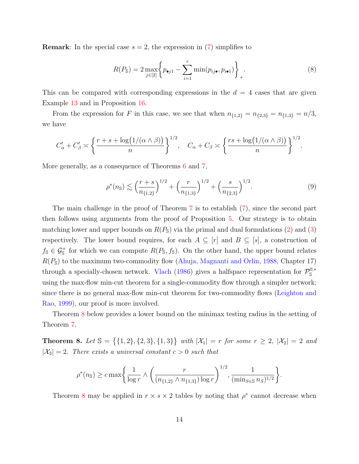**Remark:** In the special case  $s = 2$ , the expression in [\(7\)](#page-12-1) simplifies to

<span id="page-13-2"></span>
$$
R(P_{\mathbb{S}}) = 2 \max_{j \in [2]} \left\{ p_{\bullet j1} - \sum_{i=1}^{r} \min(p_{ij\bullet}, p_{i\bullet 1}) \right\}_{+}.
$$
 (8)

This can be compared with corresponding expressions in the  $d = 4$  cases that are given Example [13](#page-19-0) and in Proposition [16.](#page-55-0)

From the expression for F in this case, we see that when  $n_{\{1,2\}} = n_{\{2,3\}} = n_{\{1,3\}} = n/3$ , we have

$$
C'_{\alpha} + C'_{\beta} \asymp \left\{ \frac{r+s+\log(1/(\alpha \wedge \beta))}{n} \right\}^{1/2}, \quad C_{\alpha} + C_{\beta} \asymp \left\{ \frac{rs+\log(1/(\alpha \wedge \beta))}{n} \right\}^{1/2}.
$$

More generally, as a consequence of Theorems [6](#page-11-1) and [7,](#page-12-0)

<span id="page-13-1"></span>
$$
\rho^*(n_{\rm S}) \lesssim \left(\frac{r+s}{n_{\{1,2\}}}\right)^{1/2} + \left(\frac{r}{n_{\{1,3\}}}\right)^{1/2} + \left(\frac{s}{n_{\{2,3\}}}\right)^{1/2}.\tag{9}
$$

The main challenge in the proof of Theorem [7](#page-12-0) is to establish [\(7\)](#page-12-1), since the second part then follows using arguments from the proof of Proposition [5.](#page-10-0) Our strategy is to obtain matching lower and upper bounds on  $R(P<sub>s</sub>)$  via the primal and dual formulations [\(2\)](#page-6-2) and [\(3\)](#page-7-2) respectively. The lower bound requires, for each  $A \subseteq [r]$  and  $B \subseteq [s]$ , a construction of  $f_{\mathbb{S}} \in \mathcal{G}_{\mathbb{S}}^+$  for which we can compute  $R(P_{\mathbb{S}}, f_{\mathbb{S}})$ . On the other hand, the upper bound relates  $R(P<sub>S</sub>)$  to the maximum two-commodity flow [\(Ahuja, Magnanti and Orlin,](#page-60-8) [1988,](#page-60-8) Chapter 17) through a specially-chosen network. [Vlach](#page-64-3) [\(1986\)](#page-64-3) gives a halfspace representation for  $\mathcal{P}_{\mathbb{S}}^{0,*}$ using the max-flow min-cut theorem for a single-commodity flow through a simpler network; since there is no general max-flow min-cut theorem for two-commodity flows [\(Leighton and](#page-63-11) [Rao,](#page-63-11) [1999\)](#page-63-11), our proof is more involved.

Theorem [8](#page-13-0) below provides a lower bound on the minimax testing radius in the setting of Theorem [7.](#page-12-0)

<span id="page-13-0"></span>**Theorem 8.** Let  $\mathbb{S} = \{ \{1, 2\}, \{2, 3\}, \{1, 3\} \}$  with  $|\mathcal{X}_1| = r$  for some  $r \geq 2$ ,  $|\mathcal{X}_2| = 2$  and  $|X_3| = 2$ . There exists a universal constant  $c > 0$  such that

$$
\rho^*(n_{\mathbb{S}}) \geq c \max \bigg\{ \frac{1}{\log r} \wedge \bigg( \frac{r}{(n_{\{1,2\}} \wedge n_{\{1,3\}}) \log r} \bigg)^{1/2}, \frac{1}{(\min_{S \in \mathbb{S}} n_S)^{1/2}} \bigg\}.
$$

Theorem [8](#page-13-0) may be applied in  $r \times s \times 2$  tables by noting that  $\rho^*$  cannot decrease when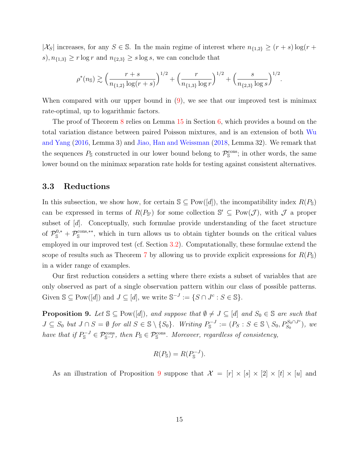$|\mathcal{X}_S|$  increases, for any  $S \in \mathbb{S}$ . In the main regime of interest where  $n_{\{1,2\}} \ge (r+s) \log(r+s)$  $s, n_{\{1,3\}} \ge r \log r$  and  $n_{\{2,3\}} \ge s \log s$ , we can conclude that

$$
\rho^*(n_{\mathbb{S}}) \gtrsim \left(\frac{r+s}{n_{\{1,2\}}\log(r+s)}\right)^{1/2} + \left(\frac{r}{n_{\{1,3\}}\log r}\right)^{1/2} + \left(\frac{s}{n_{\{2,3\}}\log s}\right)^{1/2}.
$$

When compared with our upper bound in  $(9)$ , we see that our improved test is minimax rate-optimal, up to logarithmic factors.

The proof of Theorem [8](#page-13-0) relies on Lemma [15](#page-44-0) in Section [6,](#page-26-0) which provides a bound on the total variation distance between paired Poisson mixtures, and is an extension of both [Wu](#page-64-9) [and Yang](#page-64-9) [\(2016,](#page-64-9) Lemma 3) and [Jiao, Han and Weissman](#page-62-10) [\(2018,](#page-62-10) Lemma 32). We remark that the sequences  $P_{\mathcal{S}}$  constructed in our lower bound belong to  $\mathcal{P}_{\mathcal{S}}^{\text{cons}}$ ; in other words, the same lower bound on the minimax separation rate holds for testing against consistent alternatives.

#### <span id="page-14-0"></span>3.3 Reductions

In this subsection, we show how, for certain  $\mathbb{S} \subseteq \text{Pow}([d])$ , the incompatibility index  $R(P_{\mathbb{S}})$ can be expressed in terms of  $R(P_{\mathbb{S}})$  for some collection  $\mathbb{S}' \subseteq \text{Pow}(\mathcal{J})$ , with  $\mathcal J$  a proper subset of [d]. Conceptually, such formulae provide understanding of the facet structure of  $\mathcal{P}_s^{0,*}+\mathcal{P}_s^{\text{cons},**}$ , which in turn allows us to obtain tighter bounds on the critical values employed in our improved test (cf. Section [3.2\)](#page-9-1). Computationally, these formulae extend the scope of results such as Theorem [7](#page-12-0) by allowing us to provide explicit expressions for  $R(P<sub>S</sub>)$ in a wider range of examples.

Our first reduction considers a setting where there exists a subset of variables that are only observed as part of a single observation pattern within our class of possible patterns. Given  $\mathbb{S} \subseteq \text{Pow}([d])$  and  $J \subseteq [d]$ , we write  $\mathbb{S}^{-J} := \{ S \cap J^c : S \in \mathbb{S} \}.$ 

<span id="page-14-1"></span>**Proposition 9.** Let  $\mathbb{S} \subseteq \text{Pow}([d])$ , and suppose that  $\emptyset \neq J \subseteq [d]$  and  $S_0 \in \mathbb{S}$  are such that  $J \subseteq S_0$  but  $J \cap S = \emptyset$  for all  $S \in \mathbb{S} \setminus \{S_0\}$ . Writing  $P_{\mathbb{S}}^{-J} := (P_S : S \in \mathbb{S} \setminus S_0, P_{S_0}^{S_0 \cap J^c}$  $S_0^{S_0 \cap J^c}$ ), we have that if  $P_{\mathbb{S}}^{-J} \in \mathcal{P}_{\mathbb{S}^{-J}}^{cons}$ , then  $P_{\mathbb{S}} \in \mathcal{P}_{\mathbb{S}}^{cons}$ . Moreover, regardless of consistency,

$$
R(P_{\mathbb{S}}) = R(P_{\mathbb{S}}^{-J}).
$$

As an illustration of Proposition [9](#page-14-1) suppose that  $\mathcal{X} = [r] \times [s] \times [2] \times [t] \times [u]$  and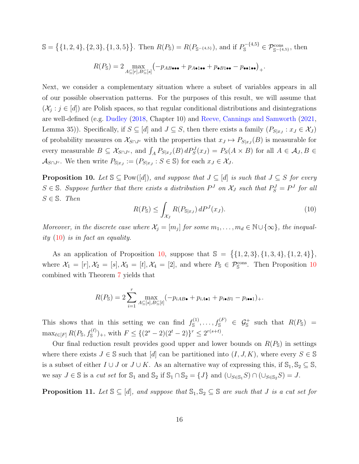$\mathbb{S} = \left\{ \{1, 2, 4\}, \{2, 3\}, \{1, 3, 5\} \right\}.$  Then  $R(P_{\mathbb{S}}) = R(P_{\mathbb{S}^{-\{4, 5\}}})$ , and if  $P_{\mathbb{S}}^{-\{4, 5\}} \in \mathcal{P}_{\mathbb{S}^{-\{4, 5\}}}_{\mathbb{S}^{-\{4, 5\}}}$ , then

$$
R(P_{\mathbb{S}}) = 2 \max_{A \subseteq [r], B \subseteq [s]} \left( -p_{AB\bullet\bullet\bullet} + p_{A\bullet1\bullet\bullet} + p_{\bullet B1\bullet\bullet} - p_{\bullet\bullet1\bullet\bullet} \right)_+.
$$

Next, we consider a complementary situation where a subset of variables appears in all of our possible observation patterns. For the purposes of this result, we will assume that  $(\mathcal{X}_j : j \in [d])$  are Polish spaces, so that regular conditional distributions and disintegrations are well-defined (e.g. [Dudley](#page-61-12) [\(2018,](#page-61-12) Chapter 10) and [Reeve, Cannings and Samworth](#page-63-12) [\(2021,](#page-63-12) Lemma 35)). Specifically, if  $S \subseteq [d]$  and  $J \subseteq S$ , then there exists a family  $(P_{S|x_J}: x_J \in \mathcal{X}_J)$ of probability measures on  $\mathcal{X}_{S \cap J^c}$  with the properties that  $x_J \mapsto P_{S|x_J}(B)$  is measurable for every measurable  $B \subseteq \mathcal{X}_{S \cap J^c}$ , and  $\int_A P_{S|x_J}(B) dP_S^J(x_J) = P_S(A \times B)$  for all  $A \in \mathcal{A}_J, B \in$  $\mathcal{A}_{S \cap J^c}$ . We then write  $P_{\mathbb{S}|x_J} := (P_{S|x_J} : S \in \mathbb{S})$  for each  $x_J \in \mathcal{X}_J$ .

<span id="page-15-2"></span>**Proposition 10.** Let  $\mathbb{S} \subseteq \text{Pow}([d])$ , and suppose that  $J \subseteq [d]$  is such that  $J \subseteq S$  for every  $S \in \mathbb{S}$ . Suppose further that there exists a distribution  $P<sup>J</sup>$  on  $\mathcal{X}_J$  such that  $P_S^J = P<sup>J</sup>$  for all  $S \in \mathbb{S}$ . Then

<span id="page-15-1"></span>
$$
R(P_{\mathbb{S}}) \le \int_{\mathcal{X}_J} R(P_{\mathbb{S}|x_J}) dP^J(x_J). \tag{10}
$$

Moreover, in the discrete case where  $\mathcal{X}_j = [m_j]$  for some  $m_1, \ldots, m_d \in \mathbb{N} \cup \{\infty\}$ , the inequality [\(10\)](#page-15-1) is in fact an equality.

As an application of Proposition [10,](#page-15-2) suppose that  $\mathbb{S} = \{ \{1, 2, 3\}, \{1, 3, 4\}, \{1, 2, 4\} \},\$ where  $\mathcal{X}_1 = [r], \mathcal{X}_2 = [s], \mathcal{X}_3 = [t], \mathcal{X}_4 = [2]$ , and where  $P_{\mathbb{S}} \in \mathcal{P}_{\mathbb{S}}^{\text{cons}}$ . Then Proposition [10](#page-15-2) combined with Theorem [7](#page-12-0) yields that

$$
R(P_{\mathbb{S}}) = 2\sum_{i=1}^{r} \max_{A \subseteq [s], B \subseteq [t]} (-p_{iAB\bullet} + p_{iA\bullet 1} + p_{i\bullet B1} - p_{i\bullet \bullet 1})_{+}.
$$

This shows that in this setting we can find  $f_s^{(1)}, \ldots, f_s^{(F)} \in \mathcal{G}_{\mathbb{S}}^+$  such that  $R(P_{\mathbb{S}})$  =  $\max_{\ell \in [F]} R(P_{\mathbb{S}}, f_{\mathbb{S}}^{(\ell)})_+,$  with  $F \leq \{(2^s-2)(2^t-2)\}^r \leq 2^{r(s+t)}$ .

Our final reduction result provides good upper and lower bounds on  $R(P<sub>S</sub>)$  in settings where there exists  $J \in \mathbb{S}$  such that  $[d]$  can be partitioned into  $(I, J, K)$ , where every  $S \in \mathbb{S}$ is a subset of either  $I \cup J$  or  $J \cup K$ . As an alternative way of expressing this, if  $\mathbb{S}_1, \mathbb{S}_2 \subseteq \mathbb{S}$ , we say  $J \in \mathbb{S}$  is a cut set for  $\mathbb{S}_1$  and  $\mathbb{S}_2$  if  $\mathbb{S}_1 \cap \mathbb{S}_2 = \{J\}$  and  $(\cup_{S \in \mathbb{S}_1} S) \cap (\cup_{S \in \mathbb{S}_2} S) = J$ .

<span id="page-15-0"></span>**Proposition 11.** Let  $\mathbb{S} \subseteq [d]$ , and suppose that  $\mathbb{S}_1, \mathbb{S}_2 \subseteq \mathbb{S}$  are such that J is a cut set for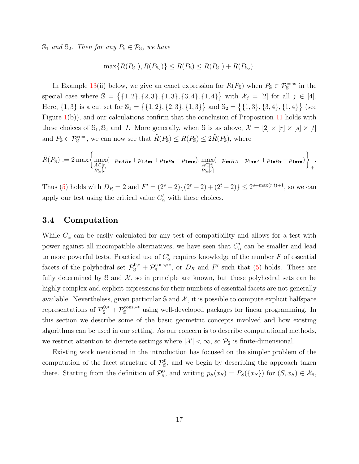$\mathbb{S}_1$  and  $\mathbb{S}_2$ . Then for any  $P_{\mathbb{S}} \in \mathcal{P}_{\mathbb{S}}$ , we have

$$
\max\{R(P_{\mathbb{S}_1}), R(P_{\mathbb{S}_2})\} \le R(P_{\mathbb{S}}) \le R(P_{\mathbb{S}_1}) + R(P_{\mathbb{S}_2}).
$$

In Example [13\(](#page-19-0)ii) below, we give an exact expression for  $R(P_{\rm S})$  when  $P_{\rm S} \in \mathcal{P}_{\rm S}^{\rm cons}$  in the special case where  $\mathbb{S} = \{ \{1, 2\}, \{2, 3\}, \{1, 3\}, \{3, 4\}, \{1, 4\} \}$  with  $\mathcal{X}_j = [2]$  for all  $j \in [4]$ . Here,  $\{1,3\}$  is a cut set for  $\mathbb{S}_1 = \{ \{1,2\}, \{2,3\}, \{1,3\} \}$  and  $\mathbb{S}_2 = \{ \{1,3\}, \{3,4\}, \{1,4\} \}$  (see Figure [1\(](#page-19-1)b)), and our calculations confirm that the conclusion of Proposition [11](#page-15-0) holds with these choices of  $\mathbb{S}_1$ ,  $\mathbb{S}_2$  and J. More generally, when S is as above,  $\mathcal{X} = [2] \times [r] \times [s] \times [t]$ and  $P_{\mathbb{S}} \in \mathcal{P}_{\mathbb{S}}^{\text{cons}}$ , we can now see that  $\tilde{R}(P_{\mathbb{S}}) \leq R(P_{\mathbb{S}}) \leq 2\tilde{R}(P_{\mathbb{S}})$ , where

$$
\tilde{R}(P_{\mathbb{S}}) := 2 \max \left\{ \max_{\substack{A \subseteq [r] \\ B \subseteq [s]}} (-p_{\bullet AB\bullet} + p_{1A\bullet\bullet} + p_{1\bullet B\bullet} - p_{1\bullet\bullet\bullet}), \max_{\substack{A \subseteq [t] \\ B \subseteq [s]}} (-p_{\bullet\bullet BA} + p_{1\bullet A} + p_{1\bullet B\bullet} - p_{1\bullet\bullet\bullet}) \right\}_+.
$$

Thus [\(5\)](#page-11-0) holds with  $D_R = 2$  and  $F' = (2<sup>s</sup> - 2){(2<sup>r</sup> - 2) + (2<sup>t</sup> - 2)} \le 2<sup>s + max(r,t)+1</sup>$ , so we can apply our test using the critical value  $C'_\alpha$  with these choices.

#### <span id="page-16-0"></span>3.4 Computation

While  $C_{\alpha}$  can be easily calculated for any test of compatibility and allows for a test with power against all incompatible alternatives, we have seen that  $C'_{\alpha}$  can be smaller and lead to more powerful tests. Practical use of  $C'_{\alpha}$  requires knowledge of the number F of essential facets of the polyhedral set  $\mathcal{P}_{S}^{0,*}+\mathcal{P}_{S}^{\text{cons},**}$ , or  $D_R$  and  $F'$  such that [\(5\)](#page-11-0) holds. These are fully determined by  $\mathcal S$  and  $\mathcal X$ , so in principle are known, but these polyhedral sets can be highly complex and explicit expressions for their numbers of essential facets are not generally available. Nevertheless, given particular  $\mathcal S$  and  $\mathcal X$ , it is possible to compute explicit halfspace representations of  $\mathcal{P}_{\mathbb{S}}^{0,*}+\mathcal{P}_{\mathbb{S}}^{\text{cons},**}$  using well-developed packages for linear programming. In this section we describe some of the basic geometric concepts involved and how existing algorithms can be used in our setting. As our concern is to describe computational methods, we restrict attention to discrete settings where  $|\mathcal{X}| < \infty$ , so  $\mathcal{P}_{\mathbb{S}}$  is finite-dimensional.

Existing work mentioned in the introduction has focused on the simpler problem of the computation of the facet structure of  $\mathcal{P}_{s}^{0}$ , and we begin by describing the approach taken there. Starting from the definition of  $\mathcal{P}_s^0$ , and writing  $p_S(x_S) = P_S(\{x_S\})$  for  $(S, x_S) \in \mathcal{X}_s$ ,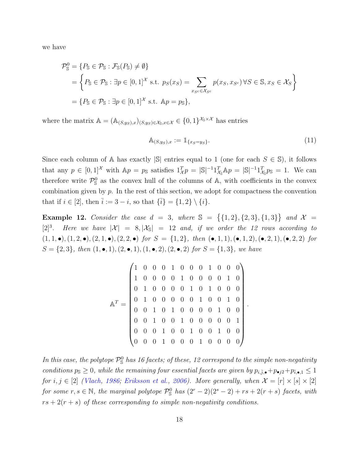we have

$$
\mathcal{P}_{s}^{0} = \{P_{s} \in \mathcal{P}_{s} : \mathcal{F}_{s}(P_{s}) \neq \emptyset\}
$$
  
= 
$$
\left\{P_{s} \in \mathcal{P}_{s} : \exists p \in [0,1]^{\mathcal{X}} \text{ s.t. } p_{s}(x_{S}) = \sum_{x_{S} \in \mathcal{X}_{S^{c}}} p(x_{S}, x_{S^{c}}) \forall S \in \mathcal{S}, x_{S} \in \mathcal{X}_{S}\right\}
$$
  
= 
$$
\{P_{s} \in \mathcal{P}_{s} : \exists p \in [0,1]^{\mathcal{X}} \text{ s.t. } \mathbb{A}p = p_{s}\},
$$

where the matrix  $\mathbb{A} = (\mathbb{A}_{(S,y_S),x})_{(S,y_S)\in\mathcal{X}_{S},x\in\mathcal{X}} \in \{0,1\}^{\mathcal{X}_{S}\times\mathcal{X}}$  has entries

<span id="page-17-0"></span>
$$
\mathbb{A}_{(S,y_S),x} := \mathbb{1}_{\{x_S = y_S\}}.\tag{11}
$$

.

Since each column of A has exactly  $|\mathbb{S}|$  entries equal to 1 (one for each  $S \in \mathbb{S}$ ), it follows that any  $p \in [0,1]^{\mathcal{X}}$  with  $Ap = p_{\mathbb{S}}$  satisfies  $1_{\mathcal{X}}^T p = |\mathbb{S}|^{-1} 1_{\mathcal{X}_{\mathbb{S}}}^T Ap = |\mathbb{S}|^{-1} 1_{\mathcal{X}_{\mathbb{S}}}^T p_{\mathbb{S}} = 1$ . We can therefore write  $\mathcal{P}_{s}^{0}$  as the convex hull of the columns of A, with coefficients in the convex combination given by  $p$ . In the rest of this section, we adopt for compactness the convention that if  $i \in [2]$ , then  $\bar{i} := 3 - i$ , so that  $\{\bar{i}\} = \{1, 2\} \setminus \{i\}.$ 

**Example 12.** Consider the case  $d = 3$ , where  $\mathbb{S} = \{ \{1,2\}, \{2,3\}, \{1,3\} \}$  and  $\mathcal{X} =$  $[2]^{3}$ . Here we have  $|\mathcal{X}| = 8, |\mathcal{X}_s| = 12$  and, if we order the 12 rows according to  $(1, 1, \bullet), (1, 2, \bullet), (2, 1, \bullet), (2, 2, \bullet)$  for  $S = \{1, 2\}$ , then  $(\bullet, 1, 1), (\bullet, 1, 2), (\bullet, 2, 1), (\bullet, 2, 2)$  for  $S = \{2,3\}$ , then  $(1, \bullet, 1), (2, \bullet, 1), (1, \bullet, 2), (2, \bullet, 2)$  for  $S = \{1,3\}$ , we have

$$
\mathbb{A}^T = \begin{pmatrix} 1 & 0 & 0 & 0 & 1 & 0 & 0 & 0 & 1 & 0 & 0 & 0 \\ 1 & 0 & 0 & 0 & 0 & 1 & 0 & 0 & 0 & 0 & 1 & 0 \\ 0 & 1 & 0 & 0 & 0 & 0 & 1 & 0 & 1 & 0 & 0 & 0 \\ 0 & 0 & 1 & 0 & 0 & 0 & 0 & 1 & 0 & 0 & 1 & 0 \\ 0 & 0 & 1 & 0 & 1 & 0 & 0 & 0 & 0 & 1 & 0 & 0 \\ 0 & 0 & 0 & 1 & 0 & 0 & 1 & 0 & 0 & 0 & 0 & 1 \\ 0 & 0 & 0 & 1 & 0 & 0 & 0 & 1 & 0 & 0 & 0 & 0 \end{pmatrix}
$$

In this case, the polytope  $\mathcal{P}_{\mathbb{S}}^0$  has 16 facets; of these, 12 correspond to the simple non-negativity conditions  $p_{\mathbb{S}} \geq 0$ , while the remaining four essential facets are given by  $p_{i,\bar{j},\bullet}+p_{\bullet j2}+p_{\bar{i},\bullet,1} \leq 1$ for  $i, j \in [2]$  [\(Vlach,](#page-64-3) [1986;](#page-64-3) [Eriksson et al.,](#page-61-8) [2006\)](#page-61-8). More generally, when  $\mathcal{X} = [r] \times [s] \times [2]$ for some  $r, s \in \mathbb{N}$ , the marginal polytope  $\mathcal{P}_\mathbb{S}^0$  has  $(2^r-2)(2^s-2)+rs+2(r+s)$  facets, with  $rs + 2(r + s)$  of these corresponding to simple non-negativity conditions.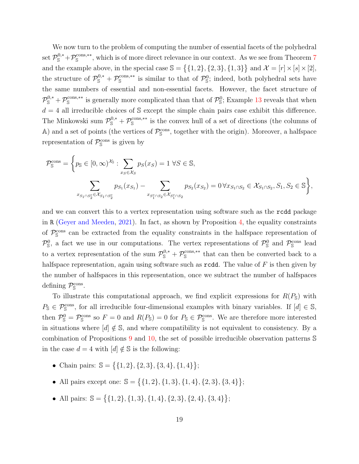We now turn to the problem of computing the number of essential facets of the polyhedral set  $\mathcal{P}_s^{0,*}+\mathcal{P}_s^{\text{cons},**}$ , which is of more direct relevance in our context. As we see from Theorem [7](#page-12-0) and the example above, in the special case  $\mathbb{S} = \{ \{1, 2\}, \{2, 3\}, \{1, 3\} \}$  and  $\mathcal{X} = [r] \times [s] \times [2]$ , the structure of  $\mathcal{P}_{\mathbb{S}}^{0,*}+\mathcal{P}_{\mathbb{S}}^{\text{cons},**}$  is similar to that of  $\mathcal{P}_{\mathbb{S}}^0$ ; indeed, both polyhedral sets have the same numbers of essential and non-essential facets. However, the facet structure of  $\mathcal{P}_s^{0,*} + \mathcal{P}_s^{\text{cons},**}$  is generally more complicated than that of  $\mathcal{P}_s^0$ ; Example [13](#page-19-0) reveals that when  $d = 4$  all irreducible choices of S except the simple chain pairs case exhibit this difference. The Minkowski sum  $\mathcal{P}_{S}^{0,*}+\mathcal{P}_{S}^{\text{cons},**}$  is the convex hull of a set of directions (the columns of A) and a set of points (the vertices of  $\mathcal{P}_{\mathbb{S}}^{\text{cons}}$ , together with the origin). Moreover, a halfspace representation of  $\mathcal{P}_{\mathbb{S}}^{\text{cons}}$  is given by

$$
\mathcal{P}_{\mathbb{S}}^{\text{cons}} = \left\{ p_{\mathbb{S}} \in [0, \infty)^{\mathcal{X}_{\mathbb{S}}} : \sum_{x_S \in \mathcal{X}_S} p_S(x_S) = 1 \ \forall S \in \mathbb{S}, \right\}
$$

$$
\sum_{x_{S_1 \cap S_2^c} \in \mathcal{X}_{S_1 \cap S_2^c}} p_{S_1}(x_{S_1}) - \sum_{x_{S_1^c \cap S_2} \in \mathcal{X}_{S_1^c \cap S_2}} p_{S_2}(x_{S_2}) = 0 \ \forall x_{S_1 \cap S_2} \in \mathcal{X}_{S_1 \cap S_2}, S_1, S_2 \in \mathbb{S} \right\},\
$$

and we can convert this to a vertex representation using software such as the rcdd package in R [\(Geyer and Meeden,](#page-62-11) [2021\)](#page-62-11). In fact, as shown by Proposition [4,](#page-10-1) the equality constraints of  $\mathcal{P}_s^{\text{cons}}$  can be extracted from the equality constraints in the halfspace representation of  $\mathcal{P}_s^0$ , a fact we use in our computations. The vertex representations of  $\mathcal{P}_s^0$  and  $\mathcal{P}_s^{\text{cons}}$  lead to a vertex representation of the sum  $\mathcal{P}_s^{0,*} + \mathcal{P}_s^{\text{cons},**}$  that can then be converted back to a halfspace representation, again using software such as  $\text{rcdd}$ . The value of F is then given by the number of halfspaces in this representation, once we subtract the number of halfspaces defining  $\mathcal{P}_s^{\text{cons}}$ .

To illustrate this computational approach, we find explicit expressions for  $R(P_{\rm s})$  with  $P_{\mathbb{S}} \in \mathcal{P}_{\mathbb{S}}^{\text{cons}}$ , for all irreducible four-dimensional examples with binary variables. If  $[d] \in \mathbb{S}$ , then  $\mathcal{P}_s^0 = \mathcal{P}_s^{\text{cons}}$  so  $F = 0$  and  $R(P_s) = 0$  for  $P_s \in \mathcal{P}_s^{\text{cons}}$ . We are therefore more interested in situations where  $[d] \notin \mathbb{S}$ , and where compatibility is not equivalent to consistency. By a combination of Propositions [9](#page-14-1) and [10,](#page-15-2) the set of possible irreducible observation patterns S in the case  $d = 4$  with  $[d] \notin \mathbb{S}$  is the following:

- Chain pairs:  $\mathbb{S} = \{ \{1, 2\}, \{2, 3\}, \{3, 4\}, \{1, 4\} \};$
- All pairs except one:  $\mathbb{S} = \{ \{1, 2\}, \{1, 3\}, \{1, 4\}, \{2, 3\}, \{3, 4\} \};$
- All pairs:  $\mathbb{S} = \{ \{1, 2\}, \{1, 3\}, \{1, 4\}, \{2, 3\}, \{2, 4\}, \{3, 4\} \};$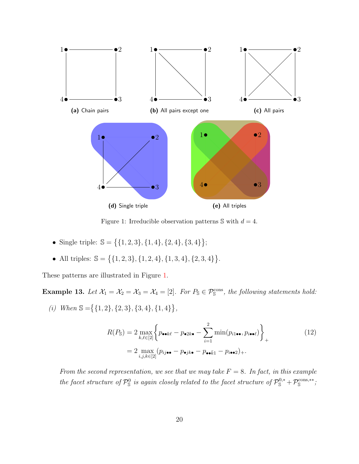<span id="page-19-1"></span>

Figure 1: Irreducible observation patterns  $\mathbb S$  with  $d=4$ .

- Single triple:  $\mathbb{S} = \{ \{1, 2, 3\}, \{1, 4\}, \{2, 4\}, \{3, 4\} \};$
- All triples:  $\mathbb{S} = \{ \{1, 2, 3\}, \{1, 2, 4\}, \{1, 3, 4\}, \{2, 3, 4\} \}.$

These patterns are illustrated in Figure [1.](#page-19-1)

<span id="page-19-0"></span>**Example 13.** Let  $\mathcal{X}_1 = \mathcal{X}_2 = \mathcal{X}_3 = \mathcal{X}_4 = [2]$ . For  $P_{\mathbb{S}} \in \mathcal{P}_{\mathbb{S}}^{\text{cons}}$ , the following statements hold:

(i) When  $\mathbb{S} = \{ \{1, 2\}, \{2, 3\}, \{3, 4\}, \{1, 4\} \},$ 

<span id="page-19-2"></span>
$$
R(P_{\mathbb{S}}) = 2 \max_{k,\ell \in [2]} \left\{ p_{\bullet \bullet k\ell} - p_{\bullet 2k\bullet} - \sum_{i=1}^{2} \min(p_{i1\bullet \bullet}, p_{i\bullet \bullet \ell}) \right\}_{+}
$$
  
= 2 \max\_{i,j,k \in [2]} (p\_{ij\bullet \bullet} - p\_{\bullet jk\bullet} - p\_{\bullet \bullet \bar{k}1} - p\_{i\bullet \bullet 2})\_{+}. \tag{12}

From the second representation, we see that we may take  $F = 8$ . In fact, in this example the facet structure of  $\mathcal{P}_s^0$  is again closely related to the facet structure of  $\mathcal{P}_s^{0,*}+\mathcal{P}_s^{\text{cons},**}$ ;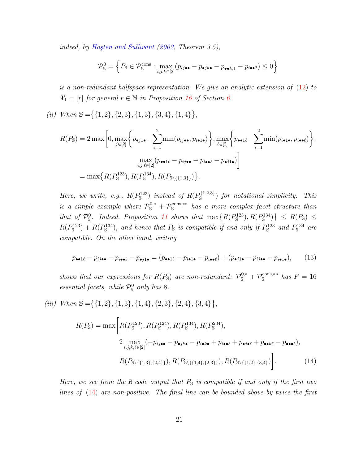indeed, by Hosten and Sullivant  $(2002,$  Theorem 3.5),

$$
\mathcal{P}_{\mathbb{S}}^0 = \left\{ P_{\mathbb{S}} \in \mathcal{P}_{\mathbb{S}}^{\text{cons}} : \max_{i,j,k \in [2]} (p_{ij\bullet\bullet} - p_{\bullet jk\bullet} - p_{\bullet \bullet \bar{k},1} - p_{i\bullet \bullet 2}) \le 0 \right\}
$$

is a non-redundant halfspace representation. We give an analytic extension of [\(12\)](#page-19-2) to  $X_1 = [r]$  for general  $r \in \mathbb{N}$  in Proposition [16](#page-55-0) of Section [6.](#page-26-0)

(ii) When  $\mathbb{S} = \{ \{1, 2\}, \{2, 3\}, \{1, 3\}, \{3, 4\}, \{1, 4\} \},$ 

$$
R(P_{\mathbb{S}}) = 2 \max \left[ 0, \max_{j \in [2]} \left\{ p_{\bullet j1\bullet} - \sum_{i=1}^{2} \min(p_{ij\bullet\bullet}, p_{i\bullet 1\bullet}) \right\}, \max_{\ell \in [2]} \left\{ p_{\bullet\bullet 1\ell} - \sum_{i=1}^{2} \min(p_{i\bullet 1\bullet}, p_{i\bullet \bullet \ell}) \right\},
$$

$$
\max_{i,j,\ell \in [2]} (p_{\bullet\bullet 1\ell} - p_{ij\bullet\bullet} - p_{\bar{i}\bullet \ell} - p_{\bullet \bar{j}1\bullet}) \right]
$$

$$
= \max \left\{ R(P_{\mathbb{S}}^{123}), R(P_{\mathbb{S}}^{134}), R(P_{\mathbb{S}\backslash \{\{1,3\}\}}) \right\}.
$$

Here, we write, e.g.,  $R(P_{\rm s}^{123})$  instead of  $R(P_{\rm s}^{\{1,2,3\}})$  for notational simplicity. This is a simple example where  $\mathcal{P}_s^{0,*} + \mathcal{P}_s^{\text{cons},**}$  has a more complex facet structure than that of  $\mathcal{P}_s^0$ . Indeed, Proposition [11](#page-15-0) shows that  $\max\{R(P_s^{123}), R(P_s^{134})\} \leq R(P_s) \leq$  $R(P_{\rm s}^{123})+R(P_{\rm s}^{134})$ , and hence that  $P_{\rm s}$  is compatible if and only if  $P_{\rm s}^{123}$  and  $P_{\rm s}^{134}$  are compatible. On the other hand, writing

<span id="page-20-1"></span>
$$
p_{\bullet\bullet1\ell} - p_{ij\bullet\bullet} - p_{\bar{i}\bullet\bullet\ell} - p_{\bullet\bar{j}1\bullet} = (p_{\bullet\bullet1\ell} - p_{i\bullet1\bullet} - p_{\bar{i}\bullet\bullet\ell}) + (p_{\bullet j1\bullet} - p_{ij\bullet\bullet} - p_{\bar{i}\bullet1\bullet}), \qquad (13)
$$

shows that our expressions for  $R(P_{\rm S})$  are non-redundant:  $\mathcal{P}_{\rm S}^{0,*} + \mathcal{P}_{\rm S}^{\text{cons},**}$  has  $F = 16$ essential facets, while  $\mathcal{P}_s^0$  only has 8.

(iii) When  $\mathbb{S} = \{ \{1, 2\}, \{1, 3\}, \{1, 4\}, \{2, 3\}, \{2, 4\}, \{3, 4\} \},$ 

<span id="page-20-0"></span>
$$
R(P_{\mathbb{S}}) = \max \bigg[ R(P_{\mathbb{S}}^{123}), R(P_{\mathbb{S}}^{124}), R(P_{\mathbb{S}}^{134}), R(P_{\mathbb{S}}^{234}),
$$
  
2  $\max_{i,j,k,\ell \in [2]} (-p_{ij\bullet \bullet} - p_{\bullet jk\bullet} - p_{i\bullet k\bullet} + p_{i\bullet \bullet \ell} + p_{\bullet j\bullet \ell} + p_{\bullet \bullet k\ell} - p_{\bullet \bullet \ell}),$   

$$
R(P_{\mathbb{S}\backslash \{\{1,3\},\{2,4\}\}}), R(P_{\mathbb{S}\backslash \{\{1,4\},\{2,3\}\}}), R(P_{\mathbb{S}\backslash \{\{1,2\},\{3,4\}}}) \bigg].
$$
 (14)

Here, we see from the R code output that  $P_{\mathbb{S}}$  is compatible if and only if the first two lines of [\(14\)](#page-20-0) are non-positive. The final line can be bounded above by twice the first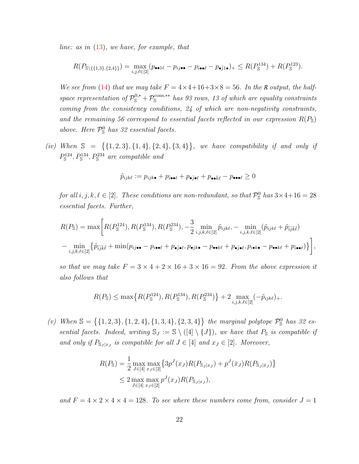line: as in [\(13\)](#page-20-1), we have, for example, that

$$
R(P_{\mathbb{S}\backslash\{\{1,3\},\{2,4\}\}})=\max_{i,j,\ell\in[2]}(p_{\bullet\bullet 1\ell}-p_{ij\bullet\bullet}-p_{\bar{i}\bullet\bullet\ell}-p_{\bullet\bar{j}1\bullet})_{+}\leq R(P_{\mathbb{S}}^{134})+R(P_{\mathbb{S}}^{123}).
$$

We see from [\(14\)](#page-20-0) that we may take  $F = 4 \times 4 + 16 + 3 \times 8 = 56$ . In the R output, the halfspace representation of  $\mathcal{P}_{\mathbb{S}}^{0,*}+\mathcal{P}_{\mathbb{S}}^{\text{cons},**}$  has 93 rows, 13 of which are equality constraints coming from the consistency conditions, 24 of which are non-negativity constraints, and the remaining 56 correspond to essential facets reflected in our expression  $R(P<sub>S</sub>)$ above. Here  $\mathcal{P}_s^0$  has 32 essential facets.

(iv) When  $\mathbb{S} = \{ \{1, 2, 3\}, \{1, 4\}, \{2, 4\}, \{3, 4\} \}$ , we have compatibility if and only if  $P_{\rm s}^{124}, P_{\rm s}^{134}, P_{\rm s}^{234}$  are compatible and

$$
\tilde{p}_{ijk\ell}:=p_{ijk\bullet}+p_{\overline{i}\bullet\bullet\ell}+p_{\bullet\overline{j}\bullet\ell}+p_{\bullet\bullet\overline{k}\ell}-p_{\bullet\bullet\bullet\ell}\geq 0
$$

for all  $i, j, k, \ell \in [2]$ . These conditions are non-redundant, so that  $\mathcal{P}_{\mathbb{S}}^0$  has  $3 \times 4 + 16 = 28$ essential facets. Further,

$$
R(P_{\mathbb{S}}) = \max \bigg[ R(P_{\mathbb{S}}^{124}), R(P_{\mathbb{S}}^{134}), R(P_{\mathbb{S}}^{234}), -\frac{3}{2} \min_{i,j,k,\ell \in [2]} \tilde{p}_{ijk\ell}, -\min_{i,j,k,\ell \in [2]} (\tilde{p}_{ijk\ell} + \tilde{p}_{i\bar{j}k\bar{\ell}})
$$

$$
-\min_{i,j,k,\ell \in [2]} \{ \tilde{p}_{i\bar{j}k\bar{\ell}} + \min(p_{ij\bullet\bullet} - p_{i\bullet\bullet\ell} + p_{\bullet\bar{j}\bullet\ell}, p_{\bullet jk\bullet} - p_{\bullet\bullet k\ell} + p_{\bullet\bar{j}\bullet\ell}, p_{i\bullet k\bullet} - p_{\bullet\bullet k\ell} + p_{\bar{i}\bullet\bullet\ell}) \} \bigg],
$$

so that we may take  $F = 3 \times 4 + 2 \times 16 + 3 \times 16 = 92$ . From the above expression it also follows that

$$
R(P_{\mathbb{S}}) \le \max\left\{ R(P_{\mathbb{S}}^{124}), R(P_{\mathbb{S}}^{134}), R(P_{\mathbb{S}}^{234}) \right\} + 2 \max_{i,j,k,\ell \in [2]} (-\tilde{p}_{ijk\ell})_+.
$$

(v) When  $\mathbb{S} = \{ \{1, 2, 3\}, \{1, 2, 4\}, \{1, 3, 4\}, \{2, 3, 4\} \}$  the marginal polytope  $\mathcal{P}_{\mathbb{S}}^0$  has 32 essential facets. Indeed, writing  $\mathbb{S}_J := \mathbb{S} \setminus ([4] \setminus \{J\})$ , we have that  $P_{\mathbb{S}}$  is compatible if and only if  $P_{\mathbb{S}_J | x_J}$  is compatible for all  $J \in [4]$  and  $x_J \in [2]$ . Moreover,

$$
R(P_{\mathbb{S}}) = \frac{1}{2} \max_{J \in [4]} \max_{x_J \in [2]} \{ 3p^{J}(x_J)R(P_{\mathbb{S}_J|x_J}) + p^{J}(\bar{x}_J)R(P_{\mathbb{S}_J|\bar{x}_J}) \}
$$
  
 
$$
\leq 2 \max_{J \in [4]} \max_{x_J \in [2]} p^{J}(x_J)R(P_{\mathbb{S}_J|x_J}),
$$

and  $F = 4 \times 2 \times 4 \times 4 = 128$ . To see where these numbers come from, consider  $J = 1$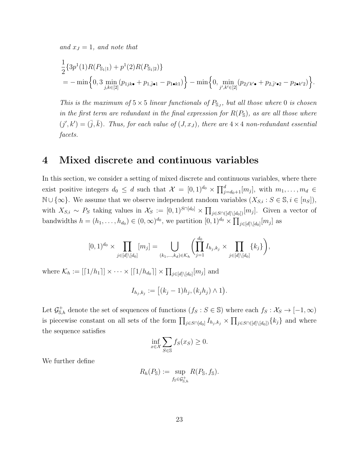and  $x_J = 1$ , and note that

$$
\frac{1}{2} \{3p^{1}(1)R(P_{\mathbb{S}_{1}|1}) + p^{1}(2)R(P_{\mathbb{S}_{1}|2})\}
$$
\n
$$
= -\min\Big\{0, 3\min_{j,k\in[2]}(p_{1jk\bullet} + p_{1,\bar{j}\bullet 1} - p_{1\bullet k1})\Big\} - \min\Big\{0, \min_{j',k'\in[2]}(p_{2j'k'\bullet} + p_{2,\bar{j}'\bullet 2} - p_{2\bullet k'2})\Big\}.
$$

This is the maximum of  $5 \times 5$  linear functionals of  $P_{\mathbb{S}_J}$ , but all those where 0 is chosen in the first term are redundant in the final expression for  $R(P_{\rm S})$ , as are all those where  $(j', k') = (\bar{j}, \bar{k})$ . Thus, for each value of  $(J, x_J)$ , there are  $4 \times 4$  non-redundant essential facets.

### <span id="page-22-0"></span>4 Mixed discrete and continuous variables

In this section, we consider a setting of mixed discrete and continuous variables, where there exist positive integers  $d_0 \leq d$  such that  $\mathcal{X} = [0,1)^{d_0} \times \prod_{j=d_0+1}^{d} [m_j]$ , with  $m_1, \ldots, m_d \in$  $\mathbb{N} \cup \{\infty\}$ . We assume that we observe independent random variables  $(X_{S,i} : S \in \mathbb{S}, i \in [n_S]),$ with  $X_{S,i} \sim P_S$  taking values in  $\mathcal{X}_S := [0,1)^{S \cap [d_0]} \times \prod_{j \in S \cap ([d] \setminus [d_0])} [m_j]$ . Given a vector of bandwidths  $h = (h_1, \ldots, h_{d_0}) \in (0, \infty)^{d_0}$ , we partition  $[0, 1)^{d_0} \times \prod_{j \in [d] \setminus [d_0]} [m_j]$  as

$$
[0,1)^{d_0} \times \prod_{j \in [d] \setminus [d_0]} [m_j] = \bigcup_{(k_1,\dots,k_d) \in \mathcal{K}_h} \left( \prod_{j=1}^{d_0} I_{h_j,k_j} \times \prod_{j \in [d] \setminus [d_0]} \{k_j\} \right),
$$

where  $\mathcal{K}_h := [[1/h_1]] \times \cdots \times [[1/h_{d_0}]] \times \prod_{j \in [d] \setminus [d_0]} [m_j]$  and

$$
I_{h_j,k_j} := [(k_j - 1)h_j, (k_j h_j) \wedge 1).
$$

Let  $\mathcal{G}_{\mathbb{S},h}^+$  denote the set of sequences of functions  $(f_S : S \in \mathbb{S})$  where each  $f_S : \mathcal{X}_S \to [-1,\infty)$ is piecewise constant on all sets of the form  $\prod_{j\in S\cap[d_0]} I_{h_j,k_j} \times \prod_{j\in S\cap([d]\setminus[d_0])} \{k_j\}$  and where the sequence satisfies

$$
\inf_{x \in \mathcal{X}} \sum_{S \in \mathcal{S}} f_S(x_S) \ge 0.
$$

We further define

$$
R_h(P_{\mathbb{S}}) := \sup_{f_{\mathbb{S}} \in \mathcal{G}^+_{\mathbb{S},h}} R(P_{\mathbb{S}}, f_{\mathbb{S}}).
$$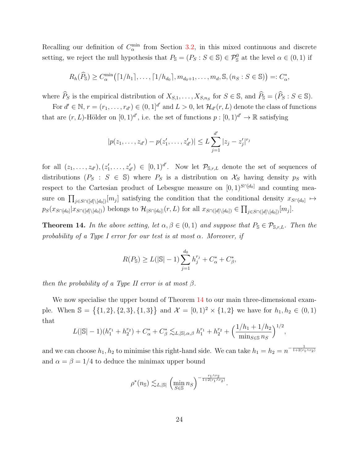Recalling our definition of  $C_{\alpha}^{\min}$  from Section [3.2,](#page-9-1) in this mixed continuous and discrete setting, we reject the null hypothesis that  $P_{\mathbb{S}} = (P_S : S \in \mathbb{S}) \in \mathcal{P}_{\mathbb{S}}^0$  at the level  $\alpha \in (0,1)$  if

$$
R_h(\widehat{P}_{\mathbb{S}}) \geq C_{\alpha}^{\min}([1/h_1], \ldots, [1/h_{d_0}], m_{d_0+1}, \ldots, m_d, \mathbb{S}, (n_S : S \in \mathbb{S})) =: C_{\alpha}^*,
$$

where  $\widehat{P}_S$  is the empirical distribution of  $X_{S,1}, \ldots, X_{S,n_S}$  for  $S \in \mathbb{S}$ , and  $\widehat{P}_S = (\widehat{P}_S : S \in \mathbb{S})$ .

For  $d' \in \mathbb{N}$ ,  $r = (r_1, \ldots, r_{d'}) \in (0, 1]^{d'}$  and  $L > 0$ , let  $\mathcal{H}_{d'}(r, L)$  denote the class of functions that are  $(r, L)$ -Hölder on  $[0, 1)^{d'}$ , i.e. the set of functions  $p : [0, 1)^{d'} \to \mathbb{R}$  satisfying

$$
|p(z_1,\ldots,z_{d'})-p(z'_1,\ldots,z'_{d'})|\leq L\sum_{j=1}^{d'}|z_j-z'_j|^{r_j}
$$

for all  $(z_1,\ldots,z_{d'}), (z'_1,\ldots,z'_{d'}) \in [0,1)^{d'}$ . Now let  $\mathcal{P}_{\mathbb{S},r,L}$  denote the set of sequences of distributions  $(P_S : S \in \mathbb{S})$  where  $P_S$  is a distribution on  $\mathcal{X}_S$  having density  $p_S$  with respect to the Cartesian product of Lebesgue measure on  $[0, 1)^{S \cap [d_0]}$  and counting measure on  $\prod_{j\in S\cap([d]\setminus [d_0])}[m_j]$  satisfying the condition that the conditional density  $x_{S\cap [d_0]} \mapsto$  $p_S(x_{S\cap[d_0]}|x_{S\cap([d]\setminus[d_0])})$  belongs to  $\mathcal{H}_{|S\cap[d_0]|}(r,L)$  for all  $x_{S\cap([d]\setminus[d_0])}\in \prod_{j\in S\cap([d]\setminus[d_0])}[m_j]$ .

<span id="page-23-0"></span>**Theorem 14.** In the above setting, let  $\alpha, \beta \in (0, 1)$  and suppose that  $P_{\mathbb{S}} \in \mathcal{P}_{\mathbb{S}, r, L}$ . Then the probability of a Type I error for our test is at most  $\alpha$ . Moreover, if

$$
R(P_{\mathbb{S}}) \ge L(|\mathbb{S}| - 1) \sum_{j=1}^{d_0} h_j^{r_j} + C_{\alpha}^* + C_{\beta}^*,
$$

then the probability of a Type II error is at most  $\beta$ .

We now specialise the upper bound of Theorem [14](#page-23-0) to our main three-dimensional example. When  $\mathbb{S} = \{ \{1, 2\}, \{2, 3\}, \{1, 3\} \}$  and  $\mathcal{X} = [0, 1)^2 \times \{1, 2\}$  we have for  $h_1, h_2 \in (0, 1)$ that

$$
L(|\mathbb{S}|-1)(h_1^{r_1}+h_2^{r_2})+C^*_{\alpha}+C^*_{\beta}\lesssim_{L,|\mathbb{S}|,\alpha,\beta}h_1^{r_1}+h_2^{r_2}+\Big(\frac{1/h_1+1/h_2}{\min_{S\in\mathbb{S}}n_S}\Big)^{1/2},
$$

and we can choose  $h_1, h_2$  to minimise this right-hand side. We can take  $h_1 = h_2 = n^{-\frac{1}{1+2(r_1 \wedge r_2)}}$ and  $\alpha = \beta = 1/4$  to deduce the minimax upper bound

$$
\rho^*(n_{\mathbb{S}}) \lesssim_{L, |\mathbb{S}|} \left( \min_{S \in \mathbb{S}} n_S \right)^{-\frac{r_1 \wedge r_2}{1 + 2(r_1 \wedge r_2)}}.
$$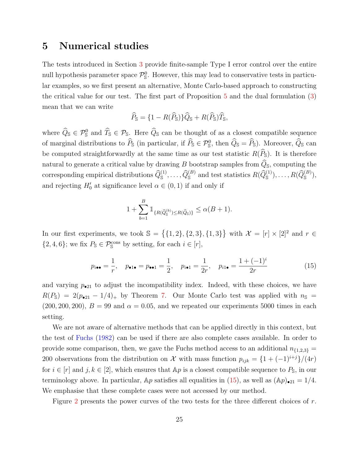### <span id="page-24-0"></span>5 Numerical studies

The tests introduced in Section [3](#page-6-0) provide finite-sample Type I error control over the entire null hypothesis parameter space  $\mathcal{P}_{S}^{0}$ . However, this may lead to conservative tests in particular examples, so we first present an alternative, Monte Carlo-based approach to constructing the critical value for our test. The first part of Proposition [5](#page-10-0) and the dual formulation [\(3\)](#page-7-2) mean that we can write

$$
\widehat{P}_{\mathbb{S}} = \{1 - R(\widehat{P}_{\mathbb{S}})\}\widehat{Q}_{\mathbb{S}} + R(\widehat{P}_{\mathbb{S}})\widehat{T}_{\mathbb{S}},
$$

where  $\hat{Q}_{\mathcal{S}} \in \mathcal{P}_{\mathcal{S}}^0$  and  $\hat{T}_{\mathcal{S}} \in \mathcal{P}_{\mathcal{S}}$ . Here  $\hat{Q}_{\mathcal{S}}$  can be thought of as a closest compatible sequence of marginal distributions to  $\hat{P}_{\mathbb{S}}$  (in particular, if  $\hat{P}_{\mathbb{S}} \in \mathcal{P}_{\mathbb{S}}^0$ , then  $\hat{Q}_{\mathbb{S}} = \hat{P}_{\mathbb{S}}$ ). Moreover,  $\hat{Q}_{\mathbb{S}}$  can be computed straightforwardly at the same time as our test statistic  $R(\widehat{P}_s)$ . It is therefore natural to generate a critical value by drawing B bootstrap samples from  $\widehat{Q}_{\mathbb{S}}$ , computing the corresponding empirical distributions  $\widehat{Q}_{\mathbb{S}}^{(1)}, \ldots, \widehat{Q}_{\mathbb{S}}^{(B)}$  and test statistics  $R(\widehat{Q}_{\mathbb{S}}^{(1)}), \ldots, R(\widehat{Q}_{\mathbb{S}}^{(B)}),$ and rejecting  $H'_0$  at significance level  $\alpha \in (0,1)$  if and only if

$$
1 + \sum_{b=1}^{B} \mathbb{1}_{\{R(\widehat{Q}_{\mathbb{S}}^{(b)}) \le R(\widehat{Q}_{\mathbb{S}})\}} \le \alpha(B+1).
$$

In our first experiments, we took  $\mathbb{S} = \{ \{1,2\}, \{2,3\}, \{1,3\} \}$  with  $\mathcal{X} = [r] \times [2]^2$  and  $r \in \mathbb{S}$  $\{2, 4, 6\}$ ; we fix  $P_{\mathbb{S}} \in \mathcal{P}_{\mathbb{S}}^{\text{cons}}$  by setting, for each  $i \in [r]$ ,

<span id="page-24-1"></span>
$$
p_{i\bullet\bullet} = \frac{1}{r}, \quad p_{\bullet 1\bullet} = p_{\bullet\bullet 1} = \frac{1}{2}, \quad p_{i\bullet 1} = \frac{1}{2r}, \quad p_{i1\bullet} = \frac{1 + (-1)^i}{2r} \tag{15}
$$

and varying  $p_{\bullet 21}$  to adjust the incompatibility index. Indeed, with these choices, we have  $R(P_{\rm s}) = 2(p_{\bullet 21} - 1/4)_{+}$  by Theorem [7.](#page-12-0) Our Monte Carlo test was applied with  $n_{\rm s}$  $(200, 200, 200), B = 99$  and  $\alpha = 0.05$ , and we repeated our experiments 5000 times in each setting.

We are not aware of alternative methods that can be applied directly in this context, but the test of [Fuchs](#page-62-2) [\(1982\)](#page-62-2) can be used if there are also complete cases available. In order to provide some comparison, then, we gave the Fuchs method access to an additional  $n_{\{1,2,3\}} =$ 200 observations from the distribution on X with mass function  $p_{ijk} = \{1 + (-1)^{i+j}\}/(4r)$ for  $i \in [r]$  and  $j, k \in [2]$ , which ensures that  $Ap$  is a closest compatible sequence to  $P_{\mathbb{S}}$ , in our terminology above. In particular, Ap satisfies all equalities in [\(15\)](#page-24-1), as well as  $(\mathbb{A}p)_{\bullet 21} = 1/4$ . We emphasise that these complete cases were not accessed by our method.

Figure  $2$  presents the power curves of the two tests for the three different choices of  $r$ .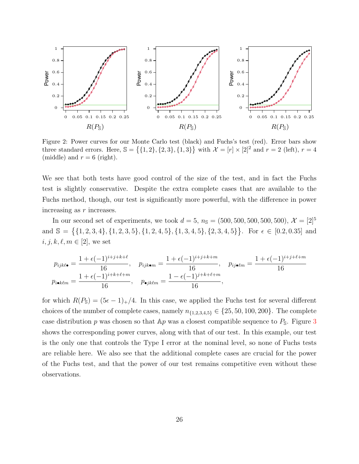<span id="page-25-0"></span>

Figure 2: Power curves for our Monte Carlo test (black) and Fuchs's test (red). Error bars show three standard errors. Here,  $S = \{ \{1, 2\}, \{2, 3\}, \{1, 3\} \}$  with  $\mathcal{X} = [r] \times [2]^2$  and  $r = 2$  (left),  $r = 4$ (middle) and  $r = 6$  (right).

We see that both tests have good control of the size of the test, and in fact the Fuchs test is slightly conservative. Despite the extra complete cases that are available to the Fuchs method, though, our test is significantly more powerful, with the difference in power increasing as r increases.

In our second set of experiments, we took  $d = 5$ ,  $n_s = (500, 500, 500, 500, 500)$ ,  $\mathcal{X} = [2]^5$ and  $\mathbb{S} = \{ \{1, 2, 3, 4\}, \{1, 2, 3, 5\}, \{1, 2, 4, 5\}, \{1, 3, 4, 5\}, \{2, 3, 4, 5\} \}$ . For  $\epsilon \in [0.2, 0.35]$  and  $i, j, k, \ell, m \in [2]$ , we set

$$
p_{ijk\ell\bullet} = \frac{1 + \epsilon(-1)^{i+j+k+\ell}}{16}, \quad p_{ijk\bullet m} = \frac{1 + \epsilon(-1)^{i+j+k+m}}{16}, \quad p_{ij\bullet\ell m} = \frac{1 + \epsilon(-1)^{i+j+\ell+m}}{16}
$$

$$
p_{i\bullet k\ell m} = \frac{1 + \epsilon(-1)^{i+k+\ell+m}}{16}, \quad p_{\bullet jk\ell m} = \frac{1 - \epsilon(-1)^{j+k+\ell+m}}{16},
$$

for which  $R(P_{\rm s}) = (5\epsilon - 1)_{+}/4$ . In this case, we applied the Fuchs test for several different choices of the number of complete cases, namely  $n_{\{1,2,3,4,5\}} \in \{25,50,100,200\}$ . The complete case distribution p was chosen so that  $Ap$  was a closest compatible sequence to  $P_s$ . Figure [3](#page-26-1) shows the corresponding power curves, along with that of our test. In this example, our test is the only one that controls the Type I error at the nominal level, so none of Fuchs tests are reliable here. We also see that the additional complete cases are crucial for the power of the Fuchs test, and that the power of our test remains competitive even without these observations.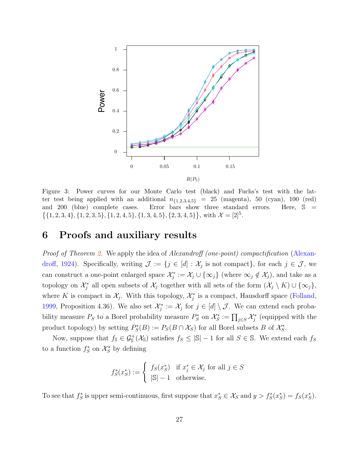<span id="page-26-1"></span>

Figure 3: Power curves for our Monte Carlo test (black) and Fuchs's test with the latter test being applied with an additional  $n_{\{1,2,3,4,5\}} = 25$  (magenta), 50 (cyan), 100 (red) and 200 (blue) complete cases. Error bars show three standard errors. Here,  $\mathbb{S}$  =  $\{\{1, 2, 3, 4\}, \{1, 2, 3, 5\}, \{1, 2, 4, 5\}, \{1, 3, 4, 5\}, \{2, 3, 4, 5\}\}\$ , with  $\mathcal{X} = [2]^5$ .

### <span id="page-26-0"></span>6 Proofs and auxiliary results

Proof of Theorem [2.](#page-7-0) We apply the idea of Alexandroff (one-point) compactification [\(Alexan](#page-60-7)[droff,](#page-60-7) [1924\)](#page-60-7). Specifically, writing  $\mathcal{J} := \{j \in [d] : \mathcal{X}_j \text{ is not compact}\},\$  for each  $j \in \mathcal{J}$ , we can construct a one-point enlarged space  $\mathcal{X}_j^* := \mathcal{X}_j \cup \{\infty_j\}$  (where  $\infty_j \notin \mathcal{X}_j$ ), and take as a topology on  $\mathcal{X}_j^*$  all open subsets of  $\mathcal{X}_j$  together with all sets of the form  $(\mathcal{X}_j \setminus K) \cup \{\infty_j\},$ where K is compact in  $\mathcal{X}_j$ . With this topology,  $\mathcal{X}_j^*$  is a compact, Hausdorff space [\(Folland,](#page-62-13) [1999,](#page-62-13) Proposition 4.36). We also set  $\mathcal{X}_j^* := \mathcal{X}_j$  for  $j \in [d] \setminus \mathcal{J}$ . We can extend each probability measure  $P_S$  to a Borel probability measure  $P_S^*$  on  $\mathcal{X}_S^* := \prod_{j \in S} \mathcal{X}_j^*$  (equipped with the product topology) by setting  $P_S^*(B) := P_S(B \cap \mathcal{X}_S)$  for all Borel subsets B of  $\mathcal{X}_S^*$ .

Now, suppose that  $f_{\mathbb{S}} \in \mathcal{G}_{\mathbb{S}}^+(\mathcal{X}_{\mathbb{S}})$  satisfies  $f_S \leq |\mathbb{S}| - 1$  for all  $S \in \mathbb{S}$ . We extend each  $f_S$ to a function  $f_S^*$  on  $\mathcal{X}_S^*$  by defining

$$
f_S^*(x_S^*) := \begin{cases} f_S(x_S^*) & \text{if } x_j^* \in \mathcal{X}_j \text{ for all } j \in S \\ |\mathbb{S}|-1 & \text{otherwise.} \end{cases}
$$

To see that  $f_S^*$  is upper semi-continuous, first suppose that  $x_S^* \in \mathcal{X}_S$  and  $y > f_S^*(x_S^*) = f_S(x_S^*)$ .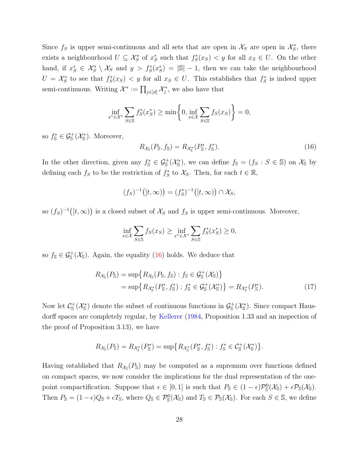Since  $f_s$  is upper semi-continuous and all sets that are open in  $\mathcal{X}_s$  are open in  $\mathcal{X}_s^*$ , there exists a neighbourhood  $U \subseteq \mathcal{X}_{S}^{*}$  of  $x_{S}^{*}$  such that  $f_{S}^{*}(x_{S}) < y$  for all  $x_{S} \in U$ . On the other hand, if  $x_S^* \in \mathcal{X}_S^* \setminus \mathcal{X}_S$  and  $y > f_S^*(x_S^*) = |\mathbb{S}|-1$ , then we can take the neighbourhood  $U = \mathcal{X}_{S}^{*}$  to see that  $f_{S}^{*}(x_{S}) < y$  for all  $x_{S} \in U$ . This establishes that  $f_{S}^{*}$  is indeed upper semi-continuous. Writing  $\mathcal{X}^* := \prod_{j \in [d]} \mathcal{X}_j^*$ , we also have that

$$
\inf_{x^* \in \mathcal{X}^*} \sum_{S \in \mathcal{S}} f_S^*(x_S^*) \ge \min \left\{ 0, \inf_{x \in \mathcal{X}} \sum_{S \in \mathcal{S}} f_S(x_S) \right\} = 0,
$$

so  $f_{\mathbb{S}}^* \in \mathcal{G}_{\mathbb{S}}^+(\mathcal{X}_{\mathbb{S}}^*)$ . Moreover,

<span id="page-27-0"></span>
$$
R_{\mathcal{X}_{\mathbb{S}}}(P_{\mathbb{S}}, f_{\mathbb{S}}) = R_{\mathcal{X}_{\mathbb{S}}^*}(P_{\mathbb{S}}^*, f_{\mathbb{S}}^*).
$$
\n(16)

In the other direction, given any  $f_{\mathbb{S}}^* \in \mathcal{G}_{\mathbb{S}}^+(\mathcal{X}_{\mathbb{S}}^*)$ , we can define  $f_{\mathbb{S}} = (f_S : S \in \mathbb{S})$  on  $\mathcal{X}_{\mathbb{S}}$  by defining each  $f_s$  to be the restriction of  $f_s^*$  to  $\mathcal{X}_s$ . Then, for each  $t \in \mathbb{R}$ ,

$$
(f_S)^{-1}([t, \infty)) = (f_S^*)^{-1}([t, \infty)) \cap \mathcal{X}_S,
$$

so  $(f_S)^{-1}([t,\infty))$  is a closed subset of  $\mathcal{X}_S$  and  $f_S$  is upper semi-continuous. Moreover,

<span id="page-27-1"></span>
$$
\inf_{x \in \mathcal{X}} \sum_{S \in \mathcal{S}} f_S(x_S) \ge \inf_{x^* \in \mathcal{X}^*} \sum_{S \in \mathcal{S}} f_S^*(x_S^*) \ge 0,
$$

so  $f_{\mathbb{S}} \in \mathcal{G}_{\mathbb{S}}^+(\mathcal{X}_{\mathbb{S}})$ . Again, the equality [\(16\)](#page-27-0) holds. We deduce that

$$
R_{\mathcal{X}_{\mathbb{S}}}(P_{\mathbb{S}}) = \sup \{ R_{\mathcal{X}_{\mathbb{S}}}(P_{\mathbb{S}}, f_{\mathbb{S}}) : f_{\mathbb{S}} \in \mathcal{G}_{\mathbb{S}}^+(\mathcal{X}_{\mathbb{S}}) \}
$$
  
= 
$$
\sup \{ R_{\mathcal{X}_{\mathbb{S}}^*}(P_{\mathbb{S}}^*, f_{\mathbb{S}}^*) : f_{\mathbb{S}}^* \in \mathcal{G}_{\mathbb{S}}^+(\mathcal{X}_{\mathbb{S}}^*) \} = R_{\mathcal{X}_{\mathbb{S}}^*}(P_{\mathbb{S}}^*).
$$
 (17)

Now let  $\mathcal{C}_{\mathbb{S}}^+(\mathcal{X}_{\mathbb{S}}^*)$  denote the subset of continuous functions in  $\mathcal{G}_{\mathbb{S}}^+(\mathcal{X}_{\mathbb{S}}^*)$ . Since compact Hausdorff spaces are completely regular, by [Kellerer](#page-62-1) [\(1984,](#page-62-1) Proposition 1.33 and an inspection of the proof of Proposition 3.13), we have

$$
R_{\mathcal{X}_{\mathbb{S}}}(P_{\mathbb{S}})=R_{\mathcal{X}_{\mathbb{S}}^*}(P_{\mathbb{S}}^*)=\sup\big\{R_{\mathcal{X}_{\mathbb{S}}^*}(P_{\mathbb{S}}^*,f_{\mathbb{S}}^*) : f_{\mathbb{S}}^*\in\mathcal{C}_{\mathbb{S}}^+(\mathcal{X}_{\mathbb{S}}^*)\big\}.
$$

Having established that  $R_{\mathcal{X}_{\mathbb{S}}}(P_{\mathbb{S}})$  may be computed as a supremum over functions defined on compact spaces, we now consider the implications for the dual representation of the onepoint compactification. Suppose that  $\epsilon \in [0,1]$  is such that  $P_{\mathbb{S}} \in (1-\epsilon)\mathcal{P}_{\mathbb{S}}^0(\mathcal{X}_{\mathbb{S}}) + \epsilon \mathcal{P}_{\mathbb{S}}(\mathcal{X}_{\mathbb{S}})$ . Then  $P_{\mathbb{S}} = (1 - \epsilon)Q_{\mathbb{S}} + \epsilon T_{\mathbb{S}}$ , where  $Q_{\mathbb{S}} \in \mathcal{P}_{\mathbb{S}}(\mathcal{X}_{\mathbb{S}})$  and  $T_{\mathbb{S}} \in \mathcal{P}_{\mathbb{S}}(\mathcal{X}_{\mathbb{S}})$ . For each  $S \in \mathbb{S}$ , we define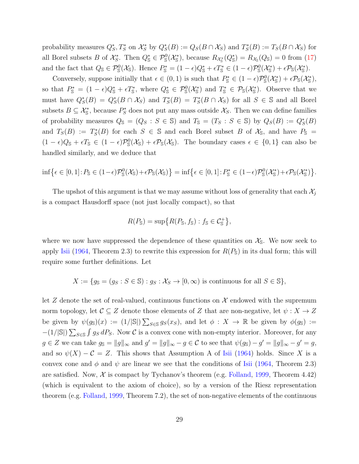probability measures  $Q_S^*, T_S^*$  on  $\mathcal{X}_S^*$  by  $Q_S^*(B) := Q_S(B \cap \mathcal{X}_S)$  and  $T_S^*(B) := T_S(B \cap \mathcal{X}_S)$  for all Borel subsets B of  $\mathcal{X}_{\mathcal{S}}^*$ . Then  $Q_{\mathcal{S}}^* \in \mathcal{P}_{\mathcal{S}}^0(\mathcal{X}_{\mathcal{S}}^*)$ , because  $R_{\mathcal{X}_{\mathcal{S}}^*}(Q_{\mathcal{S}}^*) = R_{\mathcal{X}_{\mathcal{S}}}(Q_{\mathcal{S}}) = 0$  from [\(17\)](#page-27-1) and the fact that  $Q_{\mathbb{S}} \in \mathcal{P}_{\mathbb{S}}^0(\mathcal{X}_{\mathbb{S}})$ . Hence  $P_{\mathbb{S}}^* = (1 - \epsilon)Q_{\mathbb{S}}^* + \epsilon T_{\mathbb{S}}^* \in (1 - \epsilon)\mathcal{P}_{\mathbb{S}}^0(\mathcal{X}_{\mathbb{S}}^*) + \epsilon \mathcal{P}_{\mathbb{S}}(\mathcal{X}_{\mathbb{S}}^*)$ .

Conversely, suppose initially that  $\epsilon \in (0,1)$  is such that  $P_s^* \in (1-\epsilon)P_s^0(\mathcal{X}_s^*) + \epsilon P_s(\mathcal{X}_s^*),$ so that  $P_{\mathcal{S}}^* = (1 - \epsilon)Q_{\mathcal{S}}^* + \epsilon T_{\mathcal{S}}^*$ , where  $Q_{\mathcal{S}}^* \in \mathcal{P}_{\mathcal{S}}(\mathcal{X}_{\mathcal{S}}^*)$  and  $T_{\mathcal{S}}^* \in \mathcal{P}_{\mathcal{S}}(\mathcal{X}_{\mathcal{S}}^*)$ . Observe that we must have  $Q^*_S(B) = Q^*_S(B \cap \mathcal{X}_S)$  and  $T^*_S(B) = T^*_S(B \cap \mathcal{X}_S)$  for all  $S \in \mathbb{S}$  and all Borel subsets  $B \subseteq \mathcal{X}_{\mathbb{S}}^*$ , because  $P_S^*$  does not put any mass outside  $\mathcal{X}_S$ . Then we can define families of probability measures  $Q_{\mathbb{S}} = (Q_S : S \in \mathbb{S})$  and  $T_{\mathbb{S}} = (T_S : S \in \mathbb{S})$  by  $Q_S(B) := Q_S^*(B)$ and  $T_S(B) := T_S^*(B)$  for each  $S \in \mathbb{S}$  and each Borel subset B of  $\mathcal{X}_S$ , and have  $P_S =$  $(1 - \epsilon)Q_s + \epsilon T_s \in (1 - \epsilon)\mathcal{P}_s^0(\mathcal{X}_s) + \epsilon \mathcal{P}_s(\mathcal{X}_s)$ . The boundary cases  $\epsilon \in \{0, 1\}$  can also be handled similarly, and we deduce that

$$
\inf \big\{ \epsilon \in [0,1] : P_{\mathbb{S}} \in (1-\epsilon) \mathcal{P}_{\mathbb{S}}^0(\mathcal{X}_{\mathbb{S}}) + \epsilon \mathcal{P}_{\mathbb{S}}(\mathcal{X}_{\mathbb{S}}) \big\} = \inf \big\{ \epsilon \in [0,1] : P_{\mathbb{S}}^* \in (1-\epsilon) \mathcal{P}_{\mathbb{S}}^0(\mathcal{X}_{\mathbb{S}}^*) + \epsilon \mathcal{P}_{\mathbb{S}}(\mathcal{X}_{\mathbb{S}}^*) \big\}.
$$

The upshot of this argument is that we may assume without loss of generality that each  $\mathcal{X}_j$ is a compact Hausdorff space (not just locally compact), so that

$$
R(P_{\mathbb{S}}) = \sup\{R(P_{\mathbb{S}}, f_{\mathbb{S}}) : f_{\mathbb{S}} \in C_{\mathbb{S}}^{+}\},
$$

where we now have suppressed the dependence of these quantities on  $\mathcal{X}_{S}$ . We now seek to apply [Isii](#page-62-9) [\(1964,](#page-62-9) Theorem 2.3) to rewrite this expression for  $R(P<sub>s</sub>)$  in its dual form; this will require some further definitions. Let

$$
X := \{ g_{\mathbb{S}} = (g_S : S \in \mathbb{S}) : g_S : \mathcal{X}_S \to [0, \infty) \text{ is continuous for all } S \in \mathbb{S} \},
$$

let Z denote the set of real-valued, continuous functions on  $\mathcal X$  endowed with the supremum norm topology, let  $C \subseteq Z$  denote those elements of Z that are non-negative, let  $\psi : X \to Z$ be given by  $\psi(g_{\mathbb{S}})(x) := (1/|\mathbb{S}|) \sum_{S \in \mathbb{S}} g_S(x_S)$ , and let  $\phi : X \to \mathbb{R}$  be given by  $\phi(g_{\mathbb{S}}) :=$  $-(1/|\mathbb{S}|)\sum_{S\in\mathbb{S}}\int g_S dP_S$ . Now C is a convex cone with non-empty interior. Moreover, for any  $g \in \mathbb{Z}$  we can take  $g_{\mathbb{S}} = ||g||_{\infty}$  and  $g' = ||g||_{\infty} - g \in \mathcal{C}$  to see that  $\psi(g_{\mathbb{S}}) - g' = ||g||_{\infty} - g' = g$ , and so  $\psi(X) - C = Z$ . This shows that Assumption A of [Isii](#page-62-9) [\(1964\)](#page-62-9) holds. Since X is a convex cone and  $\phi$  and  $\psi$  are linear we see that the conditions of [Isii](#page-62-9) [\(1964,](#page-62-9) Theorem 2.3) are satisfied. Now,  $\mathcal X$  is compact by Tychanov's theorem (e.g. [Folland,](#page-62-13) [1999,](#page-62-13) Theorem 4.42) (which is equivalent to the axiom of choice), so by a version of the Riesz representation theorem (e.g. [Folland,](#page-62-13) [1999,](#page-62-13) Theorem 7.2), the set of non-negative elements of the continuous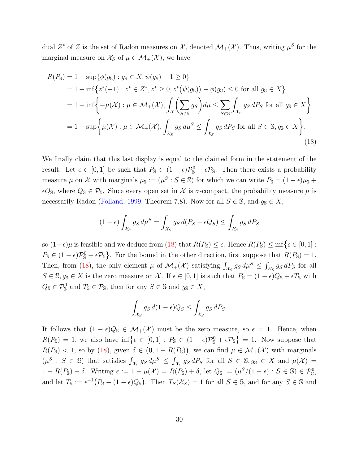dual  $Z^*$  of Z is the set of Radon measures on  $\mathcal{X}$ , denoted  $\mathcal{M}_+(\mathcal{X})$ . Thus, writing  $\mu^S$  for the marginal measure on  $\mathcal{X}_S$  of  $\mu \in \mathcal{M}_+(\mathcal{X})$ , we have

$$
R(P_{\mathbb{S}}) = 1 + \sup \{ \phi(g_{\mathbb{S}}) : g_{\mathbb{S}} \in X, \psi(g_{\mathbb{S}}) - 1 \ge 0 \}
$$
  
= 1 + inf {z<sup>\*</sup>(-1) : z<sup>\*</sup> ∈ Z<sup>\*</sup>, z<sup>\*</sup> ≥ 0, z<sup>\*</sup>(\psi(g\_{\mathbb{S}})) + \phi(g\_{\mathbb{S}}) ≤ 0 for all g\_{\mathbb{S}} ∈ X }  
= 1 + inf {-\mu(X) : \mu ∈ \mathcal{M}\_+(X), \int\_X (\sum\_{S \in \mathbb{S}} g\_S) d\mu \le \sum\_{S \in \mathbb{S}} \int\_{X\_S} g\_S dP\_S \text{ for all } g\_{\mathbb{S}} \in X }  
= 1 - \sup \{ \mu(X) : \mu ∈ \mathcal{M}\_+(X), \int\_{X\_S} g\_S d\mu^S \le \int\_{X\_S} g\_S dP\_S \text{ for all } S \in \mathbb{S}, g\_{\mathbb{S}} \in X \}. (18)

We finally claim that this last display is equal to the claimed form in the statement of the result. Let  $\epsilon \in [0,1]$  be such that  $P_{\mathbb{S}} \in (1-\epsilon)\mathcal{P}_{\mathbb{S}}^0 + \epsilon \mathcal{P}_{\mathbb{S}}$ . Then there exists a probability measure  $\mu$  on X with marginals  $\mu_{\mathbb{S}} := (\mu^S : S \in \mathbb{S})$  for which we can write  $P_{\mathbb{S}} = (1 - \epsilon)\mu_{\mathbb{S}} +$  $\epsilon Q_{\rm s}$ , where  $Q_{\rm s} \in \mathcal{P}_{\rm s}$ . Since every open set in X is  $\sigma$ -compact, the probability measure  $\mu$  is necessarily Radon [\(Folland,](#page-62-13) [1999,](#page-62-13) Theorem 7.8). Now for all  $S \in \mathbb{S}$ , and  $g_{\mathbb{S}} \in X$ ,

<span id="page-29-0"></span>
$$
(1 - \epsilon) \int_{\mathcal{X}_S} g_S \, d\mu^S = \int_{\mathcal{X}_S} g_S \, d(P_S - \epsilon Q_S) \le \int_{\mathcal{X}_S} g_S \, dP_S
$$

so  $(1-\epsilon)\mu$  is feasible and we deduce from  $(18)$  that  $R(P_{\mathbb{S}}) \leq \epsilon$ . Hence  $R(P_{\mathbb{S}}) \leq \inf \{\epsilon \in [0,1]:$  $P_{\mathbb{S}} \in (1 - \epsilon)\mathcal{P}_{\mathbb{S}}^0 + \epsilon \mathcal{P}_{\mathbb{S}}$ . For the bound in the other direction, first suppose that  $R(P_{\mathbb{S}}) = 1$ . Then, from [\(18\)](#page-29-0), the only element  $\mu$  of  $\mathcal{M}_+(\mathcal{X})$  satisfying  $\int_{\mathcal{X}_S} g_S d\mu^S \leq \int_{\mathcal{X}_S} g_S dP_S$  for all  $S \in \mathbb{S}, g_{\mathbb{S}} \in X$  is the zero measure on X. If  $\epsilon \in [0, 1]$  is such that  $P_{\mathbb{S}} = (1 - \epsilon)Q_{\mathbb{S}} + \epsilon T_{\mathbb{S}}$  with  $Q_{\mathbb{S}} \in \mathcal{P}_{\mathbb{S}}^0$  and  $T_{\mathbb{S}} \in \mathcal{P}_{\mathbb{S}}$ , then for any  $S \in \mathbb{S}$  and  $g_{\mathbb{S}} \in X$ ,

$$
\int_{\mathcal{X}_S} g_S d(1 - \epsilon) Q_S \le \int_{\mathcal{X}_S} g_S dP_S.
$$

It follows that  $(1 - \epsilon)Q_s \in \mathcal{M}_+(\mathcal{X})$  must be the zero measure, so  $\epsilon = 1$ . Hence, when  $R(P_{\mathbb{S}}) = 1$ , we also have  $\inf \{ \epsilon \in [0,1] : P_{\mathbb{S}} \in (1-\epsilon)\mathcal{P}_{\mathbb{S}}^0 + \epsilon \mathcal{P}_{\mathbb{S}} \} = 1$ . Now suppose that  $R(P_{\mathbb{S}}) < 1$ , so by [\(18\)](#page-29-0), given  $\delta \in (0, 1 - R(P_{\mathbb{S}}))$ , we can find  $\mu \in \mathcal{M}_{+}(\mathcal{X})$  with marginals  $(\mu^S : S \in \mathbb{S})$  that satisfies  $\int_{\mathcal{X}_S} g_S d\mu^S \leq \int_{\mathcal{X}_S} g_S dP_S$  for all  $S \in \mathbb{S}, g_{\mathbb{S}} \in X$  and  $\mu(\mathcal{X}) =$  $1 - R(P_{\mathbb{S}}) - \delta$ . Writing  $\epsilon := 1 - \mu(\mathcal{X}) = R(P_{\mathbb{S}}) + \delta$ , let  $Q_{\mathbb{S}} := (\mu^S/(1 - \epsilon) : S \in \mathbb{S}) \in \mathcal{P}_{\mathbb{S}}^0$ , and let  $T_s := \epsilon^{-1}(P_s - (1 - \epsilon)Q_s)$ . Then  $T_s(\mathcal{X}_s) = 1$  for all  $S \in \mathbb{S}$ , and for any  $S \in \mathbb{S}$  and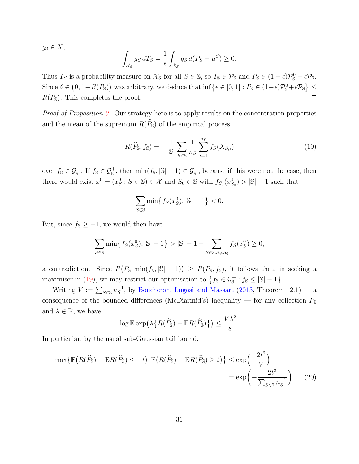$$
g_{\mathbb{S}} \in X,
$$
  

$$
\int_{\mathcal{X}_S} g_S dT_S = \frac{1}{\epsilon} \int_{\mathcal{X}_S} g_S d(P_S - \mu^S) \ge 0.
$$

Thus  $T_S$  is a probability measure on  $\mathcal{X}_S$  for all  $S \in \mathbb{S}$ , so  $T_S \in \mathcal{P}_S$  and  $P_S \in (1 - \epsilon)\mathcal{P}_S^0 + \epsilon \mathcal{P}_S$ . Since  $\delta \in (0, 1-R(P_{\mathbb{S}}))$  was arbitrary, we deduce that  $\inf \{\epsilon \in [0, 1] : P_{\mathbb{S}} \in (1-\epsilon)\mathcal{P}_{\mathbb{S}}^0 + \epsilon \mathcal{P}_{\mathbb{S}}\}\leq$  $\Box$  $R(P_{\rm S})$ . This completes the proof.

Proof of Proposition [3.](#page-8-0) Our strategy here is to apply results on the concentration properties and the mean of the supremum  $R(\widehat{P}_s)$  of the empirical process

<span id="page-30-0"></span>
$$
R(\widehat{P}_{\mathbb{S}}, f_{\mathbb{S}}) = -\frac{1}{|\mathbb{S}|} \sum_{S \in \mathbb{S}} \frac{1}{n_S} \sum_{i=1}^{n_S} f_S(X_{S,i})
$$
(19)

over  $f_{\mathbb{S}} \in \mathcal{G}_{\mathbb{S}}^+$ . If  $f_{\mathbb{S}} \in \mathcal{G}_{\mathbb{S}}^+$ , then  $\min(f_{\mathbb{S}}, |\mathbb{S}|-1) \in \mathcal{G}_{\mathbb{S}}^+$ , because if this were not the case, then there would exist  $x^0 = (x_S^0 : S \in \mathbb{S}) \in \mathcal{X}$  and  $S_0 \in \mathbb{S}$  with  $f_{S_0}(x_{S_0}^0) > |\mathbb{S}| - 1$  such that

$$
\sum_{S \in \mathbb{S}} \min \left\{ f_S(x_S^0), |\mathbb{S}| - 1 \right\} < 0.
$$

But, since  $f_{\mathbb{S}} \geq -1$ , we would then have

$$
\sum_{S \in \mathbb{S}} \min \{ f_S(x_S^0), |\mathbb{S}| - 1 \} > |\mathbb{S}| - 1 + \sum_{S \in \mathbb{S}: S \neq S_0} f_S(x_S^0) \ge 0,
$$

a contradiction. Since  $R(P_{\mathbb{S}}, \min(f_{\mathbb{S}}, |\mathbb{S}|-1)) \geq R(P_{\mathbb{S}}, f_{\mathbb{S}})$ , it follows that, in seeking a maximiser in [\(19\)](#page-30-0), we may restrict our optimisation to  $\{f_{\mathbb{S}} \in \mathcal{G}_{\mathbb{S}}^+ : f_{\mathbb{S}} \leq |\mathbb{S}|-1\}$ .

Writing  $V := \sum_{S \in \mathbb{S}} n_S^{-1}$  $_{S}^{-1}$ , by [Boucheron, Lugosi and Massart](#page-60-9) [\(2013,](#page-60-9) Theorem 12.1) — a consequence of the bounded differences (McDiarmid's) inequality — for any collection  $P_{\mathbb{S}}$ and  $\lambda \in \mathbb{R}$ , we have

<span id="page-30-1"></span>
$$
\log \mathbb{E} \exp \left( \lambda \big\{ R(\widehat{P}_{\mathbb{S}}) - \mathbb{E} R(\widehat{P}_{\mathbb{S}}) \big\} \right) \leq \frac{V \lambda^2}{8}.
$$

In particular, by the usual sub-Gaussian tail bound,

$$
\max\{\mathbb{P}(R(\widehat{P}_{\mathbb{S}}) - \mathbb{E}R(\widehat{P}_{\mathbb{S}}) \le -t), \mathbb{P}(R(\widehat{P}_{\mathbb{S}}) - \mathbb{E}R(\widehat{P}_{\mathbb{S}}) \ge t)\} \le \exp\left(-\frac{2t^2}{V}\right) \\
= \exp\left(-\frac{2t^2}{\sum_{S \in \mathbb{S}} n_S^{-1}}\right) \tag{20}
$$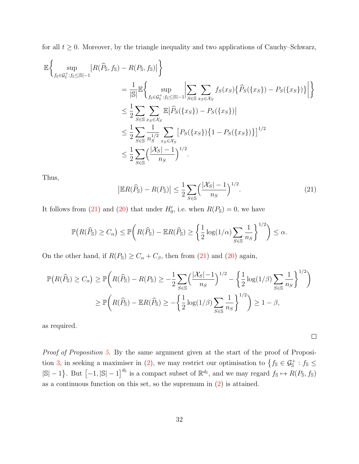for all  $t \geq 0$ . Moreover, by the triangle inequality and two applications of Cauchy–Schwarz,

$$
\mathbb{E}\left\{\sup_{f_{\mathbb{S}}\in\mathcal{G}_{\mathbb{S}}^{+}:f_{\mathbb{S}}\leq|\mathbb{S}|-1}|R(\widehat{P}_{\mathbb{S}},f_{\mathbb{S}})-R(P_{\mathbb{S}},f_{\mathbb{S}})|\right\}
$$
\n
$$
=\frac{1}{|\mathbb{S}|}\mathbb{E}\left\{\sup_{f_{\mathbb{S}}\in\mathcal{G}_{\mathbb{S}}^{+}:f_{\mathbb{S}}\leq|\mathbb{S}|-1}\left|\sum_{S\in\mathbb{S}}\sum_{x_{S}\in\mathcal{X}_{S}}f_{S}(x_{S})\{\widehat{P}_{S}(\{x_{S}\})-P_{S}(\{x_{S}\})\}\right|\right\}
$$
\n
$$
\leq\frac{1}{2}\sum_{S\in\mathbb{S}}\sum_{x_{S}\in\mathcal{X}_{S}}\mathbb{E}|\widehat{P}_{S}(\{x_{S}\})-P_{S}(\{x_{S}\})|
$$
\n
$$
\leq\frac{1}{2}\sum_{S\in\mathbb{S}}\frac{1}{n_{S}^{1/2}}\sum_{x_{S}\in\mathcal{X}_{S}}\left[P_{S}(\{x_{S}\})\{1-P_{S}(\{x_{S}\})\}\right]^{1/2}
$$
\n
$$
\leq\frac{1}{2}\sum_{S\in\mathbb{S}}\left(\frac{|\mathcal{X}_{S}|-1}{n_{S}}\right)^{1/2}.
$$

Thus,

<span id="page-31-0"></span>
$$
\left|\mathbb{E}R(\widehat{P}_{\mathbb{S}}) - R(P_{\mathbb{S}})\right| \le \frac{1}{2} \sum_{S \in \mathbb{S}} \left(\frac{|\mathcal{X}_S| - 1}{n_S}\right)^{1/2}.
$$
\n(21)

It follows from [\(21\)](#page-31-0) and [\(20\)](#page-30-1) that under  $H'_0$ , i.e. when  $R(P_{\mathbb{S}}) = 0$ , we have

$$
\mathbb{P}\big(R(\widehat{P}_{\mathbb{S}}) \geq C_{\alpha}\big) \leq \mathbb{P}\bigg(R(\widehat{P}_{\mathbb{S}}) - \mathbb{E}R(\widehat{P}_{\mathbb{S}}) \geq \left\{\frac{1}{2}\log(1/\alpha)\sum_{S\in\mathbb{S}}\frac{1}{n_S}\right\}^{1/2}\bigg) \leq \alpha.
$$

On the other hand, if  $R(P_{\rm s}) \ge C_{\alpha} + C_{\beta}$ , then from [\(21\)](#page-31-0) and [\(20\)](#page-30-1) again,

$$
\mathbb{P}\left(R(\widehat{P}_{\mathbb{S}}) \geq C_{\alpha}\right) \geq \mathbb{P}\left(R(\widehat{P}_{\mathbb{S}}) - R(P_{\mathbb{S}}) \geq -\frac{1}{2} \sum_{S \in \mathbb{S}} \left(\frac{|\mathcal{X}_S| - 1}{n_S}\right)^{1/2} - \left\{\frac{1}{2}\log(1/\beta) \sum_{S \in \mathbb{S}} \frac{1}{n_S}\right\}^{1/2}\right)
$$

$$
\geq \mathbb{P}\left(R(\widehat{P}_{\mathbb{S}}) - \mathbb{E}R(\widehat{P}_{\mathbb{S}}) \geq -\left\{\frac{1}{2}\log(1/\beta) \sum_{S \in \mathbb{S}} \frac{1}{n_S}\right\}^{1/2}\right) \geq 1 - \beta,
$$

as required.

 $\Box$ 

Proof of Proposition [5.](#page-10-0) By the same argument given at the start of the proof of Proposi-tion [3,](#page-8-0) in seeking a maximiser in [\(2\)](#page-6-2), we may restrict our optimisation to  $\{f_{\mathbb{S}} \in \mathcal{G}_{\mathbb{S}}^+ : f_{\mathbb{S}} \leq$  $|\mathbb{S}|-1$ . But  $[-1, |\mathbb{S}|-1]^{d_{\mathbb{S}}}$  is a compact subset of  $\mathbb{R}^{d_{\mathbb{S}}}$ , and we may regard  $f_{\mathbb{S}} \mapsto R(P_{\mathbb{S}}, f_{\mathbb{S}})$ as a continuous function on this set, so the supremum in [\(2\)](#page-6-2) is attained.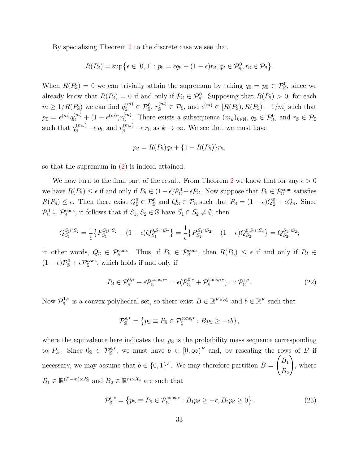By specialising Theorem [2](#page-7-0) to the discrete case we see that

$$
R(P_{\mathbb{S}}) = \sup \{ \epsilon \in [0,1] : p_{\mathbb{S}} = \epsilon q_{\mathbb{S}} + (1-\epsilon)r_{\mathbb{S}}, q_{\mathbb{S}} \in \mathcal{P}_{\mathbb{S}}^0, r_{\mathbb{S}} \in \mathcal{P}_{\mathbb{S}} \}.
$$

When  $R(P_{\rm S}) = 0$  we can trivially attain the supremum by taking  $q_{\rm S} = p_{\rm S} \in \mathcal{P}_{\rm S}^0$ , since we already know that  $R(P_{\mathbb{S}}) = 0$  if and only if  $\mathcal{P}_{\mathbb{S}} \in \mathcal{P}_{\mathbb{S}}^0$ . Supposing that  $R(P_{\mathbb{S}}) > 0$ , for each  $m \geq 1/R(P_{\mathbb{S}})$  we can find  $q_{\mathbb{S}}^{(m)} \in \mathcal{P}_{\mathbb{S}}^0$ ,  $r_{\mathbb{S}}^{(m)} \in \mathcal{P}_{\mathbb{S}}$ , and  $\epsilon^{(m)} \in [R(P_{\mathbb{S}}), R(P_{\mathbb{S}}) - 1/m]$  such that  $p_{\mathbb{S}} = \epsilon^{(m)} q_{\mathbb{S}}^{(m)} + (1 - \epsilon^{(m)}) r_{\mathbb{S}}^{(m)}$ . There exists a subsequence  $(m_k)_{k \in \mathbb{N}}, q_{\mathbb{S}} \in \mathcal{P}_{\mathbb{S}}^0$ , and  $r_{\mathbb{S}} \in \mathcal{P}_{\mathbb{S}}$ such that  $q_{\mathbb{S}}^{(m_k)} \to q_{\mathbb{S}}$  and  $r_{\mathbb{S}}^{(m_k)} \to r_{\mathbb{S}}$  as  $k \to \infty$ . We see that we must have

$$
p_{\mathbb{S}} = R(P_{\mathbb{S}})q_{\mathbb{S}} + \{1 - R(P_{\mathbb{S}})\}r_{\mathbb{S}},
$$

so that the supremum in [\(2\)](#page-7-0) is indeed attained.

We now turn to the final part of the result. From Theorem [2](#page-7-0) we know that for any  $\epsilon > 0$ we have  $R(P_{\mathbb{S}}) \leq \epsilon$  if and only if  $P_{\mathbb{S}} \in (1-\epsilon)\mathcal{P}_{\mathbb{S}}^0 + \epsilon \mathcal{P}_{\mathbb{S}}$ . Now suppose that  $P_{\mathbb{S}} \in \mathcal{P}_{\mathbb{S}}^{\text{cons}}$  satisfies  $R(P_{\mathbb{S}}) \leq \epsilon$ . Then there exist  $Q_{\mathbb{S}}^0 \in \mathcal{P}_{\mathbb{S}}^0$  and  $Q_{\mathbb{S}} \in \mathcal{P}_{\mathbb{S}}$  such that  $P_{\mathbb{S}} = (1 - \epsilon)Q_{\mathbb{S}}^0 + \epsilon Q_{\mathbb{S}}$ . Since  $\mathcal{P}_\mathbb{S}^0 \subseteq \mathcal{P}_\mathbb{S}^{\text{cons}}$ , it follows that if  $S_1, S_2 \in \mathbb{S}$  have  $S_1 \cap S_2 \neq \emptyset$ , then

$$
Q_{S_1}^{S_1 \cap S_2} = \frac{1}{\epsilon} \left\{ P_{S_1}^{S_1 \cap S_2} - (1 - \epsilon) Q_{S_1}^{0, S_1 \cap S_2} \right\} = \frac{1}{\epsilon} \left\{ P_{S_2}^{S_1 \cap S_2} - (1 - \epsilon) Q_{S_2}^{0, S_1 \cap S_2} \right\} = Q_{S_2}^{S_1 \cap S_2};
$$

in other words,  $Q_{\mathbb{S}} \in \mathcal{P}_{\mathbb{S}}^{\text{cons}}$ . Thus, if  $P_{\mathbb{S}} \in \mathcal{P}_{\mathbb{S}}^{\text{cons}}$ , then  $R(P_{\mathbb{S}}) \leq \epsilon$  if and only if  $P_{\mathbb{S}} \in$  $(1 - \epsilon)\mathcal{P}_{\mathbb{S}}^0 + \epsilon \mathcal{P}_{\mathbb{S}}^{\text{cons}},$  which holds if and only if

<span id="page-32-1"></span>
$$
P_{\mathbb{S}} \in \mathcal{P}_{\mathbb{S}}^{0,*} + \epsilon \mathcal{P}_{\mathbb{S}}^{\text{cons},**} = \epsilon (\mathcal{P}_{\mathbb{S}}^{0,*} + \mathcal{P}_{\mathbb{S}}^{\text{cons},**}) =: \mathcal{P}_{\mathbb{S}}^{\epsilon,*}.
$$
 (22)

Now  $\mathcal{P}_{\mathbb{S}}^{1,*}$  is a convex polyhedral set, so there exist  $B \in \mathbb{R}^{F \times X_{\mathbb{S}}}$  and  $b \in \mathbb{R}^{F}$  such that

$$
\mathcal{P}_{\mathbb{S}}^{\epsilon,*} = \{ p_{\mathbb{S}} \equiv P_{\mathbb{S}} \in \mathcal{P}_{\mathbb{S}}^{\text{cons},*} : B p_{\mathbb{S}} \ge -\epsilon b \},\
$$

where the equivalence here indicates that  $p_{\rm S}$  is the probability mass sequence corresponding to  $P_{\mathbb{S}}$ . Since  $0_{\mathbb{S}} \in \mathcal{P}_{\mathbb{S}}^{\epsilon,*}$ , we must have  $b \in [0,\infty)^F$  and, by rescaling the rows of B if necessary, we may assume that  $b \in \{0,1\}^F$ . We may therefore partition  $B =$  $\big/B_1$  $B<sub>2</sub>$  $\setminus$ , where  $B_1 \in \mathbb{R}^{(F-m)\times\mathcal{X}_{\mathbb{S}}}$  and  $B_2 \in \mathbb{R}^{m\times\mathcal{X}_{\mathbb{S}}}$  are such that

<span id="page-32-0"></span>
$$
\mathcal{P}_{\mathbb{S}}^{\epsilon,*} = \{ p_{\mathbb{S}} \equiv P_{\mathbb{S}} \in \mathcal{P}_{\mathbb{S}}^{\text{cons},*} : B_1 p_{\mathbb{S}} \ge -\epsilon, B_2 p_{\mathbb{S}} \ge 0 \}.
$$
\n(23)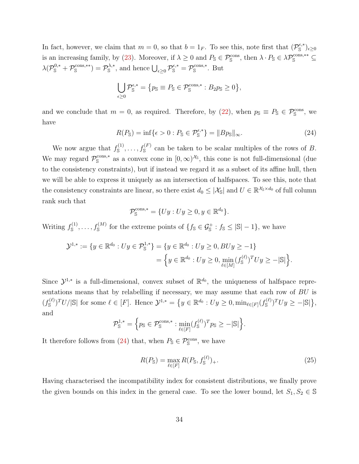In fact, however, we claim that  $m = 0$ , so that  $b = 1_F$ . To see this, note first that  $(\mathcal{P}_{\mathbb{S}}^{\epsilon,*})_{\epsilon \geq 0}$ is an increasing family, by [\(23\)](#page-32-0). Moreover, if  $\lambda \geq 0$  and  $P_{\mathbb{S}} \in \mathcal{P}_{\mathbb{S}}^{\text{cons}}$ , then  $\lambda \cdot P_{\mathbb{S}} \in \lambda \mathcal{P}_{\mathbb{S}}^{\text{cons},**} \subseteq$  $\lambda(\mathcal{P}_{\mathbb{S}}^{0,*}+\mathcal{P}_{\mathbb{S}}^{\text{cons},**})=\mathcal{P}_{\mathbb{S}}^{\lambda,*}$ , and hence  $\bigcup_{\epsilon\geq 0}\mathcal{P}_{\mathbb{S}}^{\epsilon,*}=\mathcal{P}_{\mathbb{S}}^{\text{cons},*}$ . But

$$
\bigcup_{\epsilon \geq 0} \mathcal{P}_{\mathbb{S}}^{\epsilon,*} = \{ p_{\mathbb{S}} \equiv P_{\mathbb{S}} \in \mathcal{P}_{\mathbb{S}}^{\text{cons},*} : B_2 p_{\mathbb{S}} \geq 0 \},\
$$

and we conclude that  $m = 0$ , as required. Therefore, by  $(22)$ , when  $p_{\rm S} \equiv P_{\rm S} \in \mathcal{P}_{\rm S}^{\rm cons}$ , we have

<span id="page-33-0"></span>
$$
R(P_{\mathbb{S}}) = \inf \{ \epsilon > 0 : P_{\mathbb{S}} \in \mathcal{P}_{\mathbb{S}}^{\epsilon,*} \} = \| B p_{\mathbb{S}} \|_{\infty}.
$$
 (24)

We now argue that  $f_s^{(1)}, \ldots, f_s^{(F)}$  can be taken to be scalar multiples of the rows of B. We may regard  $\mathcal{P}_{\mathbb{S}}^{\text{cons},*}$  as a convex cone in  $[0,\infty)^{\mathcal{X}_{\mathbb{S}}}$ , this cone is not full-dimensional (due to the consistency constraints), but if instead we regard it as a subset of its affine hull, then we will be able to express it uniquely as an intersection of halfspaces. To see this, note that the consistency constraints are linear, so there exist  $d_0 \leq |\mathcal{X}_\mathbb{S}|$  and  $U \in \mathbb{R}^{\mathcal{X}_\mathbb{S} \times d_0}$  of full column rank such that

$$
\mathcal{P}_{\mathbb{S}}^{\text{cons},*} = \{Uy : Uy \ge 0, y \in \mathbb{R}^{d_0}\}.
$$

Writing  $f_s^{(1)}, \ldots, f_s^{(M)}$  for the extreme points of  $\{f_s \in \mathcal{G}_s^+ : f_s \leq |\mathbb{S}|-1\}$ , we have

$$
\mathcal{Y}^{1,*} := \{ y \in \mathbb{R}^{d_0} : Uy \in \mathcal{P}_{\mathbb{S}}^{1,*} \} = \{ y \in \mathbb{R}^{d_0} : Uy \ge 0, BUy \ge -1 \} = \Big\{ y \in \mathbb{R}^{d_0} : Uy \ge 0, \min_{\ell \in [M]} (f_{\mathbb{S}}^{(\ell)})^T Uy \ge -|\mathbb{S}| \Big\}.
$$

Since  $\mathcal{Y}^{1,*}$  is a full-dimensional, convex subset of  $\mathbb{R}^{d_0}$ , the uniqueness of halfspace representations means that by relabelling if necessary, we may assume that each row of BU is  $(f_{\mathbb{S}}^{(\ell)})^T U/|\mathbb{S}|$  for some  $\ell \in [F]$ . Hence  $\mathcal{Y}^{1,*} = \{y \in \mathbb{R}^{d_0} : Uy \geq 0, \min_{\ell \in [F]} (f_{\mathbb{S}}^{(\ell)})^T U y \geq -|\mathbb{S}| \},$ and

$$
\mathcal{P}_{\mathbb{S}}^{1,*} = \left\{ p_{\mathbb{S}} \in \mathcal{P}_{\mathbb{S}}^{\text{cons},*} : \min_{\ell \in [F]} (f_{\mathbb{S}}^{(\ell)})^T p_{\mathbb{S}} \ge -|\mathbb{S}| \right\}.
$$

It therefore follows from [\(24\)](#page-33-0) that, when  $P_{\mathbb{S}} \in \mathcal{P}_{\mathbb{S}}^{\text{cons}}$ , we have

<span id="page-33-1"></span>
$$
R(P_{\mathbb{S}}) = \max_{\ell \in [F]} R(P_{\mathbb{S}}, f_{\mathbb{S}}^{(\ell)})_+.
$$
 (25)

Having characterised the incompatibility index for consistent distributions, we finally prove the given bounds on this index in the general case. To see the lower bound, let  $S_1, S_2 \in \mathbb{S}$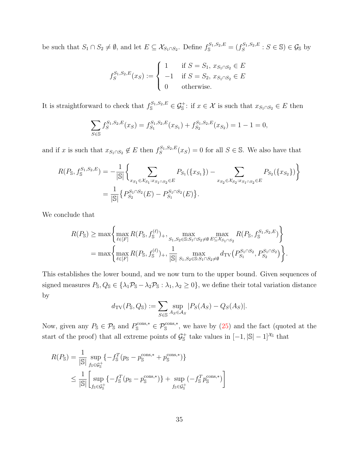be such that  $S_1 \cap S_2 \neq \emptyset$ , and let  $E \subseteq \mathcal{X}_{S_1 \cap S_2}$ . Define  $f_S^{S_1,S_2,E} = (f_S^{S_1,S_2,E})$  $S_S^{S_1, S_2, E}: S \in \mathbb{S} \in \mathcal{G}_{\mathbb{S}}$  by

$$
f_S^{S_1, S_2, E}(x_S) := \begin{cases} 1 & \text{if } S = S_1, x_{S_1 \cap S_2} \in E \\ -1 & \text{if } S = S_2, x_{S_1 \cap S_2} \in E \\ 0 & \text{otherwise.} \end{cases}
$$

It is straightforward to check that  $f_{\mathbb{S}}^{S_1,S_2,E} \in \mathcal{G}_{\mathbb{S}}^+$ : if  $x \in \mathcal{X}$  is such that  $x_{S_1 \cap S_2} \in E$  then

$$
\sum_{S \in \mathbb{S}} f_S^{S_1, S_2, E}(x_S) = f_{S_1}^{S_1, S_2, E}(x_{S_1}) + f_{S_2}^{S_1, S_2, E}(x_{S_2}) = 1 - 1 = 0,
$$

and if x is such that  $x_{S_1 \cap S_2} \notin E$  then  $f_S^{S_1,S_2,E}$  $S_S^{S_1,S_2,E}(x_S) = 0$  for all  $S \in \mathbb{S}$ . We also have that

$$
R(P_{\mathbb{S}}, f_{\mathbb{S}}^{S_1, S_2, E}) = -\frac{1}{|\mathbb{S}|} \left\{ \sum_{x_{S_1} \in \mathcal{X}_{S_1}: x_{S_1 \cap S_2} \in E} P_{S_1}(\{x_{S_1}\}) - \sum_{x_{S_2} \in \mathcal{X}_{S_2}: x_{S_1 \cap S_2} \in E} P_{S_2}(\{x_{S_2}\}) \right\}
$$
  
= 
$$
\frac{1}{|\mathbb{S}|} \left\{ P_{S_2}^{S_1 \cap S_2}(E) - P_{S_1}^{S_1 \cap S_2}(E) \right\}.
$$

We conclude that

$$
R(P_{\mathbb{S}}) \geq \max \left\{ \max_{\ell \in [F]} R(P_{\mathbb{S}}, f_{\mathbb{S}}^{(\ell)})_+, \max_{S_1, S_2 \in \mathbb{S}: S_1 \cap S_2 \neq \emptyset} \max_{E \subseteq X_{S_1 \cap S_2}} R(P_{\mathbb{S}}, f_{\mathbb{S}}^{S_1, S_2, E}) \right\}
$$
  
= 
$$
\max \left\{ \max_{\ell \in [F]} R(P_{\mathbb{S}}, f_{\mathbb{S}}^{(\ell)})_+, \frac{1}{|\mathbb{S}|} \max_{S_1, S_2 \in \mathbb{S}: S_1 \cap S_2 \neq \emptyset} d_{\text{TV}}(P_{S_1}^{S_1 \cap S_2}, P_{S_2}^{S_1 \cap S_2}) \right\}.
$$

This establishes the lower bound, and we now turn to the upper bound. Given sequences of signed measures  $P_s, Q_s \in {\lambda_1 \mathcal{P}_s - \lambda_2 \mathcal{P}_s : \lambda_1, \lambda_2 \ge 0}$ , we define their total variation distance by

$$
d_{\text{TV}}(P_{\mathbb{S}}, Q_{\mathbb{S}}) := \sum_{S \in \mathbb{S}} \sup_{A_S \in \mathcal{A}_S} |P_S(A_S) - Q_S(A_S)|.
$$

Now, given any  $P_{\mathbb{S}} \in \mathcal{P}_{\mathbb{S}}$  and  $P_{\mathbb{S}}^{\text{cons,*}} \in \mathcal{P}_{\mathbb{S}}^{\text{cons,*}}$ , we have by  $(25)$  and the fact (quoted at the start of the proof) that all extreme points of  $\mathcal{G}_{\mathbb{S}}^+$  take values in  $[-1, |\mathbb{S}| - 1]^{\mathcal{X}_{\mathbb{S}}}$  that

$$
R(P_{\mathbb{S}}) = \frac{1}{|\mathbb{S}|} \sup_{f_{\mathbb{S}} \in \mathcal{G}_{\mathbb{S}}^{+}} \{-f_{\mathbb{S}}^{T}(p_{\mathbb{S}} - p_{\mathbb{S}}^{\text{cons},*} + p_{\mathbb{S}}^{\text{cons},*})\}
$$
  
\$\leq \frac{1}{|\mathbb{S}|} \left[ \sup\_{f\_{\mathbb{S}} \in \mathcal{G}\_{\mathbb{S}}^{+}} \{-f\_{\mathbb{S}}^{T}(p\_{\mathbb{S}} - p\_{\mathbb{S}}^{\text{cons},\*})\right] + \sup\_{f\_{\mathbb{S}} \in \mathcal{G}\_{\mathbb{S}}^{+}} (-f\_{\mathbb{S}}^{T} p\_{\mathbb{S}}^{\text{cons},\*}) \right]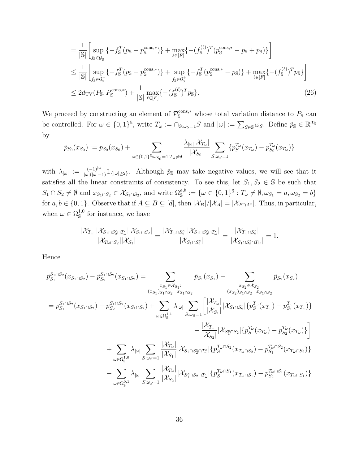<span id="page-35-0"></span>
$$
= \frac{1}{|S|} \left[ \sup_{f_S \in \mathcal{G}_S^+} \{-f_S^T(p_S - p_S^{\text{cons},*})\} + \max_{\ell \in [F]} \{-(f_S^{(\ell)})^T(p_S^{\text{cons},*} - p_S + p_S)\} \right]
$$
  
\n
$$
\leq \frac{1}{|S|} \left[ \sup_{f_S \in \mathcal{G}_S^+} \{-f_S^T(p_S - p_S^{\text{cons},*})\} + \sup_{f_S \in \mathcal{G}_S^+} \{-f_S^T(p_S^{\text{cons},*} - p_S)\} + \max_{\ell \in [F]} \{-(f_S^{(\ell)})^T p_S\} \right]
$$
  
\n
$$
\leq 2d_{\text{TV}}(P_S, P_S^{\text{cons},*}) + \frac{1}{|S|} \max_{\ell \in [F]} \{-(f_S^{(\ell)})^T p_S\}. \tag{26}
$$

We proceed by constructing an element of  $\mathcal{P}_{\mathbb{S}}^{\text{cons},*}$  whose total variation distance to  $P_{\mathbb{S}}$  can be controlled. For  $\omega \in \{0,1\}^{\mathbb{S}}$ , write  $T_{\omega} := \cap_{S:\omega_S=1}S$  and  $|\omega| := \sum_{S \in \mathbb{S}} \omega_S$ . Define  $\tilde{p}_{\mathbb{S}} \in \mathbb{R}^{\mathcal{X}_{\mathbb{S}}}$ by

$$
\tilde{p}_{S_0}(x_{S_0}) := p_{S_0}(x_{S_0}) + \sum_{\omega \in \{0,1\}^S : \omega_{S_0} = 1, T_{\omega} \neq \emptyset} \frac{\lambda_{|\omega|} |\mathcal{X}_{T_{\omega}}|}{|\mathcal{X}_{S_0}|} \sum_{S : \omega_S = 1} \{p_S^{T_{\omega}}(x_{T_{\omega}}) - p_{S_0}^{T_{\omega}}(x_{T_{\omega}})\}
$$

with  $\lambda_{|\omega|} := \frac{(-1)^{|\omega|}}{|\omega|(|\omega|-1)} 1_{\{|\omega|\geq 2\}}$ . Although  $\tilde{p}_{\mathbb{S}}$  may take negative values, we will see that it satisfies all the linear constraints of consistency. To see this, let  $S_1, S_2 \in \mathbb{S}$  be such that  $S_1 \cap S_2 \neq \emptyset$  and  $x_{S_1 \cap S_2} \in \mathcal{X}_{S_1 \cap S_2}$ , and write  $\Omega_{\mathbb{S}}^{a,b} := \{ \omega \in \{0,1\}^{\mathbb{S}} : T_{\omega} \neq \emptyset, \omega_{S_1} = a, \omega_{S_2} = b \}$ for  $a, b \in \{0, 1\}$ . Observe that if  $A \subseteq B \subseteq [d]$ , then  $|\mathcal{X}_B|/|\mathcal{X}_A| = |\mathcal{X}_{B \cap A^c}|$ . Thus, in particular, when  $\omega \in \Omega^{1,0}_\mathbb{S}$  for instance, we have

$$
\frac{|\mathcal{X}_{T_{\omega}}||\mathcal{X}_{S_1\cap S_2^c\cap T_{\omega}^c}||\mathcal{X}_{S_1\cap S_2}|}{|\mathcal{X}_{T_{\omega}\cap S_2}||\mathcal{X}_{S_1}|} = \frac{|\mathcal{X}_{T_{\omega}\cap S_2^c}||\mathcal{X}_{S_1\cap S_2^c\cap T_{\omega}^c}|}{|\mathcal{X}_{S_1\cap S_2^c}||} = \frac{|\mathcal{X}_{T_{\omega}\cap S_2^c}|}{|\mathcal{X}_{S_1\cap S_2^c\cap T_{\omega}}|} = 1.
$$

Hence

$$
\tilde{p}_{S_1}^{S_1 \cap S_2}(x_{S_1 \cap S_2}) - \tilde{p}_{S_2}^{S_1 \cap S_2}(x_{S_1 \cap S_2}) = \sum_{\substack{x_{S_1} \in \mathcal{X}_{S_1}:\\(x_{S_1})_{S_1 \cap S_2} = x_{S_1 \cap S_2}}} \tilde{p}_{S_1}(x_{S_1}) - \sum_{\substack{x_{S_2} \in \mathcal{X}_{S_2}:\\(x_{S_2})_{S_1 \cap S_2} = x_{S_1 \cap S_2}}} \tilde{p}_{S_2}(x_{S_2})
$$
\n
$$
= p_{S_1}^{S_1 \cap S_2}(x_{S_1 \cap S_2}) - p_{S_2}^{S_1 \cap S_2}(x_{S_1 \cap S_2}) + \sum_{\omega \in \Omega_S^{1,1}} \lambda_{|\omega|} \sum_{S:\omega_S=1} \left[ \frac{|\mathcal{X}_{T_{\omega}}|}{|\mathcal{X}_{S_1}|} |\mathcal{X}_{S_1 \cap S_2}|\{p_{S}^{T_{\omega}}(x_{T_{\omega}}) - p_{S_1}^{T_{\omega}}(x_{T_{\omega}})\} \right]
$$
\n
$$
+ \sum_{\omega \in \Omega_S^{1,0}} \lambda_{|\omega|} \sum_{S:\omega_S=1} \frac{|\mathcal{X}_{T_{\omega}}|}{|\mathcal{X}_{S_1}|} |\mathcal{X}_{S_1 \cap S_2^c \cap T_{\omega}}|\{p_{S}^{T_{\omega} \cap S_2}(x_{T_{\omega} \cap S_2) - p_{S_1}^{T_{\omega} \cap S_2}(x_{T_{\omega} \cap S_2)}\}
$$
\n
$$
- \sum_{\omega \in \Omega_S^{0,1}} \lambda_{|\omega|} \sum_{S:\omega_S=1} \frac{|\mathcal{X}_{T_{\omega}}|}{|\mathcal{X}_{S_2}|} |\mathcal{X}_{S_1^c \cap S_2 \cap T_{\omega}}|\{p_{S}^{T_{\omega} \cap S_1}(x_{T_{\omega} \cap S_1)} - p_{S_2}^{T_{\omega} \cap S_1}(x_{T_{\omega} \cap S_1})\}
$$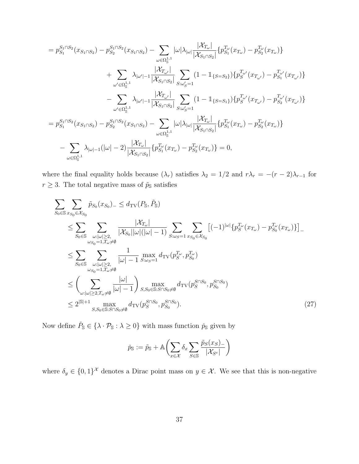$$
=p_{S_{1}}^{S_{1}\cap S_{2}}(x_{S_{1}\cap S_{2}})-p_{S_{2}}^{S_{1}\cap S_{2}}(x_{S_{1}\cap S_{2}})-\sum_{\omega\in\Omega_{\mathbb{S}}^{1,1}}|\omega|\lambda_{|\omega|}\frac{|\mathcal{X}_{T_{\omega}}|}{|\mathcal{X}_{S_{1}\cap S_{2}}|}\{p_{S_{1}}^{T_{\omega}}(x_{T_{\omega}})-p_{S_{2}}^{T_{\omega}}(x_{T_{\omega}})\}\}\n+ \sum_{\omega'\in\Omega_{\mathbb{S}}^{1,1}}\lambda_{|\omega'|-1}\frac{|\mathcal{X}_{T_{\omega'}}|}{|\mathcal{X}_{S_{1}\cap S_{2}}|}\sum_{S:\omega'_{S}=1}(1-\mathbb{1}_{\{S=S_{2}\}})\{p_{S}^{T_{\omega'}}(x_{T_{\omega'}})-p_{S_{1}}^{T_{\omega'}}(x_{T_{\omega'}})\}\n- \sum_{\omega'\in\Omega_{\mathbb{S}}^{1,1}}\lambda_{|\omega'|-1}\frac{|\mathcal{X}_{T_{\omega'}}|}{|\mathcal{X}_{S_{1}\cap S_{2}}|}\sum_{S:\omega'_{S}=1}(1-\mathbb{1}_{\{S=S_{1}\}})\{p_{S}^{T_{\omega'}}(x_{T_{\omega'}})-p_{S_{2}}^{T_{\omega'}}(x_{T_{\omega'}})\}\n= p_{S_{1}}^{S_{1}\cap S_{2}}(x_{S_{1}\cap S_{2}})-p_{S_{2}}^{S_{1}\cap S_{2}}(x_{S_{1}\cap S_{2}})-\sum_{\omega\in\Omega_{\mathbb{S}}^{1,1}}|\omega|\lambda_{|\omega|}\frac{|\mathcal{X}_{T_{\omega}}|}{|\mathcal{X}_{S_{1}\cap S_{2}}|}\{p_{S_{1}}^{T_{\omega}}(x_{T_{\omega}})-p_{S_{2}}^{T_{\omega}}(x_{T_{\omega}})\}\n- \sum_{\omega\in\Omega_{\mathbb{S}}^{1,1}}\lambda_{|\omega|-1}(|\omega|-2)\frac{|\mathcal{X}_{T_{\omega}}|}{|\mathcal{X}_{S_{1}\cap S_{2}}|}\{p_{S_{1}}^{T_{\omega}}(x_{T_{\omega}})-p_{S_{2}}^{T_{\omega}}(x_{T_{\omega}})\}=0,
$$

where the final equality holds because  $(\lambda_r)$  satisfies  $\lambda_2 = 1/2$  and  $r\lambda_r = -(r-2)\lambda_{r-1}$  for  $r\geq 3.$  The total negative mass of  $\tilde{p}_{\mathbb{S}}$  satisfies

$$
\sum_{S_0 \in \mathbb{S}} \sum_{x_{S_0} \in \mathcal{X}_{S_0}} \tilde{p}_{S_0}(x_{S_0})_{-} \leq d_{\text{TV}}(P_{\mathbb{S}}, \tilde{P}_{\mathbb{S}})
$$
\n
$$
\leq \sum_{S_0 \in \mathbb{S}} \sum_{\substack{\omega : |\omega| \geq 2, \omega \neq \emptyset \\ \omega_{S_0} = 1, T_{\omega} \neq \emptyset}} \frac{|\mathcal{X}_{T_{\omega}}|}{|\mathcal{X}_{S_0}| |\omega| (|\omega| - 1)} \sum_{S : \omega_S = 1} \sum_{x_{S_0} \in \mathcal{X}_{S_0}} [(-1)^{|\omega|} \{ p_S^{T_{\omega}}(x_{T_{\omega}}) - p_{S_0}^{T_{\omega}}(x_{T_{\omega}}) \}]_{-} \n\leq \sum_{S_0 \in \mathbb{S}} \sum_{\substack{\omega : |\omega| \geq 2, \omega \neq \emptyset \\ \omega_{S_0} = 1, T_{\omega} \neq \emptyset}} \frac{1}{|\omega| - 1} \max_{S : \omega_S = 1} d_{\text{TV}}(p_S^{T_{\omega}}, p_{S_0}^{T_{\omega}})
$$
\n
$$
\leq \left( \sum_{\substack{\omega : |\omega| \geq 2, T_{\omega} \neq \emptyset \\ S, S_0 \in \mathbb{S}: S \cap S_0 \neq \emptyset}} \frac{|\omega|}{|\omega| - 1} \right) \max_{S, S_0 \in \mathbb{S}: S \cap S_0 \neq \emptyset} d_{\text{TV}}(p_S^{S \cap S_0}, p_{S_0}^{S \cap S_0})
$$
\n
$$
\leq 2^{|S| + 1} \max_{S, S_0 \in \mathbb{S}: S \cap S_0 \neq \emptyset} d_{\text{TV}}(p_S^{S \cap S_0}, p_{S_0}^{S \cap S_0}).
$$
\n(27)

Now define  $\check{P}_{\mathbb{S}} \in {\lambda \cdot \mathcal{P}_{\mathbb{S}} : \lambda \geq 0}$  with mass function  $\check{p}_{\mathbb{S}}$  given by

<span id="page-36-0"></span>
$$
\tilde{p}_{\mathbb{S}} := \tilde{p}_{\mathbb{S}} + \mathbb{A}\bigg(\sum_{x \in \mathcal{X}} \delta_x \sum_{S \in \mathbb{S}} \frac{\tilde{p}_S(x_S)_-}{|\mathcal{X}_{S^c}|}\bigg)
$$

where  $\delta_y \in \{0,1\}^{\mathcal{X}}$  denotes a Dirac point mass on  $y \in \mathcal{X}$ . We see that this is non-negative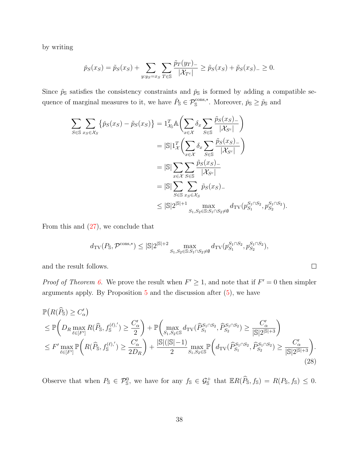by writing

$$
\tilde{p}_S(x_S) = \tilde{p}_S(x_S) + \sum_{y: y_S = x_S} \sum_{T \in \mathbb{S}} \frac{\tilde{p}_T(y_T)}{|\mathcal{X}_{T^c}|} \ge \tilde{p}_S(x_S) + \tilde{p}_S(x_S) - \ge 0.
$$

Since  $\tilde{p}_s$  satisfies the consistency constraints and  $\tilde{p}_s$  is formed by adding a compatible sequence of marginal measures to it, we have  $\check{P}_{\mathbb{S}} \in \mathcal{P}_{\mathbb{S}}^{\text{cons},*}$ . Moreover,  $\check{p}_{\mathbb{S}} \geq \tilde{p}_{\mathbb{S}}$  and

$$
\sum_{S \in \mathbb{S}} \sum_{x_S \in \mathcal{X}_S} \{ \check{p}_S(x_S) - \tilde{p}_S(x_S) \} = 1_{\mathcal{X}_\mathbb{S}}^T \mathbb{A} \bigg( \sum_{x \in \mathcal{X}} \delta_x \sum_{S \in \mathbb{S}} \frac{\tilde{p}_S(x_S) - \beta}{|\mathcal{X}_{S^c}|} \bigg) \n= |\mathbb{S}| 1_{\mathcal{X}}^T \bigg( \sum_{x \in \mathcal{X}} \delta_x \sum_{S \in \mathbb{S}} \frac{\tilde{p}_S(x_S) - \beta}{|\mathcal{X}_{S^c}|} \bigg) \n= |\mathbb{S}| \sum_{x \in \mathcal{X}} \sum_{S \in \mathbb{S}} \frac{\tilde{p}_S(x_S) - \beta}{|\mathcal{X}_{S^c}|} \n= |\mathbb{S}| \sum_{S \in \mathbb{S}} \sum_{x_S \in \mathcal{X}_S} \tilde{p}_S(x_S) - \bigg( |\mathbb{S}| 2^{\mathbb{S}| + 1} \sum_{S_1, S_2 \in \mathbb{S}: S_1 \cap S_2 \neq \emptyset} d_{\text{TV}}(p_{S_1}^{S_1 \cap S_2}, p_{S_2}^{S_1 \cap S_2}).
$$

From this and  $(27)$ , we conclude that

$$
d_{\mathrm{TV}}(P_{\mathbb{S}},\mathcal{P}^{\mathrm{cons},*}) \leq |\mathbb{S}| 2^{|\mathbb{S}|+2} \max_{S_1,S_2 \in \mathbb{S}: S_1 \cap S_2 \neq \emptyset} d_{\mathrm{TV}}(p_{S_1}^{S_1 \cap S_2}, p_{S_2}^{S_1 \cap S_2}),
$$

<span id="page-37-0"></span> $\Box$ 

and the result follows.

*Proof of Theorem [6.](#page-11-1)* We prove the result when  $F' \geq 1$ , and note that if  $F' = 0$  then simpler arguments apply. By Proposition  $5$  and the discussion after  $(5)$ , we have

$$
\mathbb{P}(R(\widehat{P}_{\mathbf{S}}) \ge C'_{\alpha})\n\le \mathbb{P}\left(D_{R} \max_{\ell \in [F']} R(\widehat{P}_{\mathbf{S}}, f_{\mathbf{S}}^{(\ell),'}) \ge \frac{C'_{\alpha}}{2}\right) + \mathbb{P}\left(\max_{S_{1},S_{2} \in \mathbb{S}} d_{\text{TV}}(\widehat{P}_{S_{1}}^{S_{1} \cap S_{2}}, \widehat{P}_{S_{2}}^{S_{1} \cap S_{2}}) \ge \frac{C'_{\alpha}}{|\mathbf{S}|2^{|\mathbf{S}|+3}}\right)\n\le F' \max_{\ell \in [F']} \mathbb{P}\left(R(\widehat{P}_{\mathbf{S}}, f_{\mathbf{S}}^{(\ell),'}) \ge \frac{C'_{\alpha}}{2D_{R}}\right) + \frac{|\mathbf{S}|(|\mathbf{S}|-1)}{2} \max_{S_{1},S_{2} \in \mathbb{S}} \mathbb{P}\left(d_{\text{TV}}(\widehat{P}_{S_{1}}^{S_{1} \cap S_{2}}, \widehat{P}_{S_{2}}^{S_{1} \cap S_{2}}) \ge \frac{C'_{\alpha}}{|\mathbf{S}|2^{|\mathbf{S}|+3}}\right).
$$
\n(28)

Observe that when  $P_{\mathbb{S}} \in \mathcal{P}_{\mathbb{S}}^0$ , we have for any  $f_{\mathbb{S}} \in \mathcal{G}_{\mathbb{S}}^+$  that  $\mathbb{E} R(\widehat{P}_{\mathbb{S}}, f_{\mathbb{S}}) = R(P_{\mathbb{S}}, f_{\mathbb{S}}) \leq 0$ .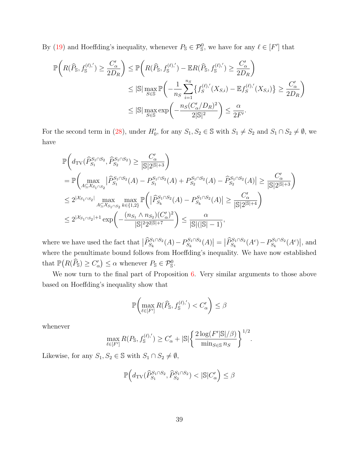By [\(19\)](#page-30-0) and Hoeffding's inequality, whenever  $P_{\mathbb{S}} \in \mathcal{P}_{\mathbb{S}}^0$ , we have for any  $\ell \in [F']$  that

$$
\mathbb{P}\bigg(R(\widehat{P}_{\mathbb{S}}, f_{\mathbb{S}}^{(\ell),'}) \geq \frac{C_{\alpha}'}{2D_R}\bigg) \leq \mathbb{P}\bigg(R(\widehat{P}_{\mathbb{S}}, f_{\mathbb{S}}^{(\ell),'}) - \mathbb{E}R(\widehat{P}_{\mathbb{S}}, f_{\mathbb{S}}^{(\ell),'}) \geq \frac{C_{\alpha}'}{2D_R}\bigg)
$$
  

$$
\leq |\mathbb{S}| \max_{S \in \mathbb{S}} \mathbb{P}\bigg(-\frac{1}{n_S} \sum_{i=1}^{n_S} \{f_{S}^{(\ell),'}(X_{S,i}) - \mathbb{E}f_{S}^{(\ell),'}(X_{S,i})\} \geq \frac{C_{\alpha}'}{2D_R}\bigg)
$$
  

$$
\leq |\mathbb{S}| \max_{S \in \mathbb{S}} \exp\bigg(-\frac{n_S(C_{\alpha}'/D_R)^2}{2|\mathbb{S}|^2}\bigg) \leq \frac{\alpha}{2F'}.
$$

For the second term in [\(28\)](#page-37-0), under  $H'_0$ , for any  $S_1, S_2 \in \mathbb{S}$  with  $S_1 \neq S_2$  and  $S_1 \cap S_2 \neq \emptyset$ , we have

$$
\begin{split} &\mathbb{P}\bigg(d_{\text{TV}}(\widehat{P}_{S_1}^{S_1 \cap S_2}, \widehat{P}_{S_2}^{S_1 \cap S_2}) \geq \frac{C_{\alpha}'}{|\mathbb{S}|2^{|\mathbb{S}|+3}}\bigg) \\ &= \mathbb{P}\bigg(\max_{A \subseteq \mathcal{X}_{S_1 \cap S_2}} \big|\widehat{P}_{S_1}^{S_1 \cap S_2}(A) - P_{S_1}^{S_1 \cap S_2}(A) + P_{S_2}^{S_1 \cap S_2}(A) - \widehat{P}_{S_2}^{S_1 \cap S_2}(A)\big| \geq \frac{C_{\alpha}'}{|\mathbb{S}|2^{|\mathbb{S}|+3}}\bigg) \\ &\leq 2^{|\mathcal{X}_{S_1 \cap S_2}|} \max_{A \subseteq \mathcal{X}_{S_1 \cap S_2}} \max_{k \in \{1,2\}} \mathbb{P}\bigg(\big|\widehat{P}_{S_k}^{S_1 \cap S_2}(A) - P_{S_k}^{S_1 \cap S_2}(A)\big| \geq \frac{C_{\alpha}'}{|\mathbb{S}|2^{|\mathbb{S}|+4}}\bigg) \\ &\leq 2^{|\mathcal{X}_{S_1 \cap S_2}|+1} \exp\bigg(-\frac{(n_{S_1} \wedge n_{S_2})(C_{\alpha}')^2}{|\mathbb{S}|^2 2^{2|\mathbb{S}|+7}}\bigg) \leq \frac{\alpha}{|\mathbb{S}|(|\mathbb{S}|-1)}, \end{split}
$$

where we have used the fact that  $\left| \widehat{P}_{S_k}^{S_1 \cap S_2}(A) - P_{S_k}^{S_1 \cap S_2} \right|$  $\left| \widehat{P}_{S_k}^{S_1 \cap S_2}(A) \right| = \left| \widehat{P}_{S_k}^{S_1 \cap S_2}(A^c) - P_{S_k}^{S_1 \cap S_2} \right|$  $S_k^{S_1 \cap S_2}(A^c)|$ , and where the penultimate bound follows from Hoeffding's inequality. We have now established that  $\mathbb{P}(R(\widehat{P}_{\mathbb{S}}) \geq C_{\alpha}') \leq \alpha$  whenever  $P_{\mathbb{S}} \in \mathcal{P}_{\mathbb{S}}^0$ .

We now turn to the final part of Proposition [6.](#page-11-1) Very similar arguments to those above based on Hoeffding's inequality show that

$$
\mathbb{P}\bigg(\max_{\ell \in [F']} R(\widehat{P}_{\mathbb{S}}, f_{\mathbb{S}}^{(\ell),'}) < C_{\alpha}'\bigg) \leq \beta
$$

whenever

$$
\max_{\ell \in [F']} R(P_{\mathbb{S}}, f_{\mathbb{S}}^{(\ell),'}) \ge C'_{\alpha} + |\mathbb{S}| \left\{ \frac{2 \log(F'|\mathbb{S}|/\beta)}{\min_{S \in \mathbb{S}} n_S} \right\}^{1/2}
$$

.

Likewise, for any  $S_1, S_2 \in \mathbb{S}$  with  $S_1 \cap S_2 \neq \emptyset$ ,

$$
\mathbb{P}\Big(d_{\text{TV}}\big(\widehat{P}_{S_1}^{S_1 \cap S_2}, \widehat{P}_{S_2}^{S_1 \cap S_2}\big) < \lvert \mathbb{S} \rvert C_{\alpha}'\Big) \leq \beta
$$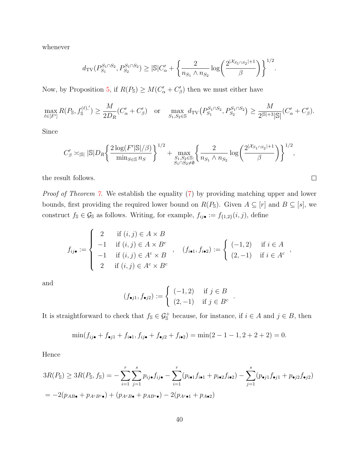whenever

$$
d_{\mathrm{TV}}(P^{S_1 \cap S_2}_{S_1}, P^{S_1 \cap S_2}_{S_2}) \geq |\mathbb{S}|C'_{\alpha} + \left\{\frac{2}{n_{S_1} \wedge n_{S_2}} \log \left(\frac{2^{|\mathcal{X}_{S_1 \cap S_2}|+1}}{\beta}\right)\right\}^{1/2}.
$$

Now, by Proposition [5,](#page-10-0) if  $R(P_{\mathbb{S}}) \geq M(C'_{\alpha} + C'_{\beta})$  then we must either have

$$
\max_{\ell \in [F']} R(P_{\mathbb{S}}, f_{\mathbb{S}}^{(\ell),'}) \ge \frac{M}{2D_R} (C'_{\alpha} + C'_{\beta}) \quad \text{or} \quad \max_{S_1, S_2 \in \mathbb{S}} d_{\text{TV}}(P_{S_1}^{S_1 \cap S_2}, P_{S_2}^{S_1 \cap S_2}) \ge \frac{M}{2^{|\mathbb{S}|+3} |\mathbb{S}|} (C'_{\alpha} + C'_{\beta}).
$$

Since

$$
C'_{\beta} \asymp_{|\mathbb S|} |\mathbb S| D_R \bigg\{ \frac{2 \log (F'|\mathbb S|/\beta)}{\min_{S \in \mathbb S} n_S} \bigg\}^{1/2} + \max_{\substack{S_1, S_2 \in \mathbb S: \\ S_1 \cap S_2 \neq \emptyset}} \bigg\{ \frac{2}{n_{S_1} \wedge n_{S_2}} \log \bigg( \frac{2^{|\mathcal X_{S_1 \cap S_2}|+1}}{\beta} \bigg) \bigg\}^{1/2},
$$

the result follows.

Proof of Theorem [7.](#page-12-0) We establish the equality [\(7\)](#page-12-1) by providing matching upper and lower bounds, first providing the required lower bound on  $R(P_{\mathbb{S}})$ . Given  $A \subseteq [r]$  and  $B \subseteq [s]$ , we construct  $f_{\mathbb{S}} \in \mathcal{G}_{\mathbb{S}}$  as follows. Writing, for example,  $f_{ij\bullet} := f_{\{1,2\}}(i, j)$ , define

$$
f_{ij\bullet} := \begin{cases} 2 & \text{if } (i,j) \in A \times B \\ -1 & \text{if } (i,j) \in A \times B^c \\ -1 & \text{if } (i,j) \in A^c \times B \\ 2 & \text{if } (i,j) \in A^c \times B^c \end{cases}, \quad (f_{i\bullet 1}, f_{i\bullet 2}) := \begin{cases} (-1,2) & \text{if } i \in A \\ (2,-1) & \text{if } i \in A^c \end{cases}
$$

and

$$
(f_{\bullet j1}, f_{\bullet j2}) := \begin{cases} (-1, 2) & \text{if } j \in B \\ (2, -1) & \text{if } j \in B^c \end{cases}
$$

.

 $\Box$ 

It is straightforward to check that  $f_{\mathbb{S}} \in \mathcal{G}_{\mathbb{S}}^+$  because, for instance, if  $i \in A$  and  $j \in B$ , then

$$
\min(f_{ij\bullet} + f_{\bullet j1} + f_{i\bullet 1}, f_{ij\bullet} + f_{\bullet j2} + f_{i\bullet 2}) = \min(2 - 1 - 1, 2 + 2 + 2) = 0.
$$

Hence

$$
3R(P_{\mathbb{S}}) \ge 3R(P_{\mathbb{S}}, f_{\mathbb{S}}) = -\sum_{i=1}^{r} \sum_{j=1}^{s} p_{ij} \cdot f_{ij} \cdot \sum_{i=1}^{r} (p_{i \cdot 1} f_{i \cdot 1} + p_{i \cdot 2} f_{i \cdot 2}) - \sum_{j=1}^{s} (p_{\cdot j1} f_{\cdot j1} + p_{\cdot j2} f_{\cdot j2})
$$
  
=  $-2(p_{AB \bullet} + p_{A^c B^c \bullet}) + (p_{A^c B \bullet} + p_{AB^c \bullet}) - 2(p_{A^c \bullet 1} + p_{A \bullet 2})$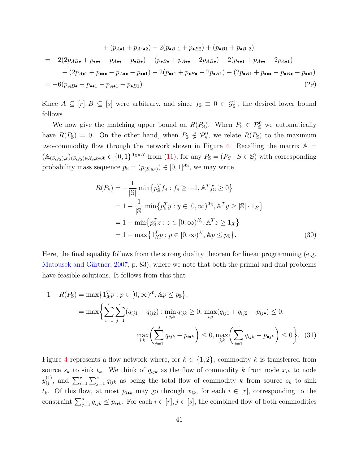$$
+(p_{A\bullet 1} + p_{A^c \bullet 2}) - 2(p_{\bullet B^c 1} + p_{\bullet B2}) + (p_{\bullet B1} + p_{\bullet B^c 2})
$$
  
= -2(2p\_{AB\bullet} + p\_{\bullet\bullet \bullet} - p\_{A\bullet \bullet} - p\_{\bullet B\bullet}) + (p\_{\bullet B\bullet} + p\_{A\bullet \bullet} - 2p\_{AB\bullet}) - 2(p\_{\bullet\bullet 1} + p\_{A\bullet \bullet} - 2p\_{A\bullet 1})  
+ (2p\_{A\bullet 1} + p\_{\bullet \bullet \bullet} - p\_{A\bullet \bullet} - p\_{\bullet \bullet 1}) - 2(p\_{\bullet\bullet 1} + p\_{\bullet B\bullet} - 2p\_{\bullet B1}) + (2p\_{\bullet B1} + p\_{\bullet \bullet \bullet} - p\_{\bullet B\bullet} - p\_{\bullet \bullet 1})  
= -6(p\_{AB\bullet} + p\_{\bullet \bullet 1} - p\_{A\bullet 1} - p\_{\bullet B1}). (29)

Since  $A \subseteq [r], B \subseteq [s]$  were arbitrary, and since  $f_{\mathbb{S}} \equiv 0 \in \mathcal{G}_{\mathbb{S}}^+$ , the desired lower bound follows.

We now give the matching upper bound on  $R(P_{\rm s})$ . When  $P_{\rm s} \in \mathcal{P}_{\rm s}^0$  we automatically have  $R(P_{\rm S}) = 0$ . On the other hand, when  $P_{\rm S} \notin \mathcal{P}_{\rm S}^0$ , we relate  $R(P_{\rm S})$  to the maximum two-commodity flow through the network shown in Figure [4.](#page-41-0) Recalling the matrix  $\mathbb{A} =$  $(\mathbb{A}_{(S,y_S),x})_{(S,y_S)\in\mathcal{X}_{\mathbb{S}},x\in\mathcal{X}} \in \{0,1\}^{\mathcal{X}_{\mathbb{S}}\times\mathcal{X}}$  from  $(11)$ , for any  $P_{\mathbb{S}}=(P_S: S \in \mathbb{S})$  with corresponding probability mass sequence  $p_{\mathbb{S}} = (p_{(S,y_S)}) \in [0,1]^{X_{\mathbb{S}}}$ , we may write

<span id="page-40-2"></span><span id="page-40-1"></span><span id="page-40-0"></span>
$$
R(P_{\mathbb{S}}) = -\frac{1}{|\mathbb{S}|} \min \{ p_{\mathbb{S}}^T f_{\mathbb{S}} : f_{\mathbb{S}} \ge -1, \mathbb{A}^T f_{\mathbb{S}} \ge 0 \}
$$
  
=  $1 - \frac{1}{|\mathbb{S}|} \min \{ p_{\mathbb{S}}^T y : y \in [0, \infty)^{\chi_{\mathbb{S}}}, \mathbb{A}^T y \ge |\mathbb{S}| \cdot 1_{\mathcal{X}} \}$   
=  $1 - \min \{ p_{\mathbb{S}}^T z : z \in [0, \infty)^{\chi_{\mathbb{S}}}, \mathbb{A}^T z \ge 1_{\mathcal{X}} \}$   
=  $1 - \max \{ 1_{\mathcal{X}}^T p : p \in [0, \infty)^{\mathcal{X}}, \mathbb{A} p \le p_{\mathbb{S}} \}.$  (30)

Here, the final equality follows from the strong duality theorem for linear programming (e.g. Matousek and Gärtner,  $2007$ , p. 83), where we note that both the primal and dual problems have feasible solutions. It follows from this that

$$
1 - R(P_{\mathbb{S}}) = \max\left\{1_{\mathcal{X}}^{T} p : p \in [0, \infty)^{\mathcal{X}}, \mathbb{A} p \le p_{\mathbb{S}}\right\},\
$$
  
\n
$$
= \max\left\{\sum_{i=1}^{r} \sum_{j=1}^{s} (q_{ij1} + q_{ij2}) : \min_{i,j,k} q_{ijk} \ge 0, \max_{i,j} (q_{ij1} + q_{ij2} - p_{ij\bullet}) \le 0,
$$
  
\n
$$
\max_{i,k} \left(\sum_{j=1}^{s} q_{ijk} - p_{i\bullet k}\right) \le 0, \max_{j,k} \left(\sum_{i=1}^{r} q_{ijk} - p_{\bullet jk}\right) \le 0\right\}. (31)
$$

Figure [4](#page-41-0) represents a flow network where, for  $k \in \{1,2\}$ , commodity k is transferred from source  $s_k$  to sink  $t_k$ . We think of  $q_{ijk}$  as the flow of commodity k from node  $x_{ik}$  to node  $y_{ij}^{(1)}$ , and  $\sum_{i=1}^r \sum_{j=1}^s q_{ijk}$  as being the total flow of commodity k from source  $s_k$  to sink  $t_k$ . Of this flow, at most  $p_{i\bullet k}$  may go through  $x_{ik}$ , for each  $i \in [r]$ , corresponding to the constraint  $\sum_{j=1}^s q_{ijk} \leq p_{i\bullet k}$ . For each  $i \in [r], j \in [s]$ , the combined flow of both commodities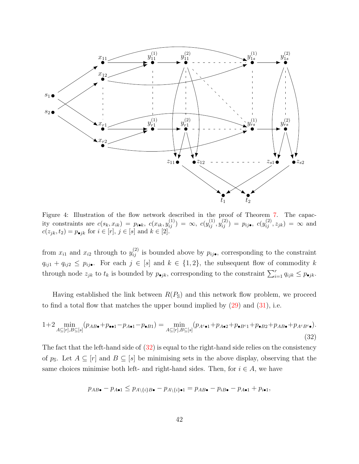<span id="page-41-0"></span>

Figure 4: Illustration of the flow network described in the proof of Theorem [7.](#page-12-0) The capacity constraints are  $c(s_k, x_{ik}) = p_{i\bullet k}, c(x_{ik}, y_{ij}^{(1)}) = \infty, c(y_{ij}^{(1)}, y_{ij}^{(2)}) = p_{ij\bullet}, c(y_{ij}^{(2)}, z_{jk}) = \infty$  and  $c(z_{jk}, t_2) = p_{\bullet jk}$  for  $i \in [r]$ ,  $j \in [s]$  and  $k \in [2]$ .

from  $x_{i1}$  and  $x_{i2}$  through to  $y_{ij}^{(2)}$  is bounded above by  $p_{ij\bullet}$ , corresponding to the constraint  $q_{ij1} + q_{ij2} \leq p_{ij}$ . For each  $j \in [s]$  and  $k \in \{1,2\}$ , the subsequent flow of commodity k through node  $z_{jk}$  to  $t_k$  is bounded by  $p_{\bullet jk}$ , corresponding to the constraint  $\sum_{i=1}^r q_{ijk} \leq p_{\bullet jk}$ .

Having established the link between  $R(P_{\rm s})$  and this network flow problem, we proceed to find a total flow that matches the upper bound implied by  $(29)$  and  $(31)$ , i.e.

<span id="page-41-1"></span>
$$
1+2\min_{A\subseteq[r],B\subseteq[s]}(p_{AB\bullet}+p_{\bullet\bullet 1}-p_{A\bullet 1}-p_{\bullet B1})=\min_{A\subseteq[r],B\subseteq[s]}(p_{A\circ\bullet 1}+p_{A\bullet 2}+p_{\bullet B\circ 1}+p_{\bullet B2}+p_{AB\bullet}+p_{A\circ B\circ\bullet}).
$$
\n(32)

The fact that the left-hand side of  $(32)$  is equal to the right-hand side relies on the consistency of  $p_{\mathbb{S}}$ . Let  $A \subseteq [r]$  and  $B \subseteq [s]$  be minimising sets in the above display, observing that the same choices minimise both left- and right-hand sides. Then, for  $i \in A$ , we have

$$
p_{AB\bullet} - p_{A\bullet 1} \leq p_{A\setminus \{i\}B\bullet} - p_{A\setminus \{i\}\bullet 1} = p_{AB\bullet} - p_{iB\bullet} - p_{A\bullet 1} + p_{i\bullet 1},
$$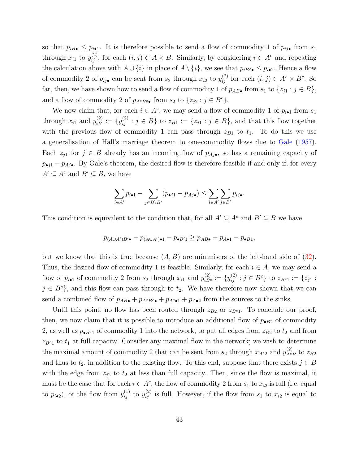so that  $p_{iB\bullet} \leq p_{i\bullet 1}$ . It is therefore possible to send a flow of commodity 1 of  $p_{ij\bullet}$  from  $s_1$ through  $x_{i1}$  to  $y_{ij}^{(2)}$ , for each  $(i, j) \in A \times B$ . Similarly, by considering  $i \in A^c$  and repeating the calculation above with  $A \cup \{i\}$  in place of  $A \setminus \{i\}$ , we see that  $p_{iBc_{\bullet}} \leq p_{i\bullet 2}$ . Hence a flow of commodity 2 of  $p_{ij}$  can be sent from  $s_2$  through  $x_{i2}$  to  $y_{ij}^{(2)}$  for each  $(i, j) \in A^c \times B^c$ . So far, then, we have shown how to send a flow of commodity 1 of  $p_{AB}$  from  $s_1$  to  $\{z_{j1} : j \in B\}$ , and a flow of commodity 2 of  $p_{A^c B^c}$  from  $s_2$  to  $\{z_{j2} : j \in B^c\}.$ 

We now claim that, for each  $i \in A^c$ , we may send a flow of commodity 1 of  $p_{i\bullet 1}$  from  $s_1$ through  $x_{i1}$  and  $y_{iB}^{(2)} := \{y_{ij}^{(2)} : j \in B\}$  to  $z_{B1} := \{z_{j1} : j \in B\}$ , and that this flow together with the previous flow of commodity 1 can pass through  $z_{B1}$  to  $t_1$ . To do this we use a generalisation of Hall's marriage theorem to one-commodity flows due to [Gale](#page-62-5) [\(1957\)](#page-62-5). Each  $z_{j1}$  for  $j \in B$  already has an incoming flow of  $p_{Aj\bullet}$ , so has a remaining capacity of  $p_{\bullet j1} - p_{Aj}$ . By Gale's theorem, the desired flow is therefore feasible if and only if, for every  $A' \subseteq A^c$  and  $B' \subseteq B$ , we have

$$
\sum_{i\in A'} p_{i\bullet 1} - \sum_{j\in B\setminus B'} (p_{\bullet j1} - p_{Aj\bullet}) \le \sum_{i\in A'} \sum_{j\in B'} p_{ij\bullet}.
$$

This condition is equivalent to the condition that, for all  $A' \subseteq A^c$  and  $B' \subseteq B$  we have

$$
p_{(A\cup A')B'\bullet} - p_{(A\cup A')\bullet 1} - p_{\bullet B'1} \ge p_{AB\bullet} - p_{A\bullet 1} - p_{\bullet B1},
$$

but we know that this is true because  $(A, B)$  are minimisers of the left-hand side of  $(32)$ . Thus, the desired flow of commodity 1 is feasible. Similarly, for each  $i \in A$ , we may send a flow of  $p_{i\bullet 1}$  of commodity 2 from  $s_2$  through  $x_{i1}$  and  $y_{iB^c}^{(2)} := \{y_{ij}^{(2)} : j \in B^c\}$  to  $z_{B^c 1} := \{z_{j1} : j \in B^c\}$  $j \in B<sup>c</sup>$ , and this flow can pass through to  $t_2$ . We have therefore now shown that we can send a combined flow of  $p_{AB\bullet} + p_{A^cB^c\bullet} + p_{A^c\bullet 1} + p_{A\bullet 2}$  from the sources to the sinks.

Until this point, no flow has been routed through  $z_{B2}$  or  $z_{B<sup>c</sup>1}$ . To conclude our proof, then, we now claim that it is possible to introduce an additional flow of  $p_{\bullet B2}$  of commodity 2, as well as  $p_{\bullet B^{c_1}}$  of commodity 1 into the network, to put all edges from  $z_{B2}$  to  $t_2$  and from  $z_{B_{c1}}$  to  $t_1$  at full capacity. Consider any maximal flow in the network; we wish to determine the maximal amount of commodity 2 that can be sent from  $s_2$  through  $x_{A^{c_2}}$  and  $y_{A^c}^{(2)}$  $\chi_{A^cB}^{(2)}$  to  $z_{B2}$ and thus to  $t_2$ , in addition to the existing flow. To this end, suppose that there exists  $j \in B$ with the edge from  $z_{i2}$  to  $t_2$  at less than full capacity. Then, since the flow is maximal, it must be the case that for each  $i \in A^c$ , the flow of commodity 2 from  $s_1$  to  $x_{i2}$  is full (i.e. equal to  $p_{i\bullet 2}$ ), or the flow from  $y_{ij}^{(1)}$  to  $y_{ij}^{(2)}$  is full. However, if the flow from  $s_1$  to  $x_{i2}$  is equal to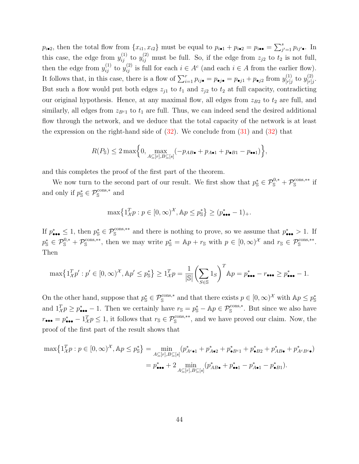$p_{i\bullet 2}$ , then the total flow from  $\{x_{i1}, x_{i2}\}$  must be equal to  $p_{i\bullet 1} + p_{i\bullet 2} = p_{i\bullet \bullet} = \sum_{j'=1}^s p_{ij'\bullet}$ . In this case, the edge from  $y_{ij}^{(1)}$  to  $y_{ij}^{(2)}$  must be full. So, if the edge from  $z_{j2}$  to  $t_2$  is not full, then the edge from  $y_{ij}^{(1)}$  to  $y_{ij}^{(2)}$  is full for each  $i \in A^c$  (and each  $i \in A$  from the earlier flow). It follows that, in this case, there is a flow of  $\sum_{i=1}^{r} p_{ij} = p_{\bullet j \bullet} = p_{\bullet j 1} + p_{\bullet j 2}$  from  $y_{[r]j}^{(1)}$  $_{\left[ r\right] j}^{\left( 1\right) }$  to  $y_{\left[ r\right] j}^{\left( 2\right) }$  $\frac{(2)}{[r]j}$ . But such a flow would put both edges  $z_{j1}$  to  $t_1$  and  $z_{j2}$  to  $t_2$  at full capacity, contradicting our original hypothesis. Hence, at any maximal flow, all edges from  $z_{B2}$  to  $t_2$  are full, and similarly, all edges from  $z_{B<sub>c1</sub>}$  to  $t_1$  are full. Thus, we can indeed send the desired additional flow through the network, and we deduce that the total capacity of the network is at least the expression on the right-hand side of  $(32)$ . We conclude from  $(31)$  and  $(32)$  that

$$
R(P_{\mathbb{S}}) \le 2 \max \Big\{ 0, \max_{A \subseteq [r], B \subseteq [s]} (-p_{AB\bullet} + p_{A\bullet 1} + p_{\bullet B1} - p_{\bullet \bullet 1}) \Big\},\,
$$

and this completes the proof of the first part of the theorem.

We now turn to the second part of our result. We first show that  $p_{\mathbb{S}}^* \in \mathcal{P}_{\mathbb{S}}^{0,*} + \mathcal{P}_{\mathbb{S}}^{\text{cons},**}$  if and only if  $p_{\mathbb{S}}^* \in \mathcal{P}_{\mathbb{S}}^{\text{cons},*}$  and

$$
\max\left\{1_{\mathcal{X}}^T p : p \in [0,\infty)^{\mathcal{X}}, \mathbb{A} p \le p_{\mathbb{S}}^*\right\} \ge (p_{\bullet \bullet \bullet}^* - 1)_+.
$$

If  $p_{\bullet\bullet\bullet}^* \leq 1$ , then  $p_{\mathbb{S}}^* \in \mathcal{P}_{\mathbb{S}}^{\text{cons},**}$  and there is nothing to prove, so we assume that  $p_{\bullet\bullet\bullet}^* > 1$ . If  $p_{\mathbb{S}}^* \in \mathcal{P}_{\mathbb{S}}^{\mathbb{O},*} + \mathcal{P}_{\mathbb{S}}^{\text{cons},**}$ , then we may write  $p_{\mathbb{S}}^* = \mathbb{A}p + r_{\mathbb{S}}$  with  $p \in [0,\infty)^{\mathcal{X}}$  and  $r_{\mathbb{S}} \in \mathcal{P}_{\mathbb{S}}^{\text{cons},**}$ . Then

$$
\max\left\{1_{\mathcal{X}}^T p': p' \in [0, \infty)^{\mathcal{X}}, \mathbb{A} p' \le p_{\mathbb{S}}^*\right\} \ge 1_{\mathcal{X}}^T p = \frac{1}{|\mathbb{S}|} \left(\sum_{S \in \mathbb{S}} 1_S\right)^T \mathbb{A} p = p_{\bullet \bullet \bullet}^* - r_{\bullet \bullet \bullet} \ge p_{\bullet \bullet \bullet}^* - 1.
$$

On the other hand, suppose that  $p_s^* \in \mathcal{P}_s^{\text{cons},*}$  and that there exists  $p \in [0,\infty)^{\mathcal{X}}$  with  $\mathbb{A}p \leq p_s^*$ and  $1^T_{\mathcal{X}} p \geq p_{\bullet \bullet \bullet}^* - 1$ . Then we certainly have  $r_s = p_s^* - \mathbb{A} p \in \mathcal{P}_s^{\text{cons},*}$ . But since we also have  $r_{\bullet\bullet\bullet} = p_{\bullet\bullet\bullet}^* - 1_{\mathcal{X}}^T p \leq 1$ , it follows that  $r_{\mathbb{S}} \in \mathcal{P}_{\mathbb{S}}^{\text{cons},**}$ , and we have proved our claim. Now, the proof of the first part of the result shows that

$$
\max\left\{1_{\mathcal{X}}^T p : p \in [0,\infty)^{\mathcal{X}}, \mathbb{A} p \le p_{\mathbb{S}}^*\right\} = \min_{A \subseteq [r], B \subseteq [s]} (p_{A^c \bullet 1}^* + p_{A \bullet 2}^* + p_{\bullet B^c 1}^* + p_{\bullet B2}^* + p_{A B \bullet}^* + p_{A^c B^c \bullet}^*)
$$

$$
= p_{\bullet \bullet \bullet}^* + 2 \min_{A \subseteq [r], B \subseteq [s]} (p_{AB \bullet}^* + p_{\bullet \bullet 1}^* - p_{A \bullet 1}^* - p_{\bullet B1}^*).
$$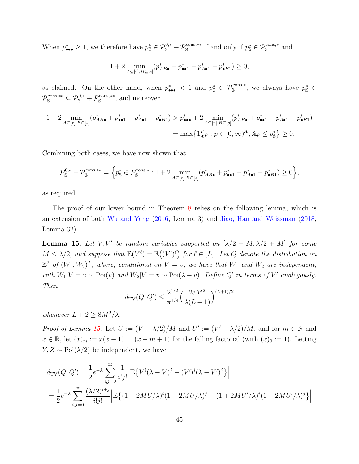When  $p_{\bullet\bullet\bullet}^* \geq 1$ , we therefore have  $p_{\mathbb{S}}^* \in \mathcal{P}_{\mathbb{S}}^{0,*} + \mathcal{P}_{\mathbb{S}}^{\text{cons},**}$  if and only if  $p_{\mathbb{S}}^* \in \mathcal{P}_{\mathbb{S}}^{\text{cons},*}$  and

$$
1 + 2 \min_{A \subseteq [r], B \subseteq [s]} (p_{AB\bullet}^* + p_{\bullet\bullet 1}^* - p_{A\bullet 1}^* - p_{\bullet B1}^*) \ge 0,
$$

as claimed. On the other hand, when  $p_{\bullet\bullet\bullet}^* < 1$  and  $p_{\mathbb{S}}^* \in \mathcal{P}_{\mathbb{S}}^{\text{cons},*}$ , we always have  $p_{\mathbb{S}}^* \in$  $\mathcal{P}_{\mathbb{S}}^{\text{cons},**} \subseteq \mathcal{P}_{\mathbb{S}}^{0,*} + \mathcal{P}_{\mathbb{S}}^{\text{cons},**}$ , and moreover

$$
1 + 2 \min_{A \subseteq [r], B \subseteq [s]} (p_{AB\bullet}^* + p_{\bullet\bullet 1}^* - p_{A\bullet 1}^* - p_{\bullet B1}^*) > p_{\bullet\bullet\bullet}^* + 2 \min_{A \subseteq [r], B \subseteq [s]} (p_{AB\bullet}^* + p_{\bullet\bullet 1}^* - p_{A\bullet 1}^* - p_{\bullet B1}^*)
$$
  
= 
$$
\max\{1_{\mathcal{X}}^T p : p \in [0, \infty)^{\mathcal{X}}, \mathbb{A} p \le p_{\mathbb{S}}^*\} \ge 0.
$$

Combining both cases, we have now shown that

$$
\mathcal{P}_{\mathbb{S}}^{0,*} + \mathcal{P}_{\mathbb{S}}^{\text{cons},**} = \left\{ p_{\mathbb{S}}^* \in \mathcal{P}_{\mathbb{S}}^{\text{cons},*} : 1 + 2 \min_{A \subseteq [r], B \subseteq [s]} (p_{AB\bullet}^* + p_{\bullet\bullet 1}^* - p_{A\bullet 1}^* - p_{\bullet B1}^*) \ge 0 \right\},\
$$

 $\Box$ 

as required.

The proof of our lower bound in Theorem [8](#page-13-0) relies on the following lemma, which is an extension of both [Wu and Yang](#page-64-9) [\(2016,](#page-64-9) Lemma 3) and [Jiao, Han and Weissman](#page-62-10) [\(2018,](#page-62-10) Lemma 32).

<span id="page-44-0"></span>**Lemma 15.** Let V, V' be random variables supported on  $[\lambda/2 - M, \lambda/2 + M]$  for some  $M \leq \lambda/2$ , and suppose that  $\mathbb{E}(V^{\ell}) = \mathbb{E}((V')^{\ell})$  for  $\ell \in [L]$ . Let Q denote the distribution on  $\mathbb{Z}^2$  of  $(W_1, W_2)^T$ , where, conditional on  $V = v$ , we have that  $W_1$  and  $W_2$  are independent, with  $W_1|V = v \sim \text{Poi}(v)$  and  $W_2|V = v \sim \text{Poi}(\lambda - v)$ . Define Q' in terms of V' analogously. Then

$$
d_{\mathrm{TV}}(Q, Q') \le \frac{2^{1/2}}{\pi^{1/4}} \left(\frac{2eM^2}{\lambda(L+1)}\right)^{(L+1)/2}
$$

whenever  $L + 2 \geq 8M^2/\lambda$ .

*Proof of Lemma [15.](#page-44-0)* Let  $U := (V - \lambda/2)/M$  and  $U' := (V' - \lambda/2)/M$ , and for  $m \in \mathbb{N}$  and  $x \in \mathbb{R}$ , let  $(x)_m := x(x-1)...(x-m+1)$  for the falling factorial (with  $(x)_0 := 1$ ). Letting  $Y, Z \sim \text{Poi}(\lambda/2)$  be independent, we have

$$
d_{\text{TV}}(Q, Q') = \frac{1}{2} e^{-\lambda} \sum_{i,j=0}^{\infty} \frac{1}{i!j!} \Big| \mathbb{E} \{ V^i (\lambda - V)^j - (V')^i (\lambda - V')^j \} \Big|
$$
  
= 
$$
\frac{1}{2} e^{-\lambda} \sum_{i,j=0}^{\infty} \frac{(\lambda/2)^{i+j}}{i!j!} \Big| \mathbb{E} \{ (1 + 2MU/\lambda)^i (1 - 2MU/\lambda)^j - (1 + 2MU'/\lambda)^i (1 - 2MU'/\lambda)^j \} \Big|
$$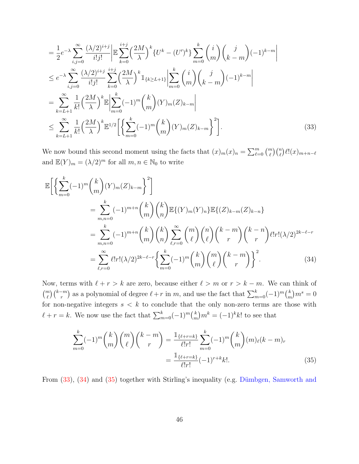$$
= \frac{1}{2}e^{-\lambda}\sum_{i,j=0}^{\infty}\frac{(\lambda/2)^{i+j}}{i!j!}\Big|\mathbb{E}\sum_{k=0}^{i+j}\Big(\frac{2M}{\lambda}\Big)^{k}\{U^{k} - (U')^{k}\}\sum_{m=0}^{k}\binom{i}{m}\binom{j}{k-m}(-1)^{k-m}\Big|
$$
  
\n
$$
\leq e^{-\lambda}\sum_{i,j=0}^{\infty}\frac{(\lambda/2)^{i+j}}{i!j!}\sum_{k=0}^{i+j}\Big(\frac{2M}{\lambda}\Big)^{k}\mathbb{1}_{\{k\geq L+1\}}\Big|\sum_{m=0}^{k}\binom{i}{m}\binom{j}{k-m}(-1)^{k-m}\Big|
$$
  
\n
$$
= \sum_{k=L+1}^{\infty}\frac{1}{k!}\Big(\frac{2M}{\lambda}\Big)^{k}\mathbb{E}\Big|\sum_{m=0}^{k}(-1)^{m}\binom{k}{m}(Y)_{m}(Z)_{k-m}\Big|
$$
  
\n
$$
\leq \sum_{k=L+1}^{\infty}\frac{1}{k!}\Big(\frac{2M}{\lambda}\Big)^{k}\mathbb{E}^{1/2}\Big[\Big\{\sum_{m=0}^{k}(-1)^{m}\binom{k}{m}(Y)_{m}(Z)_{k-m}\Big\}^{2}\Big].
$$
 (33)

<span id="page-45-0"></span>We now bound this second moment using the facts that  $(x)_m(x)_n = \sum_{\ell=0}^m \binom{m}{\ell} \binom{n}{\ell} \ell!(x)_{m+n-\ell}$ and  $\mathbb{E}(Y)_m = (\lambda/2)^m$  for all  $m,n \in \mathbb{N}_0$  to write

$$
\mathbb{E}\Big[\Big\{\sum_{m=0}^{k}(-1)^{m}\binom{k}{m}(Y)_{m}(Z)_{k-m}\Big\}^{2}\Big]
$$
\n
$$
=\sum_{m,n=0}^{k}(-1)^{m+n}\binom{k}{m}\binom{k}{n}\mathbb{E}\{(Y)_{m}(Y)_{n}\}\mathbb{E}\{(Z)_{k-m}(Z)_{k-n}\}\n\n=\sum_{m,n=0}^{k}(-1)^{m+n}\binom{k}{m}\binom{k}{n}\sum_{\ell,r=0}^{\infty}\binom{m}{\ell}\binom{n}{\ell}\binom{k-m}{r}\binom{k-n}{r}\ell!r!(\lambda/2)^{2k-\ell-r}\n\n=\sum_{\ell,r=0}^{\infty}\ell!r!(\lambda/2)^{2k-\ell-r}\Big\{\sum_{m=0}^{k}(-1)^{m}\binom{k}{m}\binom{m}{\ell}\binom{k-m}{r}\Big\}^{2}.\n(34)
$$

Now, terms with  $\ell + r > k$  are zero, because either  $\ell > m$  or  $r > k - m$ . We can think of  $\binom{m}{\ell}\binom{k-m}{r}$  as a polynomial of degree  $\ell+r$  in m, and use the fact that  $\sum_{m=0}^{k}(-1)^{m}\binom{k}{m}$  $\binom{k}{m}m^s=0$ for non-negative integers  $s < k$  to conclude that the only non-zero terms are those with  $\ell + r = k$ . We now use the fact that  $\sum_{m=0}^{k} (-1)^m {k \choose m}$  $\binom{k}{m}m^k = (-1)^k k!$  to see that

<span id="page-45-2"></span><span id="page-45-1"></span>
$$
\sum_{m=0}^{k}(-1)^{m}\binom{k}{m}\binom{m}{\ell}\binom{k-m}{r} = \frac{\mathbb{1}_{\{\ell+r=k\}}}{\ell!r!} \sum_{m=0}^{k}(-1)^{m}\binom{k}{m}(m)_{\ell}(k-m)_{r}
$$

$$
= \frac{\mathbb{1}_{\{\ell+r=k\}}}{\ell!r!}(-1)^{r+k}k!.
$$
(35)

From  $(33)$ ,  $(34)$  and  $(35)$  together with Stirling's inequality (e.g. Dümbgen, Samworth and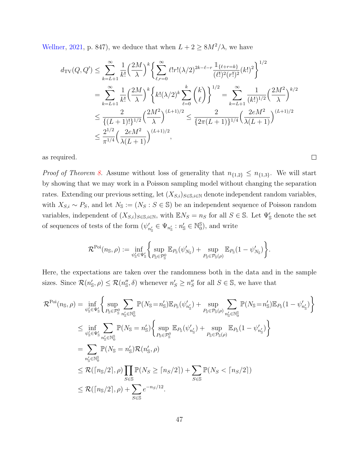[Wellner,](#page-61-13) [2021,](#page-61-13) p. 847), we deduce that when  $L + 2 \geq 8M^2/\lambda$ , we have

$$
d_{\text{TV}}(Q, Q') \leq \sum_{k=L+1}^{\infty} \frac{1}{k!} \left(\frac{2M}{\lambda}\right)^k \left\{ \sum_{\ell,r=0}^{\infty} \ell! r! (\lambda/2)^{2k-\ell-r} \frac{\mathbb{1}_{\{\ell+r=k\}}}{(\ell!)^2 (r!)^2} (k!)^2 \right\}^{1/2}
$$
  

$$
= \sum_{k=L+1}^{\infty} \frac{1}{k!} \left(\frac{2M}{\lambda}\right)^k \left\{ k! (\lambda/2)^k \sum_{\ell=0}^k {k \choose \ell} \right\}^{1/2} = \sum_{k=L+1}^{\infty} \frac{1}{(k!)^{1/2}} \left(\frac{2M^2}{\lambda}\right)^{k/2}
$$
  

$$
\leq \frac{2}{\{(L+1)!\}^{1/2}} \left(\frac{2M^2}{\lambda}\right)^{(L+1)/2} \leq \frac{2}{\{2\pi(L+1)\}^{1/4}} \left(\frac{2eM^2}{\lambda(L+1)}\right)^{(L+1)/2}
$$
  

$$
\leq \frac{2^{1/2}}{\pi^{1/4}} \left(\frac{2eM^2}{\lambda(L+1)}\right)^{(L+1)/2},
$$

as required.

*Proof of Theorem [8.](#page-13-0)* Assume without loss of generality that  $n_{\{1,2\}} \leq n_{\{1,3\}}$ . We will start by showing that we may work in a Poisson sampling model without changing the separation rates. Extending our previous setting, let  $(X_{S,i})_{S\in\mathbb{S},i\in\mathbb{N}}$  denote independent random variables, with  $X_{S,i} \sim P_S$ , and let  $N_s := (N_S : S \in \mathbb{S})$  be an independent sequence of Poisson random variables, independent of  $(X_{S,i})_{S \in \mathbb{S}, i \in \mathbb{N}}$ , with  $\mathbb{E} N_S = n_S$  for all  $S \in \mathbb{S}$ . Let  $\Psi_S'$  denote the set of sequences of tests of the form  $(\psi'_i)$  $n'_{n'_{\mathbb{S}}}\in \Psi_{n'_{\mathbb{S}}}: n'_{\mathbb{S}}\in \mathbb{N}_0^{\mathbb{S}}$  $_0^{\$}$ ), and write

 $\Box$ 

$$
\mathcal{R}^{\mathrm{Poi}}(n_{\mathbb{S}},\rho):=\inf_{\psi_{\mathbb{S}}'\in\Psi_{\mathbb{S}}'}\bigg\{\sup_{P_{\mathbb{S}}\in\mathcal{P}_{\mathbb{S}}^0}\mathbb{E}_{P_{\mathbb{S}}}(\psi_{N_{\mathbb{S}}}')+ \sup_{P_{\mathbb{S}}\in\mathcal{P}_{\mathbb{S}}(\rho)}\mathbb{E}_{P_{\mathbb{S}}}(1-\psi_{N_{\mathbb{S}}}^{\prime})\bigg\}.
$$

Here, the expectations are taken over the randomness both in the data and in the sample sizes. Since  $\mathcal{R}(n'_{\mathbb{S}}, \rho) \leq \mathcal{R}(n''_{\mathbb{S}}, \delta)$  whenever  $n'_{\mathcal{S}} \geq n''_{\mathcal{S}}$  for all  $S \in \mathbb{S}$ , we have that

$$
\mathcal{R}^{\text{Poi}}(n_{\mathbb{S}}, \rho) = \inf_{\psi_{\mathbb{S}}' \in \Psi_{\mathbb{S}}'} \left\{ \sup_{P_{\mathbb{S}} \in \mathcal{P}_{\mathbb{S}}^{0}} \sum_{n_{\mathbb{S}}' \in \mathbb{N}_{0}^{\mathbb{S}}} \mathbb{P}(N_{\mathbb{S}} = n_{\mathbb{S}}') \mathbb{E}_{P_{\mathbb{S}}}(\psi_{n_{\mathbb{S}}'}') + \sup_{P_{\mathbb{S}} \in \mathcal{P}_{\mathbb{S}}(\rho)} \sum_{n_{\mathbb{S}}' \in \mathbb{N}_{0}^{\mathbb{S}}} \mathbb{P}(N_{\mathbb{S}} = n_{\mathbb{S}}') \mathbb{E}_{P_{\mathbb{S}}} \left\{ \sup_{P_{\mathbb{S}} \in \mathcal{P}_{\mathbb{S}}^{0}} \mathbb{E}_{P_{\mathbb{S}}}(\psi_{n_{\mathbb{S}}'}') + \sup_{P_{\mathbb{S}} \in \mathcal{P}_{\mathbb{S}}(\rho)} \mathbb{E}_{P_{\mathbb{S}}}(1 - \psi_{n_{\mathbb{S}}'})' \right\} \n= \sum_{n_{\mathbb{S}}' \in \mathbb{N}_{0}^{\mathbb{S}}} \mathbb{P}(N_{\mathbb{S}} = n_{\mathbb{S}}') \mathcal{R}(n_{\mathbb{S}}', \rho) \n\leq \mathcal{R}(\lceil n_{\mathbb{S}}/2 \rceil, \rho) \prod_{S \in \mathbb{S}} \mathbb{P}(N_{S} \geq \lceil n_{S}/2 \rceil) + \sum_{S \in \mathbb{S}} \mathbb{P}(N_{S} < \lceil n_{S}/2 \rceil) \n\leq \mathcal{R}(\lceil n_{\mathbb{S}}/2 \rceil, \rho) + \sum_{S \in \mathbb{S}} e^{-n_{S}/12}.
$$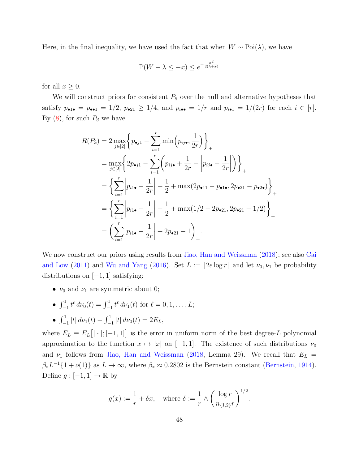Here, in the final inequality, we have used the fact that when  $W \sim \text{Poi}(\lambda)$ , we have

$$
\mathbb{P}(W - \lambda \leq -x) \leq e^{-\frac{x^2}{2(\lambda + x)}}
$$

for all  $x \geq 0$ .

We will construct priors for consistent  $P_{\rm S}$  over the null and alternative hypotheses that satisfy  $p_{\bullet 1\bullet} = p_{\bullet \bullet 1} = 1/2$ ,  $p_{\bullet 21} \ge 1/4$ , and  $p_{i\bullet \bullet} = 1/r$  and  $p_{i\bullet 1} = 1/(2r)$  for each  $i \in [r]$ . By  $(8)$ , for such  $P_{\mathbb{S}}$  we have

$$
R(P_{\mathbb{S}}) = 2 \max_{j \in [2]} \left\{ p_{\bullet j1} - \sum_{i=1}^{r} \min \left( p_{ij\bullet}, \frac{1}{2r} \right) \right\}_{+}
$$
  
=  $\max_{j \in [2]} \left\{ 2p_{\bullet j1} - \sum_{i=1}^{r} \left( p_{ij\bullet} + \frac{1}{2r} - \left| p_{ij\bullet} - \frac{1}{2r} \right| \right) \right\}_{+}$   
=  $\left\{ \sum_{i=1}^{r} \left| p_{i1\bullet} - \frac{1}{2r} \right| - \frac{1}{2} + \max(2p_{\bullet 11} - p_{\bullet 1\bullet}, 2p_{\bullet 21} - p_{\bullet 2\bullet}) \right\}_{+}$   
=  $\left\{ \sum_{i=1}^{r} \left| p_{i1\bullet} - \frac{1}{2r} \right| - \frac{1}{2} + \max(1/2 - 2p_{\bullet 21}, 2p_{\bullet 21} - 1/2) \right\}_{+}$   
=  $\left( \sum_{i=1}^{r} \left| p_{i1\bullet} - \frac{1}{2r} \right| + 2p_{\bullet 21} - 1 \right)_{+}.$ 

We now construct our priors using results from [Jiao, Han and Weissman](#page-62-10) [\(2018\)](#page-62-10); see also [Cai](#page-60-10) [and Low](#page-60-10) [\(2011\)](#page-60-10) and [Wu and Yang](#page-64-9) [\(2016\)](#page-64-9). Set  $L := \lfloor 2e \log r \rfloor$  and let  $\nu_0, \nu_1$  be probability distributions on  $[-1, 1]$  satisfying:

- $\nu_0$  and  $\nu_1$  are symmetric about 0;
- $\int_{-1}^{1} t^{\ell} d\nu_0(t) = \int_{-1}^{1} t^{\ell} d\nu_1(t)$  for  $\ell = 0, 1, ..., L$ ;
- $\int_{-1}^{1} |t| \, d\nu_1(t) \int_{-1}^{1} |t| \, d\nu_0(t) = 2E_L$ ,

where  $E_L \equiv E_L \left[ \vert \cdot \vert ; \left[ -1, 1 \right] \right]$  is the error in uniform norm of the best degree-L polynomial approximation to the function  $x \mapsto |x|$  on  $[-1, 1]$ . The existence of such distributions  $\nu_0$ and  $\nu_1$  follows from [Jiao, Han and Weissman](#page-62-10) [\(2018,](#page-62-10) Lemma 29). We recall that  $E_L$  =  $\beta_* L^{-1}{1 + o(1)}$  as  $L \to \infty$ , where  $\beta_* \approx 0.2802$  is the Bernstein constant [\(Bernstein,](#page-60-11) [1914\)](#page-60-11). Define  $g: [-1, 1] \to \mathbb{R}$  by

$$
g(x) := \frac{1}{r} + \delta x, \quad \text{where } \delta := \frac{1}{r} \wedge \left(\frac{\log r}{n_{\{1,2\}}r}\right)^{1/2}.
$$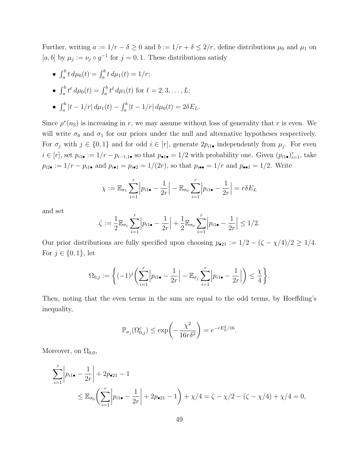Further, writing  $a := 1/r - \delta \ge 0$  and  $b := 1/r + \delta \le 2/r$ , define distributions  $\mu_0$  and  $\mu_1$  on [a, b] by  $\mu_j := \nu_j \circ g^{-1}$  for  $j = 0, 1$ . These distributions satisfy

•  $\int_a^b t \, d\mu_0(t) = \int_a^b t \, d\mu_1(t) = 1/r;$ 

• 
$$
\int_a^b t^{\ell} d\mu_0(t) = \int_a^b t^{\ell} d\mu_1(t)
$$
 for  $\ell = 2, 3, ..., L$ ;

• 
$$
\int_a^b |t - 1/r| d\mu_1(t) - \int_a^b |t - 1/r| d\mu_0(t) = 2\delta E_L.
$$

Since  $\rho^*(n_{\rm S})$  is increasing in r, we may assume without loss of generality that r is even. We will write  $\sigma_0$  and  $\sigma_1$  for our priors under the null and alternative hypotheses respectively. For  $\sigma_j$  with  $j \in \{0,1\}$  and for odd  $i \in [r]$ , generate  $2p_{i1}$ , independently from  $\mu_j$ . For even  $i \in [r]$ , set  $p_{i1\bullet} := 1/r - p_{i-1,1\bullet}$  so that  $p_{\bullet1\bullet} = 1/2$  with probability one. Given  $(p_{i1\bullet})_{i=1}^r$ , take  $p_{i2\bullet} := 1/r - p_{i1\bullet}$  and  $p_{i\bullet 1} = p_{i\bullet 2} = 1/(2r)$ , so that  $p_{i\bullet \bullet} = 1/r$  and  $p_{\bullet \bullet 1} = 1/2$ . Write

$$
\chi := \mathbb{E}_{\sigma_1} \sum_{i=1}^r \left| p_{i1\bullet} - \frac{1}{2r} \right| - \mathbb{E}_{\sigma_0} \sum_{i=1}^r \left| p_{i1\bullet} - \frac{1}{2r} \right| = r \delta E_L
$$

and set

$$
\zeta := \frac{1}{2} \mathbb{E}_{\sigma_1} \sum_{i=1}^r \left| p_{i1\bullet} - \frac{1}{2r} \right| + \frac{1}{2} \mathbb{E}_{\sigma_0} \sum_{i=1}^r \left| p_{i1\bullet} - \frac{1}{2r} \right| \le 1/2.
$$

Our prior distributions are fully specified upon choosing  $p_{\bullet 21} := 1/2 - (\zeta - \chi/4)/2 \ge 1/4$ . For  $j \in \{0, 1\}$ , let

$$
\Omega_{0,j} := \left\{ (-1)^j \left( \sum_{i=1}^r \left| p_{i1\bullet} - \frac{1}{2r} \right| - \mathbb{E}_{\sigma_j} \sum_{i=1}^r \left| p_{i1\bullet} - \frac{1}{2r} \right| \right) \leq \frac{\chi}{4} \right\}.
$$

Then, noting that the even terms in the sum are equal to the odd terms, by Hoeffding's inequality,

$$
\mathbb{P}_{\sigma_j}(\Omega_{0,j}^c) \le \exp\left(-\frac{\chi^2}{16r\delta^2}\right) = e^{-rE_L^2/16}.
$$

Moreover, on  $\Omega_{0,0}$ ,

$$
\sum_{i=1}^{r} \left| p_{i1\bullet} - \frac{1}{2r} \right| + 2p_{\bullet 21} - 1
$$
\n
$$
\leq \mathbb{E}_{\sigma_0} \left( \sum_{i=1}^{r} \left| p_{i1\bullet} - \frac{1}{2r} \right| + 2p_{\bullet 21} - 1 \right) + \chi/4 = \zeta - \chi/2 - (\zeta - \chi/4) + \chi/4 = 0,
$$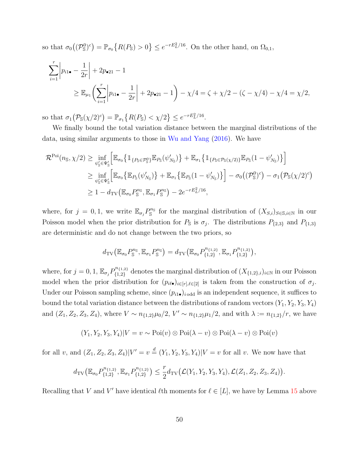so that  $\sigma_0((\mathcal{P}_s^0)^c) = \mathbb{P}_{\sigma_0}\big\{R(P_s) > 0\big\} \leq e^{-rE_L^2/16}$ . On the other hand, on  $\Omega_{0,1}$ ,

$$
\sum_{i=1}^{r} \left| p_{i1\bullet} - \frac{1}{2r} \right| + 2p_{\bullet 21} - 1
$$
\n
$$
\geq \mathbb{E}_{\mu_1} \left( \sum_{i=1}^{r} \left| p_{i1\bullet} - \frac{1}{2r} \right| + 2p_{\bullet 21} - 1 \right) - \chi/4 = \zeta + \chi/2 - (\zeta - \chi/4) - \chi/4 = \chi/2,
$$

so that  $\sigma_1(\mathcal{P}_s(\chi/2)^c) = \mathbb{P}_{\sigma_1}\big\{R(P_s) < \chi/2\big\} \leq e^{-rE_L^2/16}.$ 

We finally bound the total variation distance between the marginal distributions of the data, using similar arguments to those in [Wu and Yang](#page-64-9) [\(2016\)](#page-64-9). We have

$$
\mathcal{R}^{\text{Poi}}(n_{\mathbb{S}}, \chi/2) \ge \inf_{\psi_{\mathbb{S}}' \in \Psi_{\mathbb{S}}'} \Big[ \mathbb{E}_{\sigma_{0}} \big\{ \mathbb{1}_{\{P_{\mathbb{S}} \in \mathcal{P}_{\mathbb{S}}^{0}\}} \mathbb{E}_{P_{\mathbb{S}}}(\psi_{N_{\mathbb{S}}}') \big\} + \mathbb{E}_{\sigma_{1}} \big\{ \mathbb{1}_{\{P_{\mathbb{S}} \in \mathcal{P}_{\mathbb{S}}(\chi/2)\}} \mathbb{E}_{P_{\mathbb{S}}}(1 - \psi_{N_{\mathbb{S}}}') \big\} \Big] \ge \inf_{\psi_{\mathbb{S}}' \in \Psi_{\mathbb{S}}'} \Big[ \mathbb{E}_{\sigma_{0}} \big\{ \mathbb{E}_{P_{\mathbb{S}}}(\psi_{N_{\mathbb{S}}}') \big\} + \mathbb{E}_{\sigma_{1}} \big\{ \mathbb{E}_{P_{\mathbb{S}}}(1 - \psi_{N_{\mathbb{S}}}') \big\} \Big] - \sigma_{0} \big( (\mathcal{P}_{\mathbb{S}}^{0})^{c} \big) - \sigma_{1} \big( \mathcal{P}_{\mathbb{S}}(\chi/2)^{c} \big) \ge 1 - d_{\text{TV}} \big( \mathbb{E}_{\sigma_{0}} P_{\mathbb{S}}^{n_{\mathbb{S}}}, \mathbb{E}_{\sigma_{1}} P_{\mathbb{S}}^{n_{\mathbb{S}}} \big) - 2e^{-rE_{L}^{2}/16},
$$

where, for  $j = 0, 1$ , we write  $\mathbb{E}_{\sigma_j} P_{\mathbb{S}}^{n_{\mathbb{S}}}$  for the marginal distribution of  $(X_{S,i})_{S \in \mathbb{S}, i \in \mathbb{N}}$  in our Poisson model when the prior distribution for  $P_{\$}$  is  $\sigma_j$ . The distributions  $P_{\{2,3\}}$  and  $P_{\{1,3\}}$ are deterministic and do not change between the two priors, so

$$
d_{\mathrm{TV}}(\mathbb{E}_{\sigma_0} P_{\mathbb{S}}^{n_{\mathbb{S}}}, \mathbb{E}_{\sigma_1} P_{\mathbb{S}}^{n_{\mathbb{S}}}) = d_{\mathrm{TV}}(\mathbb{E}_{\sigma_0} P_{\{1,2\}}^{n_{\{1,2\}}}, \mathbb{E}_{\sigma_1} P_{\{1,2\}}^{n_{\{1,2\}}}),
$$

where, for  $j = 0, 1, \mathbb{E}_{\sigma_j} P_{\{1,2\}}^{n_{\{1,2\}}}$  ${X_{1,2}}$  denotes the marginal distribution of  $(X_{\{1,2\},i})_{i\in\mathbb{N}}$  in our Poisson model when the prior distribution for  $(p_{i\ell\bullet})_{i\in[r],\ell\in[2]}$  is taken from the construction of  $\sigma_j$ . Under our Poisson sampling scheme, since  $(p_{i1\bullet})_{i \text{ odd}}$  is an independent sequence, it suffices to bound the total variation distance between the distributions of random vectors  $(Y_1, Y_2, Y_3, Y_4)$ and  $(Z_1, Z_2, Z_3, Z_4)$ , where  $V \sim n_{\{1,2\}}\mu_0/2$ ,  $V' \sim n_{\{1,2\}}\mu_1/2$ , and with  $\lambda := n_{\{1,2\}}/r$ , we have

$$
(Y_1, Y_2, Y_3, Y_4)|V = v \sim \text{Poi}(v) \otimes \text{Poi}(\lambda - v) \otimes \text{Poi}(\lambda - v) \otimes \text{Poi}(v)
$$

for all v, and  $(Z_1, Z_2, Z_3, Z_4)|V' = v \stackrel{d}{=} (Y_1, Y_2, Y_3, Y_4)|V = v$  for all v. We now have that

$$
d_{\mathrm{TV}}\big(\mathbb{E}_{\sigma_0} P_{\{1,2\}}^{n_{\{1,2\}}}, \mathbb{E}_{\sigma_1} P_{\{1,2\}}^{n_{\{1,2\}}}\big) \leq \frac{r}{2} d_{\mathrm{TV}}\big(\mathcal{L}(Y_1, Y_2, Y_3, Y_4), \mathcal{L}(Z_1, Z_2, Z_3, Z_4)\big).
$$

Recalling that V and V' have identical  $\ell$ th moments for  $\ell \in [L]$ , we have by Lemma [15](#page-44-0) above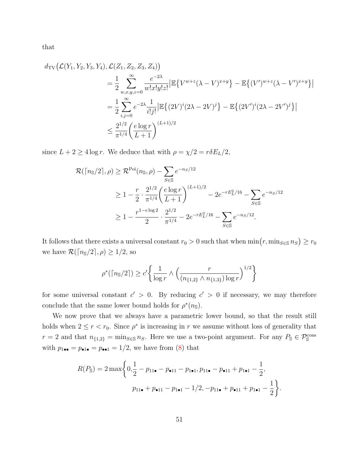that

$$
d_{\text{TV}}\left( \mathcal{L}(Y_1, Y_2, Y_3, Y_4), \mathcal{L}(Z_1, Z_2, Z_3, Z_4) \right)
$$
\n
$$
= \frac{1}{2} \sum_{w,x,y,z=0}^{\infty} \frac{e^{-2\lambda}}{w!x!y!z!} \left| \mathbb{E} \{ V^{w+z} (\lambda - V)^{x+y} \} - \mathbb{E} \{ (V')^{w+z} (\lambda - V')^{x+y} \} \right|
$$
\n
$$
= \frac{1}{2} \sum_{i,j=0}^{\infty} e^{-2\lambda} \frac{1}{i!j!} \left| \mathbb{E} \{ (2V)^i (2\lambda - 2V)^j \} - \mathbb{E} \{ (2V')^i (2\lambda - 2V')^j \} \right|
$$
\n
$$
\leq \frac{2^{1/2}}{\pi^{1/4}} \left( \frac{e \log r}{L+1} \right)^{(L+1)/2}
$$

since  $L + 2 \ge 4 \log r$ . We deduce that with  $\rho = \chi/2 = r \delta E_L/2$ ,

$$
\mathcal{R}(\lceil n_{\mathbb{S}}/2 \rceil, \rho) \geq \mathcal{R}^{\text{Poi}}(n_{\mathbb{S}}, \rho) - \sum_{S \in \mathbb{S}} e^{-n_S/12}
$$
  
\n
$$
\geq 1 - \frac{r}{2} \cdot \frac{2^{1/2}}{\pi^{1/4}} \left( \frac{e \log r}{L+1} \right)^{(L+1)/2} - 2e^{-rE_L^2/16} - \sum_{S \in \mathbb{S}} e^{-n_S/12}
$$
  
\n
$$
\geq 1 - \frac{r^{1 - e \log 2}}{2} \cdot \frac{2^{1/2}}{\pi^{1/4}} - 2e^{-rE_L^2/16} - \sum_{S \in \mathbb{S}} e^{-n_S/12}.
$$

It follows that there exists a universal constant  $r_0 > 0$  such that when  $\min(r, \min_{S \in \mathbb{S}} n_S) \ge r_0$ we have  $\mathcal{R}(\lceil n_{\mathbb{S}}/2\rceil, \rho) \geq 1/2$ , so

$$
\rho^*({\lceil n_{\mathbb{S}}/2 \rceil}) \ge c' \left\{ \frac{1}{\log r} \wedge \left( \frac{r}{(n_{\{1,2\}} \wedge n_{\{1,3\}}) \log r} \right)^{1/2} \right\}
$$

for some universal constant  $c' > 0$ . By reducing  $c' > 0$  if necessary, we may therefore conclude that the same lower bound holds for  $\rho^*(n_{\rm S})$ .

We now prove that we always have a parametric lower bound, so that the result still holds when  $2 \le r < r_0$ . Since  $\rho^*$  is increasing in r we assume without loss of generality that  $r = 2$  and that  $n_{\{1,2\}} = \min_{S \in \mathcal{S}} n_S$ . Here we use a two-point argument. For any  $P_{\mathcal{S}} \in \mathcal{P}_{\mathcal{S}}^{\text{cons}}$ with  $p_{1\bullet\bullet} = p_{\bullet1\bullet} = p_{\bullet\bullet1} = 1/2$ , we have from [\(8\)](#page-13-2) that

$$
R(P_{\mathbb{S}}) = 2 \max \bigg\{ 0, \frac{1}{2} - p_{11\bullet} - p_{\bullet 11} - p_{1\bullet 1}, p_{11\bullet} - p_{\bullet 11} + p_{1\bullet 1} - \frac{1}{2},
$$
  

$$
p_{11\bullet} + p_{\bullet 11} - p_{1\bullet 1} - 1/2, -p_{11\bullet} + p_{\bullet 11} + p_{1\bullet 1} - \frac{1}{2} \bigg\}.
$$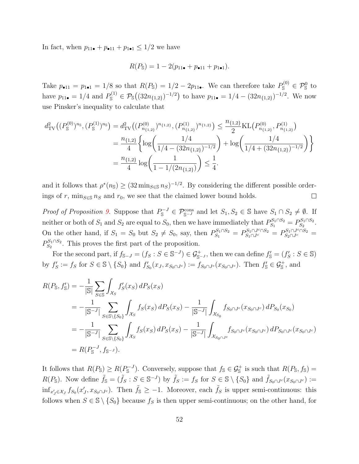In fact, when  $p_{11\bullet} + p_{\bullet 11} + p_{1\bullet 1} \leq 1/2$  we have

$$
R(P_{\mathbb{S}}) = 1 - 2(p_{11\bullet} + p_{\bullet 11} + p_{1\bullet 1}).
$$

Take  $p_{\bullet 11} = p_{1\bullet 1} = 1/8$  so that  $R(P_{\mathbb{S}}) = 1/2 - 2p_{11\bullet}$ . We can therefore take  $P_{\mathbb{S}}^{(0)} \in \mathcal{P}_{\mathbb{S}}^0$  to have  $p_{11\bullet} = 1/4$  and  $P_{\mathbb{S}}^{(1)} \in \mathcal{P}_{\mathbb{S}}((32n_{\{1,2\}})^{-1/2})$  to have  $p_{11\bullet} = 1/4 - (32n_{\{1,2\}})^{-1/2}$ . We now use Pinsker's inequality to calculate that

$$
d_{\text{TV}}^2((P_{\text{S}}^{(0)})^{n_{\text{S}}}, (P_{\text{S}}^{(1)})^{n_{\text{S}}}) = d_{\text{TV}}^2((P_{n_{\{1,2\}}}^{(0)})^{n_{\{1,2\}}}, (P_{n_{\{1,2\}}}^{(1)})^{n_{\{1,2\}}}) \le \frac{n_{\{1,2\}}}{2} \text{KL}(P_{n_{\{1,2\}}}^{(0)}, P_{n_{\{1,2\}}}^{(1)})
$$
  
= 
$$
\frac{n_{\{1,2\}}}{4} \left\{ \log \left( \frac{1/4}{1/4 - (32n_{\{1,2\}})^{-1/2}} \right) + \log \left( \frac{1/4}{1/4 + (32n_{\{1,2\}})^{-1/2}} \right) \right\}
$$
  
= 
$$
\frac{n_{\{1,2\}}}{4} \log \left( \frac{1}{1 - 1/(2n_{\{1,2\}})} \right) \le \frac{1}{4}.
$$

and it follows that  $\rho^*(n_{\mathbb{S}}) \ge (32 \min_{S \in \mathbb{S}} n_S)^{-1/2}$ . By considering the different possible orderings of r, min<sub>S∈S</sub>  $n_S$  and  $r_0$ , we see that the claimed lower bound holds.  $\Box$ 

Proof of Proposition [9.](#page-14-1) Suppose that  $P_{\mathbb{S}}^{-J} \in \mathcal{P}_{\mathbb{S}^{-J}}^{\text{cons}}$  and let  $S_1, S_2 \in \mathbb{S}$  have  $S_1 \cap S_2 \neq \emptyset$ . If neither or both of  $S_1$  and  $S_2$  are equal to  $S_0$ , then we have immediately that  $P_{S_1}^{S_1 \cap S_2} = P_{S_2}^{S_1 \cap S_2}$  $S_1 \cap S_2 \over S_2$  . On the other hand, if  $S_1 = S_0$  but  $S_2 \neq S_0$ , say, then  $P_{S_1}^{S_1 \cap S_2} = P_{S_1 \cap J^c \cap S_2}^{S_1 \cap J^c \cap S_2} = P_{S_2 \cap J^c}^{S_1 \cap J^c \cap S_2}$  $P_{S_2}^{S_1 \cap S_2}$  $S_2^{\{S_1 \cap S_2\}}$ . This proves the first part of the proposition.

For the second part, if  $f_{\mathbb{S}-J} = (f_S : S \in \mathbb{S}^{-J}) \in \mathcal{G}^+_{\mathbb{S}^{-J}}$ , then we can define  $f'_{\mathbb{S}} = (f'_S : S \in \mathbb{S})$ by  $f_S' := f_S$  for  $S \in \mathbb{S} \setminus \{S_0\}$  and  $f_{S_0}'(x_J, x_{S_0 \cap J^c}) := f_{S_0 \cap J^c}(x_{S_0 \cap J^c})$ . Then  $f_S' \in \mathcal{G}_{\mathbb{S}}^+$ , and

$$
R(P_{\mathbb{S}}, f_{\mathbb{S}}') = -\frac{1}{|\mathbb{S}|} \sum_{S \in \mathbb{S}} \int_{\mathcal{X}_S} f_S'(x_S) dP_S(x_S)
$$
  
= 
$$
-\frac{1}{|\mathbb{S}^{-J}|} \sum_{S \in \mathbb{S} \setminus \{S_0\}} \int_{\mathcal{X}_S} f_S(x_S) dP_S(x_S) - \frac{1}{|\mathbb{S}^{-J}|} \int_{\mathcal{X}_{S_0}} f_{S_0 \cap J^c}(x_{S_0 \cap J^c}) dP_{S_0}(x_{S_0})
$$
  
= 
$$
-\frac{1}{|\mathbb{S}^{-J}|} \sum_{S \in \mathbb{S} \setminus \{S_0\}} \int_{\mathcal{X}_S} f_S(x_S) dP_S(x_S) - \frac{1}{|\mathbb{S}^{-J}|} \int_{\mathcal{X}_{S_0 \cap J^c}} f_{S_0 \cap J^c}(x_{S_0 \cap J^c}) dP_{S_0 \cap J^c}(x_{S_0 \cap J^c})
$$
  
= 
$$
R(P_{\mathbb{S}}^{-J}, f_{\mathbb{S}^{-J}}).
$$

It follows that  $R(P_{\rm S}) \ge R(P_{\rm S}^{-J})$ . Conversely, suppose that  $f_{\rm S} \in \mathcal{G}_{\rm S}^{+}$  is such that  $R(P_{\rm S}, f_{\rm S}) =$  $R(P_{\mathbb{S}})$ . Now define  $\tilde{f}_{\mathbb{S}} = (\tilde{f}_{S} : S \in \mathbb{S}^{-J})$  by  $\tilde{f}_{S} := f_{S}$  for  $S \in \mathbb{S} \setminus \{S_{0}\}\$  and  $\tilde{f}_{S_{0} \cap J^{c}}(x_{S_{0} \cap J^{c}}) :=$  $\inf_{x'_J \in \mathcal{X}_J} f_{S_0}(x'_J, x_{S_0 \cap J^c})$ . Then  $\tilde{f}_{\mathcal{S}} \ge -1$ . Moreover, each  $\tilde{f}_S$  is upper semi-continuous: this follows when  $S \in \mathbb{S} \setminus \{S_0\}$  because  $f_S$  is then upper semi-continuous; on the other hand, for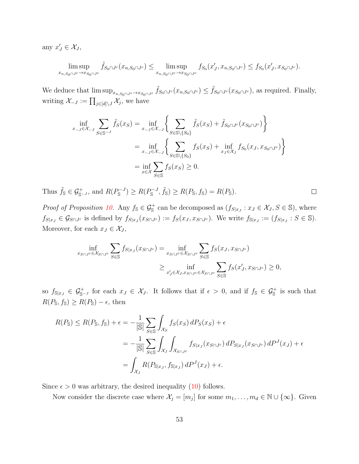any  $x'_J \in \mathcal{X}_J$ ,

$$
\limsup_{x_{n,S_0 \cap J^c} \to x_{S_0 \cap J^c}} \tilde{f}_{S_0 \cap J^c}(x_{n,S_0 \cap J^c}) \le \limsup_{x_{n,S_0 \cap J^c} \to x_{S_0 \cap J^c}} f_{S_0}(x'_J, x_{n,S_0 \cap J^c}) \le f_{S_0}(x'_J, x_{S_0 \cap J^c}).
$$

We deduce that  $\limsup_{x_{n,S_0 \cap J^c} \to x_{S_0 \cap J^c}} \tilde{f}_{S_0 \cap J^c}(x_{n,S_0 \cap J^c}) \leq \tilde{f}_{S_0 \cap J^c}(x_{S_0 \cap J^c})$ , as required. Finally, writing  $\mathcal{X}_{-J} := \prod_{j \in [d] \setminus J} \mathcal{X}_j$ , we have

$$
\inf_{x_{-J}\in\mathcal{X}_{-J}} \sum_{S\in\mathbb{S}^{-J}} \tilde{f}_{S}(x_{S}) = \inf_{x_{-J}\in\mathcal{X}_{-J}} \left\{ \sum_{S\in\mathbb{S}\backslash\{S_{0}\}} \tilde{f}_{S}(x_{S}) + \tilde{f}_{S_{0}\cap J^{c}}(x_{S_{0}\cap J^{c}}) \right\}
$$
\n
$$
= \inf_{x_{-J}\in\mathcal{X}_{-J}} \left\{ \sum_{S\in\mathbb{S}\backslash\{S_{0}\}} f_{S}(x_{S}) + \inf_{x_{J}\in\mathcal{X}_{J}} f_{S_{0}}(x_{J}, x_{S_{0}\cap J^{c}}) \right\}
$$
\n
$$
= \inf_{x\in\mathcal{X}} \sum_{S\in\mathbb{S}} f_{S}(x_{S}) \geq 0.
$$

Thus  $\tilde{f}_\mathbb{S} \in \mathcal{G}_{\mathbb{S}^{-J}}^+$ , and  $R(P_\mathbb{S}^{-J}) \geq R(P_\mathbb{S}^{-J}, \tilde{f}_\mathbb{S}) \geq R(P_\mathbb{S}, f_\mathbb{S}) = R(P_\mathbb{S}).$ 

*Proof of Proposition [10.](#page-15-2)* Any  $f_s \in \mathcal{G}_s^+$  can be decomposed as  $(f_{S|x_J}: x_J \in \mathcal{X}_J, S \in \mathbb{S})$ , where  $f_{S|x_J} \in \mathcal{G}_{S \cap J^c}$  is defined by  $f_{S|x_J}(x_{S \cap J^c}) := f_S(x_J, x_{S \cap J^c})$ . We write  $f_{S|x_J} := (f_{S|x_J} : S \in \mathbb{S})$ . Moreover, for each  $x_J \in \mathcal{X}_J$ ,

 $\Box$ 

$$
\inf_{x_{S \cap J^c} \in \mathcal{X}_{S \cap J^c}} \sum_{S \in \mathcal{S}} f_{S | x_J}(x_{S \cap J^c}) = \inf_{x_{S \cap J^c} \in \mathcal{X}_{S \cap J^c}} \sum_{S \in \mathcal{S}} f_S(x_J, x_{S \cap J^c})
$$
\n
$$
\geq \inf_{x'_J \in \mathcal{X}_J, x_{S \cap J^c} \in \mathcal{X}_{S \cap J^c}} \sum_{S \in \mathcal{S}} f_S(x'_J, x_{S \cap J^c}) \geq 0,
$$

so  $f_{\mathbb{S}|x_J} \in \mathcal{G}_{\mathbb{S}^{-J}}^+$  for each  $x_J \in \mathcal{X}_J$ . It follows that if  $\epsilon > 0$ , and if  $f_{\mathbb{S}} \in \mathcal{G}_{\mathbb{S}}^+$  is such that  $R(P_{\mathbb{S}}, f_{\mathbb{S}}) \geq R(P_{\mathbb{S}}) - \epsilon$ , then

$$
R(P_{\mathbb{S}}) \leq R(P_{\mathbb{S}}, f_{\mathbb{S}}) + \epsilon = -\frac{1}{|\mathbb{S}|} \sum_{S \in \mathbb{S}} \int_{\mathcal{X}_S} f_S(x_S) dP_S(x_S) + \epsilon
$$
  

$$
= -\frac{1}{|\mathbb{S}|} \sum_{S \in \mathbb{S}} \int_{\mathcal{X}_J} \int_{\mathcal{X}_{S \cap J^c}} f_{S|x_J}(x_{S \cap J^c}) dP_{S|x_J}(x_{S \cap J^c}) dP^J(x_J) + \epsilon
$$
  

$$
= \int_{\mathcal{X}_J} R(P_{\mathbb{S}|x_J}, f_{\mathbb{S}|x_J}) dP^J(x_J) + \epsilon.
$$

Since  $\epsilon > 0$  was arbitrary, the desired inequality [\(10\)](#page-15-1) follows.

Now consider the discrete case where  $\mathcal{X}_j = [m_j]$  for some  $m_1, \ldots, m_d \in \mathbb{N} \cup \{\infty\}$ . Given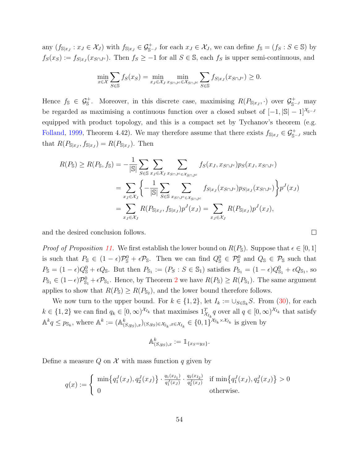any  $(f_{\mathbb{S}|x_J}: x_J \in \mathcal{X}_J)$  with  $f_{\mathbb{S}|x_J} \in \mathcal{G}_{\mathbb{S}^{-J}}^+$  for each  $x_J \in \mathcal{X}_J$ , we can define  $f_{\mathbb{S}} = (f_S: S \in \mathbb{S})$  by  $f_S(x_S) := f_{S|x_J}(x_{S \cap J^c})$ . Then  $f_S \ge -1$  for all  $S \in \mathbb{S}$ , each  $f_S$  is upper semi-continuous, and

$$
\min_{x \in \mathcal{X}} \sum_{S \in \mathcal{S}} f_S(x_S) = \min_{x_J \in \mathcal{X}_J} \min_{x_{S \cap J^c} \in \mathcal{X}_{S \cap J^c}} \sum_{S \in \mathcal{S}} f_{S | x_J}(x_{S \cap J^c}) \ge 0.
$$

Hence  $f_s \in \mathcal{G}_{\mathbb{S}}^+$ . Moreover, in this discrete case, maximising  $R(P_{\mathbb{S}|x_J},\cdot)$  over  $\mathcal{G}_{\mathbb{S}^{-J}}^+$  may be regarded as maximising a continuous function over a closed subset of  $[-1, |\mathbb{S}| - 1]^{\mathcal{X}_{\mathbb{S}-J}}$ equipped with product topology, and this is a compact set by Tychanov's theorem (e.g. [Folland,](#page-62-13) [1999,](#page-62-13) Theorem 4.42). We may therefore assume that there exists  $f_{\mathbb{S}|x_J} \in \mathcal{G}^+_{\mathbb{S}^{-J}}$  such that  $R(P_{\mathbb{S}|x_J}, f_{\mathbb{S}|x_J}) = R(P_{\mathbb{S}|x_J})$ . Then

$$
R(P_{\mathbb{S}}) \geq R(P_{\mathbb{S}}, f_{\mathbb{S}}) = -\frac{1}{|\mathbb{S}|} \sum_{S \in \mathbb{S}} \sum_{x_J \in \mathcal{X}_J} \sum_{x_{S \cap J^c \in \mathcal{X}_{S \cap J^c}}} f_S(x_J, x_{S \cap J^c}) p_S(x_J, x_{S \cap J^c})
$$
  
= 
$$
\sum_{x_J \in \mathcal{X}_J} \left\{ -\frac{1}{|\mathbb{S}|} \sum_{S \in \mathbb{S}} \sum_{x_{S \cap J^c \in \mathcal{X}_{S \cap J^c}}} f_{S|x_J}(x_{S \cap J^c}) p_{S|x_J}(x_{S \cap J^c}) \right\} p^J(x_J)
$$
  
= 
$$
\sum_{x_J \in \mathcal{X}_J} R(P_{\mathbb{S}|x_J}, f_{\mathbb{S}|x_J}) p^J(x_J) = \sum_{x_J \in \mathcal{X}_J} R(P_{\mathbb{S}|x_J}) p^J(x_J),
$$

 $\Box$ 

and the desired conclusion follows.

*Proof of Proposition [11.](#page-15-0)* We first establish the lower bound on  $R(P_s)$ . Suppose that  $\epsilon \in [0,1]$ is such that  $P_{\mathbb{S}} \in (1 - \epsilon)\mathcal{P}_{\mathbb{S}}^0 + \epsilon \mathcal{P}_{\mathbb{S}}$ . Then we can find  $Q_{\mathbb{S}}^0 \in \mathcal{P}_{\mathbb{S}}^0$  and  $Q_{\mathbb{S}} \in \mathcal{P}_{\mathbb{S}}$  such that  $P_{\mathbb{S}} = (1 - \epsilon)Q_{\mathbb{S}}^0 + \epsilon Q_{\mathbb{S}}$ . But then  $P_{\mathbb{S}_1} := (P_S : S \in \mathbb{S}_1)$  satisfies  $P_{\mathbb{S}_1} = (1 - \epsilon)Q_{\mathbb{S}_1}^0 + \epsilon Q_{\mathbb{S}_1}$ , so  $P_{\mathbb{S}_1} \in (1 - \epsilon) \mathcal{P}_{\mathbb{S}_1}^0 + \epsilon \mathcal{P}_{\mathbb{S}_1}$ . Hence, by Theorem [2](#page-7-0) we have  $R(P_{\mathbb{S}}) \geq R(P_{\mathbb{S}_1})$ . The same argument applies to show that  $R(P_{\mathbb{S}}) \geq R(P_{\mathbb{S}_2})$ , and the lower bound therefore follows.

We now turn to the upper bound. For  $k \in \{1,2\}$ , let  $I_k := \bigcup_{S \in \mathbb{S}_k} S$ . From [\(30\)](#page-40-2), for each  $k \in \{1,2\}$  we can find  $q_k \in [0,\infty)^{\mathcal{X}_{I_k}}$  that maximises  $1_{\mathcal{X}_{I_k}}^T q$  over all  $q \in [0,\infty)^{\mathcal{X}_{I_k}}$  that satisfy  $\mathbb{A}^k q \leq p_{\mathbb{S}_k}$ , where  $\mathbb{A}^k := (\mathbb{A}^k_{(S,y_S),x})_{(S,y_S)\in\mathcal{X}_{\mathbb{S}_k},x\in\mathcal{X}_{I_k}} \in \{0,1\}^{\mathcal{X}_{\mathbb{S}_k}\times\mathcal{X}_{I_k}}$  is given by

$$
\mathbb{A}^k_{(S,y_S),x}:=1\!\!1_{\{x_S=y_S\}}.
$$

Define a measure Q on X with mass function q given by

$$
q(x) := \begin{cases} \min\{q_1^J(x_J), q_2^J(x_J)\} \cdot \frac{q_1(x_{I_1})}{q_1^J(x_J)} \cdot \frac{q_2(x_{I_2})}{q_2^J(x_J)} & \text{if } \min\{q_1^J(x_J), q_2^J(x_J)\} > 0\\ 0 & \text{otherwise.} \end{cases}
$$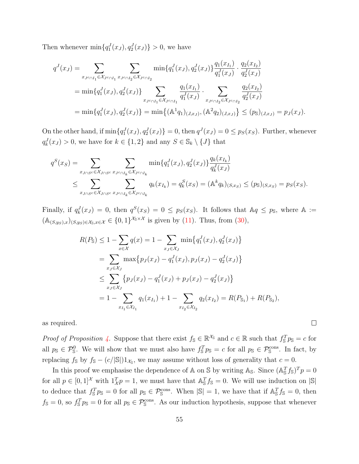Then whenever  $\min\{q_1^J(x_J), q_2^J(x_J)\} > 0$ , we have

$$
q^{J}(x_{J}) = \sum_{x_{J^{c}\cap I_{1}} \in \mathcal{X}_{J^{c}\cap I_{1}}} \sum_{x_{J^{c}\cap I_{1}} x_{J^{c}\cap I_{2}} \in \mathcal{X}_{J^{c}\cap I_{2}}} \min\{q_{1}^{J}(x_{J}), q_{2}^{J}(x_{J})\} \frac{q_{1}(x_{I_{1}})}{q_{1}^{J}(x_{J})} \cdot \frac{q_{2}(x_{I_{2}})}{q_{2}^{J}(x_{J})}
$$
  
\n
$$
= \min\{q_{1}^{J}(x_{J}), q_{2}^{J}(x_{J})\} \sum_{x_{J^{c}\cap I_{1}} \in \mathcal{X}_{J^{c}\cap I_{1}}} \frac{q_{1}(x_{I_{1}})}{q_{1}^{J}(x_{J})} \cdot \sum_{x_{J^{c}\cap I_{2}} \in \mathcal{X}_{J^{c}\cap I_{2}}} \frac{q_{2}(x_{I_{2}})}{q_{2}^{J}(x_{J})}
$$
  
\n
$$
= \min\{q_{1}^{J}(x_{J}), q_{2}^{J}(x_{J})\} = \min\{(\mathbb{A}^{1}q_{1})(_{J,x_{J})}, (\mathbb{A}^{2}q_{2})(_{J,x_{J}})\} \leq (p_{\mathbb{S}})_{(J,x_{J})} = p_{J}(x_{J}).
$$

On the other hand, if  $\min\{q_1^J(x_J), q_2^J(x_J)\}=0$ , then  $q^J(x_J)=0 \leq p_S(x_S)$ . Further, whenever  $q_k^J(x_J) > 0$ , we have for  $k \in \{1,2\}$  and any  $S \in \mathbb{S}_k \setminus \{J\}$  that

$$
q^{S}(x_{S}) = \sum_{x_{J \cap S^{c}} \in \mathcal{X}_{J \cap S^{c}}} \sum_{x_{J \cap S^{c}} \in \mathcal{X}_{J \cap S^{c}}} \min\{q_{1}^{J}(x_{J}), q_{2}^{J}(x_{J})\} \frac{q_{k}(x_{I_{k}})}{q_{k}^{J}(x_{J})}
$$
  
 
$$
\leq \sum_{x_{J \cap S^{c}} \in \mathcal{X}_{J \cap S^{c}}} \sum_{x_{J^{c} \cap I_{k}} \in \mathcal{X}_{J^{c} \cap I_{k}}} q_{k}(x_{I_{k}}) = q_{k}^{S}(x_{S}) = (\mathbb{A}^{k} q_{k})(s_{x_{S}}) \leq (p_{S})(s_{x_{S}}) = p_{S}(x_{S}).
$$

Finally, if  $q_k^J(x_J) = 0$ , then  $q^S(x_S) = 0 \leq p_S(x_S)$ . It follows that  $\mathbb{A}q \leq p_S$ , where  $\mathbb{A}$  :=  $(\mathbb{A}_{(S,y_S),x})_{(S,y_S)\in\mathcal{X}_S,x\in\mathcal{X}} \in \{0,1\}^{\mathcal{X}_S\times\mathcal{X}}$  is given by [\(11\)](#page-17-0). Thus, from [\(30\)](#page-40-2),

$$
R(P_{\mathbb{S}}) \le 1 - \sum_{x \in \mathcal{X}} q(x) = 1 - \sum_{x_J \in \mathcal{X}_J} \min\{q_1^J(x_J), q_2^J(x_J)\}
$$
  
= 
$$
\sum_{x_J \in \mathcal{X}_J} \max\{p_J(x_J) - q_1^J(x_J), p_J(x_J) - q_2^J(x_J)\}
$$
  

$$
\le \sum_{x_J \in \mathcal{X}_J} \{p_J(x_J) - q_1^J(x_J) + p_J(x_J) - q_2^J(x_J)\}
$$
  
= 
$$
1 - \sum_{x_{I_1} \in \mathcal{X}_{I_1}} q_1(x_{I_1}) + 1 - \sum_{x_{I_2} \in \mathcal{X}_{I_2}} q_2(x_{I_2}) = R(P_{\mathbb{S}_1}) + R(P_{\mathbb{S}_2}),
$$

as required.

*Proof of Proposition [4.](#page-10-1)* Suppose that there exist  $f_s \in \mathbb{R}^{\mathcal{X}_s}$  and  $c \in \mathbb{R}$  such that  $f_s^T p_s = c$  for all  $p_{\mathbb{S}} \in \mathcal{P}_{\mathbb{S}}^0$ . We will show that we must also have  $f_{\mathbb{S}}^T p_{\mathbb{S}} = c$  for all  $p_{\mathbb{S}} \in \mathcal{P}_{\mathbb{S}}^{\text{cons}}$ . In fact, by replacing  $f_s$  by  $f_s - (c/|\mathbb{S}|)1_{\mathcal{X}_s}$ , we may assume without loss of generality that  $c = 0$ .

 $\Box$ 

In this proof we emphasise the dependence of A on S by writing  $A_s$ . Since  $(A_s^T f_s)^T p = 0$ for all  $p \in [0,1]^{\mathcal{X}}$  with  $1_{\mathcal{X}}^T p = 1$ , we must have that  $\mathbb{A}_{\mathbb{S}}^T f_{\mathbb{S}} = 0$ . We will use induction on  $|\mathbb{S}|$ to deduce that  $f_{\mathbb{S}}^T p_{\mathbb{S}} = 0$  for all  $p_{\mathbb{S}} \in \mathcal{P}_{\mathbb{S}}^{\text{cons}}$ . When  $|\mathbb{S}| = 1$ , we have that if  $\mathbb{A}_{\mathbb{S}}^T f_{\mathbb{S}} = 0$ , then  $f_{\mathbb{S}}=0$ , so  $f_{\mathbb{S}}^T p_{\mathbb{S}}=0$  for all  $p_{\mathbb{S}}\in\mathcal{P}_{\mathbb{S}}^{\text{cons}}$ . As our induction hypothesis, suppose that whenever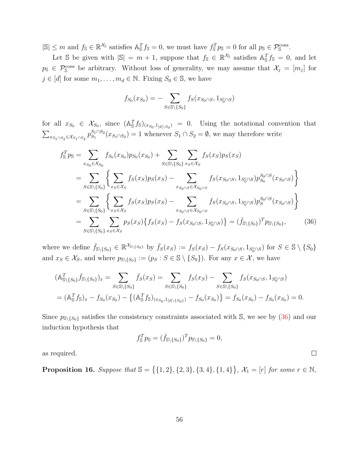$|\mathbb{S}| \leq m$  and  $f_{\mathbb{S}} \in \mathbb{R}^{\mathcal{X}_{\mathbb{S}}}$  satisfies  $\mathbb{A}_{\mathbb{S}}^T f_{\mathbb{S}} = 0$ , we must have  $f_{\mathbb{S}}^T p_{\mathbb{S}} = 0$  for all  $p_{\mathbb{S}} \in \mathcal{P}_{\mathbb{S}}^{\text{cons}}$ .

Let S be given with  $|\mathbb{S}| = m + 1$ , suppose that  $f_{\mathbb{S}} \in \mathbb{R}^{\mathcal{X}_{\mathbb{S}}}$  satisfies  $\mathbb{A}_{\mathbb{S}}^T f_{\mathbb{S}} = 0$ , and let  $p_{\mathbb{S}} \in \mathcal{P}_{\mathbb{S}}^{\text{cons}}$  be arbitrary. Without loss of generality, we may assume that  $\mathcal{X}_j = [m_j]$  for  $j \in [d]$  for some  $m_1, \ldots, m_d \in \mathbb{N}$ . Fixing  $S_0 \in \mathbb{S}$ , we have

$$
f_{S_0}(x_{S_0}) = -\sum_{S \in \mathbb{S} \setminus \{S_0\}} f_S(x_{S_0 \cap S}, 1_{S_0^c \cap S})
$$

for all  $x_{S_0} \in \mathcal{X}_{S_0}$ , since  $(\mathbb{A}_S^T f_{\mathbb{S}})_{(x_{S_0},1_{[d]\setminus S_0})} = 0$ . Using the notational convention that  $\sum_{x_{S_1\cap S_2}\in\mathcal{X}_{S_1\cap S_2}}p_{S_1}^{S_1\cap S_2}$  $S_1 \cap S_2 = \emptyset$ , we may therefore write

$$
f_{S}^{T} p_{S} = \sum_{x_{S_{0}} \in X_{S_{0}}} f_{S_{0}}(x_{S_{0}}) p_{S_{0}}(x_{S_{0}}) + \sum_{S \in S \setminus \{S_{0}\}} \sum_{x_{S} \in X_{S}} f_{S}(x_{S}) p_{S}(x_{S})
$$
  
\n
$$
= \sum_{S \in S \setminus \{S_{0}\}} \left\{ \sum_{x_{S} \in X_{S}} f_{S}(x_{S}) p_{S}(x_{S}) - \sum_{x_{S_{0} \cap S} \in X_{S_{0} \cap S}} f_{S}(x_{S_{0} \cap S}, 1_{S_{0}^c \cap S}) p_{S_{0}}^{S_{0} \cap S}(x_{S_{0} \cap S}) \right\}
$$
  
\n
$$
= \sum_{S \in S \setminus \{S_{0}\}} \left\{ \sum_{x_{S} \in X_{S}} f_{S}(x_{S}) p_{S}(x_{S}) - \sum_{x_{S_{0} \cap S} \in X_{S_{0} \cap S}} f_{S}(x_{S_{0} \cap S}, 1_{S_{0}^c \cap S}) p_{S}^{S_{0} \cap S}(x_{S_{0} \cap S}) \right\}
$$
  
\n
$$
= \sum_{S \in S \setminus \{S_{0}\}} \sum_{x_{S} \in X_{S}} p_{S}(x_{S}) \left\{ f_{S}(x_{S}) - f_{S}(x_{S_{0} \cap S}, 1_{S_{0}^c \cap S}) \right\} = (\bar{f}_{S \setminus \{S_{0}\}})^{T} p_{S \setminus \{S_{0}\}}, \tag{36}
$$

where we define  $\bar{f}_{\mathbb{S}\backslash\{S_0\}} \in \mathbb{R}^{\mathcal{X}_{\mathbb{S}\backslash\{S_0\}}}$  by  $\bar{f}_S(x_S) := f_S(x_S) - f_S(x_{S_0 \cap S}, 1_{S_0^c \cap S})$  for  $S \in \mathbb{S} \setminus \{S_0\}$ and  $x_S \in \mathcal{X}_S$ , and where  $p_{\mathbb{S}\backslash \{S_0\}} := (p_S : S \in \mathbb{S} \setminus \{S_0\})$ . For any  $x \in \mathcal{X}$ , we have

$$
\begin{aligned} & (\mathbb{A}_{\mathbb{S}\backslash\{S_0\}}^T \bar{f}_{\mathbb{S}\backslash\{S_0\}})_x = \sum_{S \in \mathbb{S}\backslash\{S_0\}} \bar{f}_S(x_S) = \sum_{S \in \mathbb{S}\backslash\{S_0\}} f_S(x_S) - \sum_{S \in \mathbb{S}\backslash\{S_0\}} f_S(x_{S_0 \cap S}, 1_{S_0^c \cap S}) \\ & = (\mathbb{A}_{\mathbb{S}}^T f_{\mathbb{S}})_x - f_{S_0}(x_{S_0}) - \left\{ (\mathbb{A}_{\mathbb{S}}^T f_{\mathbb{S}})_{(x_{S_0}, 1_{[d] \backslash\{S_0\}})} - f_{S_0}(x_{S_0}) \right\} = f_{S_0}(x_{S_0}) - f_{S_0}(x_{S_0}) = 0. \end{aligned}
$$

Since  $p_{\mathbb{S}\backslash \{S_0\}}$  satisfies the consistency constraints associated with S, we see by [\(36\)](#page-55-1) and our induction hypothesis that

$$
f_{\mathbb{S}}^T p_{\mathbb{S}} = (\bar{f}_{\mathbb{S}\backslash \{S_0\}})^T p_{\mathbb{S}\backslash \{S_0\}} = 0,
$$

<span id="page-55-1"></span> $\Box$ 

as required.

<span id="page-55-0"></span>**Proposition 16.** Suppose that  $\mathbb{S} = \{ \{1, 2\}, \{2, 3\}, \{3, 4\}, \{1, 4\} \}$ ,  $\mathcal{X}_1 = [r]$  for some  $r \in \mathbb{N}$ ,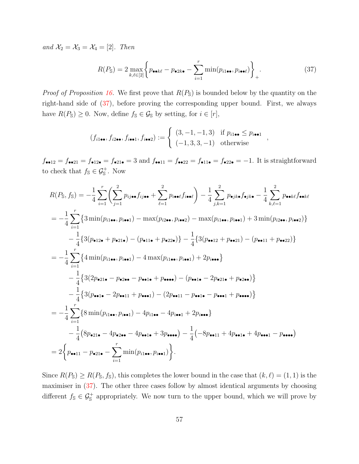and  $\mathcal{X}_2 = \mathcal{X}_3 = \mathcal{X}_4 = [2]$ . Then

<span id="page-56-0"></span>
$$
R(P_{\mathbb{S}}) = 2 \max_{k,\ell \in [2]} \left\{ p_{\bullet \bullet k\ell} - p_{\bullet 2k\bullet} - \sum_{i=1}^r \min(p_{i1\bullet \bullet}, p_{i\bullet \ell}) \right\}_+.
$$
 (37)

,

*Proof of Proposition [16.](#page-55-0)* We first prove that  $R(P_{\rm s})$  is bounded below by the quantity on the right-hand side of [\(37\)](#page-56-0), before proving the corresponding upper bound. First, we always have  $R(P_{\mathbb{S}}) \geq 0$ . Now, define  $f_{\mathbb{S}} \in \mathcal{G}_{\mathbb{S}}$  by setting, for  $i \in [r]$ ,

$$
(f_{i1\bullet\bullet}, f_{i2\bullet\bullet}, f_{i\bullet\bullet 1}, f_{i\bullet\bullet 2}) := \begin{cases} (3, -1, -1, 3) & \text{if } p_{i1\bullet\bullet} \leq p_{i\bullet 1} \\ (-1, 3, 3, -1) & \text{otherwise} \end{cases}
$$

 $f_{\bullet\bullet12} = f_{\bullet\bullet21} = f_{\bullet12\bullet} = f_{\bullet21\bullet} = 3$  and  $f_{\bullet\bullet11} = f_{\bullet\bullet22} = f_{\bullet11\bullet} = f_{\bullet22\bullet} = -1$ . It is straightforward to check that  $f_{\mathbb{S}} \in \mathcal{G}_{\mathbb{S}}^+$ . Now

$$
R(P_{\mathbf{S}}, f_{\mathbf{S}}) = -\frac{1}{4} \sum_{i=1}^{r} \left( \sum_{j=1}^{2} p_{ij} \cdot \mathbf{F}_{ij} \cdot \mathbf{F} + \sum_{\ell=1}^{2} p_{i} \cdot \mathbf{F}_{i} \cdot \mathbf{F}_{i} \cdot \mathbf{F}_{i} \right) - \frac{1}{4} \sum_{j,k=1}^{2} p_{\bullet jk} \cdot \mathbf{F}_{\bullet jk} \cdot \mathbf{F}_{\bullet k} - \frac{1}{4} \sum_{k,\ell=1}^{2} p_{\bullet k\ell} \mathbf{F}_{\bullet k\ell} \mathbf{F}_{\bullet k\ell}
$$
\n
$$
= -\frac{1}{4} \sum_{i=1}^{r} \left\{ 3 \min(p_{i1\bullet}, p_{i\bullet 1}) - \max(p_{i2\bullet}, p_{i\bullet 2}) - \max(p_{i1\bullet}, p_{i\bullet 1}) + 3 \min(p_{i2\bullet}, p_{i\bullet 2}) \right\}
$$
\n
$$
- \frac{1}{4} \left\{ 3(p_{\bullet 12} + p_{\bullet 21}) - (p_{\bullet 11} + p_{\bullet 22}) \right\} - \frac{1}{4} \left\{ 3(p_{\bullet 12} + p_{\bullet 21}) - (p_{\bullet 11} + p_{\bullet 22}) \right\}
$$
\n
$$
= -\frac{1}{4} \sum_{i=1}^{r} \left\{ 4 \min(p_{i1\bullet}, p_{i\bullet 1}) - 4 \max(p_{i1\bullet}, p_{i\bullet 1}) + 2p_{i\bullet \bullet} \right\}
$$
\n
$$
- \frac{1}{4} \left\{ 3(2p_{\bullet 21\bullet} - p_{\bullet 2\bullet} - p_{\bullet 11} + p_{\bullet \bullet 1}) - (p_{\bullet 11} - p_{\bullet 11} - p_{\bullet 21} + p_{\bullet 2\bullet}) \right\}
$$
\n
$$
- \frac{1}{4} \left\{ 3(p_{\bullet 11} - 2p_{\bullet 11} + p_{\bullet \bullet 1}) - 4p_{i1\bullet} - 4p_{i\bullet 1} + 2p_{i\bullet 1} \right\}
$$
\n
$$
- \frac{1}{4} \left( 8p_{\bullet
$$

Since  $R(P_{\mathbb{S}}) \geq R(P_{\mathbb{S}}, f_{\mathbb{S}})$ , this completes the lower bound in the case that  $(k, \ell) = (1, 1)$  is the maximiser in  $(37)$ . The other three cases follow by almost identical arguments by choosing different  $f_{\mathbb{S}} \in \mathcal{G}_{\mathbb{S}}^+$  appropriately. We now turn to the upper bound, which we will prove by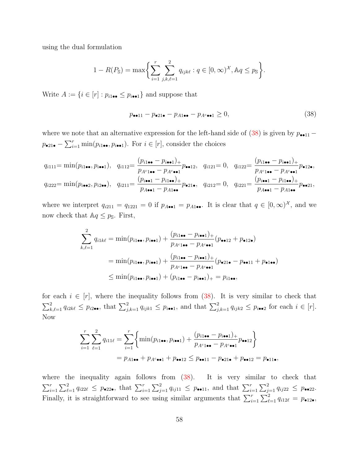using the dual formulation

$$
1 - R(P_{\mathbb{S}}) = \max \bigg\{ \sum_{i=1}^{r} \sum_{j,k,\ell=1}^{2} q_{ijk\ell} : q \in [0,\infty)^{\mathcal{X}}, \mathbb{A}q \leq p_{\mathbb{S}} \bigg\}.
$$

Write  $A := \{i \in [r] : p_{i1\bullet\bullet} \leq p_{i\bullet\bullet 1}\}$  and suppose that

<span id="page-57-0"></span>
$$
p_{\bullet \bullet 11} - p_{\bullet 21 \bullet} - p_{A1 \bullet \bullet} - p_{A^c \bullet \bullet 1} \ge 0,\tag{38}
$$

where we note that an alternative expression for the left-hand side of  $(38)$  is given by  $p_{\bullet \bullet 11}$  –  $p_{\bullet 21\bullet} - \sum_{i=1}^r \min(p_{i1\bullet\bullet}, p_{i\bullet\bullet 1}).$  For  $i \in [r]$ , consider the choices

$$
q_{i111} = \min(p_{i1\bullet\bullet}, p_{i\bullet\bullet 1}), q_{i112} = \frac{(p_{i1\bullet\bullet} - p_{i\bullet\bullet 1})_+}{p_{A^c 1\bullet\bullet} - p_{A^c \bullet 1}} p_{\bullet\bullet 12}, q_{i121} = 0, q_{i122} = \frac{(p_{i1\bullet\bullet} - p_{i\bullet\bullet 1})_+}{p_{A^c 1\bullet\bullet} - p_{A^c \bullet 1}} p_{\bullet 12\bullet},
$$
  

$$
q_{i222} = \min(p_{i\bullet\bullet 2}, p_{i2\bullet\bullet}), q_{i211} = \frac{(p_{i\bullet\bullet 1} - p_{i1\bullet\bullet})_+}{p_{A\bullet\bullet 1} - p_{A1\bullet\bullet}} p_{\bullet 21\bullet}, q_{i212} = 0, q_{i221} = \frac{(p_{i\bullet\bullet 1} - p_{i1\bullet\bullet})_+}{p_{A\bullet\bullet 1} - p_{A1\bullet\bullet}} p_{\bullet\bullet 21},
$$

where we interpret  $q_{i211} = q_{1221} = 0$  if  $p_{A\bullet\bullet1} = p_{A1\bullet\bullet}$ . It is clear that  $q \in [0, \infty)$ <sup>x</sup>, and we now check that  $\mathbb{A}q \leq p_{\mathbb{S}}$ . First,

$$
\sum_{k,\ell=1}^{2} q_{i1k\ell} = \min(p_{i1\bullet\bullet}, p_{i\bullet\bullet 1}) + \frac{(p_{i1\bullet\bullet} - p_{i\bullet\bullet 1})_{+}}{p_{A^c 1\bullet\bullet} - p_{A^c \bullet 1}}(p_{\bullet\bullet 12} + p_{\bullet 12\bullet})
$$
  
= 
$$
\min(p_{i1\bullet\bullet}, p_{i\bullet 1}) + \frac{(p_{i1\bullet\bullet} - p_{i\bullet 1})_{+}}{p_{A^c 1\bullet\bullet} - p_{A^c \bullet 1}}(p_{\bullet 21\bullet} - p_{\bullet 11} + p_{\bullet 1\bullet\bullet})
$$
  

$$
\leq \min(p_{i1\bullet\bullet}, p_{i\bullet 1}) + (p_{i1\bullet\bullet} - p_{i\bullet 1})_{+} = p_{i1\bullet\bullet},
$$

for each  $i \in [r]$ , where the inequality follows from [\(38\)](#page-57-0). It is very similar to check that  $\sum_{k,\ell=1}^2 q_{i2k\ell} \leq p_{i2\bullet\bullet}$ , that  $\sum_{j,k=1}^2 q_{ijk1} \leq p_{i\bullet\bullet 1}$ , and that  $\sum_{j,k=1}^2 q_{ijk2} \leq p_{i\bullet\bullet 2}$  for each  $i \in [r]$ . Now

$$
\sum_{i=1}^{r} \sum_{\ell=1}^{2} q_{i11\ell} = \sum_{i=1}^{r} \left\{ \min(p_{i1\bullet\bullet}, p_{i\bullet\bullet 1}) + \frac{(p_{i1\bullet\bullet} - p_{i\bullet\bullet 1})_+}{p_{A^c 1\bullet\bullet} - p_{A^c \bullet 1}} p_{\bullet\bullet 12} \right\}
$$
  
=  $p_{A1\bullet\bullet} + p_{A^c \bullet 1} + p_{\bullet\bullet 12} \le p_{\bullet\bullet 11} - p_{\bullet 21\bullet} + p_{\bullet\bullet 12} = p_{\bullet 11\bullet},$ 

where the inequality again follows from  $(38)$ . It is very similar to check that  $\sum_{i=1}^r \sum_{\ell=1}^2 q_{i22\ell} \leq p_{\bullet 22\bullet}$ , that  $\sum_{i=1}^r \sum_{j=1}^2 q_{ij11} \leq p_{\bullet \bullet 11}$ , and that  $\sum_{i=1}^r \sum_{j=1}^2 q_{ij22} \leq p_{\bullet \bullet 22}$ . Finally, it is straightforward to see using similar arguments that  $\sum_{i=1}^{r} \sum_{\ell=1}^{2} q_{i12\ell} = p_{\bullet 12\bullet}$ ,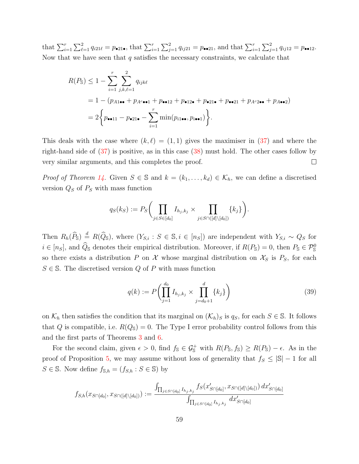that  $\sum_{i=1}^r \sum_{\ell=1}^2 q_{i21\ell} = p_{\bullet 21\bullet}$ , that  $\sum_{i=1}^r \sum_{j=1}^2 q_{ij21} = p_{\bullet \bullet 21}$ , and that  $\sum_{i=1}^r \sum_{j=1}^2 q_{ij12} = p_{\bullet \bullet 12}$ . Now that we have seen that  $q$  satisfies the necessary constraints, we calculate that

$$
R(P_{\mathbb{S}}) \le 1 - \sum_{i=1}^{r} \sum_{j,k,\ell=1}^{2} q_{ijk\ell}
$$
  
= 1 - (p\_{A1\bullet} + p\_{A^c \bullet 1} + p\_{\bullet 12} + p\_{\bullet 12\bullet} + p\_{\bullet 21\bullet} + p\_{\bullet 21} + p\_{A^c 2\bullet \bullet} + p\_{A\bullet 2})  
= 2\Big\{p\_{\bullet\bullet 11} - p\_{\bullet 21\bullet} - \sum\_{i=1}^{r} \min(p\_{i1\bullet}, p\_{i\bullet 1})\Big\}.

This deals with the case where  $(k, \ell) = (1, 1)$  gives the maximiser in [\(37\)](#page-56-0) and where the right-hand side of [\(37\)](#page-56-0) is positive, as in this case [\(38\)](#page-57-0) must hold. The other cases follow by very similar arguments, and this completes the proof.  $\Box$ 

*Proof of Theorem [14.](#page-23-0)* Given  $S \in \mathbb{S}$  and  $k = (k_1, \ldots, k_d) \in \mathcal{K}_h$ , we can define a discretised version  $Q_S$  of  $P_S$  with mass function

$$
q_S(k_S) := P_S \bigg( \prod_{j \in S \in [d_0]} I_{h_j, k_j} \times \prod_{j \in S \cap ([d] \setminus [d_0])} \{k_j\} \bigg).
$$

Then  $R_h(\widehat{P}_s) \stackrel{d}{=} R(\widehat{Q}_s)$ , where  $(Y_{S,i} : S \in \mathbb{S}, i \in [n_S])$  are independent with  $Y_{S,i} \sim Q_S$  for  $i \in [n_S]$ , and  $\hat{Q}_\mathbb{S}$  denotes their empirical distribution. Moreover, if  $R(P_\mathbb{S}) = 0$ , then  $P_\mathbb{S} \in \mathcal{P}_\mathbb{S}^0$ so there exists a distribution P on X whose marginal distribution on  $\mathcal{X}_S$  is  $P_S$ , for each  $S \in \mathbb{S}$ . The discretised version Q of P with mass function

<span id="page-58-0"></span>
$$
q(k) := P\left(\prod_{j=1}^{d_0} I_{h_j, k_j} \times \prod_{j=d_0+1}^d \{k_j\}\right) \tag{39}
$$

on  $\mathcal{K}_h$  then satisfies the condition that its marginal on  $(\mathcal{K}_h)_S$  is  $q_S$ , for each  $S \in \mathbb{S}$ . It follows that Q is compatible, i.e.  $R(Q<sub>S</sub>) = 0$ . The Type I error probability control follows from this and the first parts of Theorems [3](#page-8-0) and [6.](#page-11-1)

For the second claim, given  $\epsilon > 0$ , find  $f_{\mathbb{S}} \in \mathcal{G}_{\mathbb{S}}^+$  with  $R(P_{\mathbb{S}}, f_{\mathbb{S}}) \ge R(P_{\mathbb{S}}) - \epsilon$ . As in the proof of Proposition [5,](#page-10-0) we may assume without loss of generality that  $f_s \leq |\mathbb{S}| - 1$  for all  $S \in \mathbb{S}$ . Now define  $f_{\mathbb{S},h} = (f_{S,h} : S \in \mathbb{S})$  by

$$
f_{S,h}(x_{S\cap [d_0]}, x_{S\cap ([d]\setminus [d_0])) := \frac{\int_{\prod_{j\in S\cap [d_0]} I_{h_j,k_j}} f_S(x'_{S\cap [d_0]}, x_{S\cap ([d]\setminus [d_0])) dx'_{S\cap [d_0]}}{\int_{\prod_{j\in S\cap [d_0]} I_{h_j,k_j}} dx'_{S\cap [d_0]}}
$$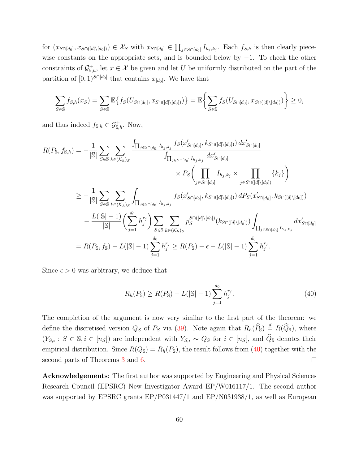for  $(x_{S\cap[d_0]}, x_{S\cap[d]\setminus[d_0]})\in\mathcal{X}_S$  with  $x_{S\cap[d_0]}\in\prod_{j\in S\cap[d_0]}I_{h_j,k_j}$ . Each  $f_{S,h}$  is then clearly piecewise constants on the appropriate sets, and is bounded below by  $-1$ . To check the other constraints of  $\mathcal{G}^+_{\mathbb{S},h}$ , let  $x \in \mathcal{X}$  be given and let U be uniformly distributed on the part of the partition of  $[0,1)^{S \cap [d_0]}$  that contains  $x_{[d_0]}$ . We have that

$$
\sum_{S\in\mathbb{S}}f_{S,h}(x_S)=\sum_{S\in\mathbb{S}}\mathbb{E}\left\{f_S(U_{S\cap[d_0]},x_{S\cap([d]\setminus[d_0])})\right\}=\mathbb{E}\left\{\sum_{S\in\mathbb{S}}f_S(U_{S\cap[d_0]},x_{S\cap([d]\setminus[d_0])})\right\}\geq 0,
$$

and thus indeed  $f_{\mathbb{S},h} \in \mathcal{G}^+_{\mathbb{S},h}$ . Now,

$$
R(P_{\mathbb{S}}, f_{\mathbb{S},h}) = -\frac{1}{|\mathbb{S}|} \sum_{S \in \mathbb{S}} \sum_{k \in (\mathcal{K}_h)_S} \frac{\int_{\prod_{j \in S \cap [d_0]} I_{h_j, k_j}} f_S(x'_{S \cap [d_0]}, k_{S \cap ([d] \setminus [d_0]))} dx'_{S \cap [d_0]}}{\int_{\prod_{j \in S \cap [d_0]} I_{h_j, k_j}} dx'_{S \cap [d_0]}} \times P_S \left( \prod_{j \in S \cap [d_0]} I_{h_j, k_j} \times \prod_{j \in S \cap ([d] \setminus [d_0])} \{k_j\} \right)
$$
  

$$
\geq -\frac{1}{|\mathbb{S}|} \sum_{S \in \mathbb{S}} \sum_{k \in (\mathcal{K}_h)_S} \int_{\prod_{j \in S \cap [d_0]} I_{h_j, k_j}} f_S(x'_{S \cap [d_0]}, k_{S \cap ([d] \setminus [d_0]))} dP_S(x'_{S \cap [d_0]}, k_{S \cap ([d] \setminus [d_0])})
$$
  

$$
- \frac{L(|\mathbb{S}| - 1)}{|\mathbb{S}|} \left( \sum_{j=1}^{d_0} h_j^{r_j} \right) \sum_{S \in \mathbb{S}} \sum_{k \in (\mathcal{K}_h)_S} p_S^{S \cap ([d] \setminus [d_0])} (k_{S \cap ([d] \setminus [d_0]))} \int_{\prod_{j \in S \cap [d_0]} I_{h_j, k_j}} dx'_{S \cap [d_0]}
$$
  

$$
= R(P_{\mathbb{S}}, f_{\mathbb{S}}) - L(|\mathbb{S}| - 1) \sum_{j=1}^{d_0} h_j^{r_j} \geq R(P_{\mathbb{S}}) - \epsilon - L(|\mathbb{S}| - 1) \sum_{j=1}^{d_0} h_j^{r_j}.
$$

Since  $\epsilon > 0$  was arbitrary, we deduce that

<span id="page-59-0"></span>
$$
R_h(P_{\mathbb{S}}) \ge R(P_{\mathbb{S}}) - L(|\mathbb{S}| - 1) \sum_{j=1}^{d_0} h_j^{r_j}.
$$
\n(40)

The completion of the argument is now very similar to the first part of the theorem: we define the discretised version  $Q_S$  of  $P_S$  via [\(39\)](#page-58-0). Note again that  $R_h(\widehat{P}_S) \stackrel{d}{\leq} R(\widehat{Q}_S)$ , where  $(Y_{S,i}: S \in \mathbb{S}, i \in [n_S])$  are independent with  $Y_{S,i} \sim Q_S$  for  $i \in [n_S]$ , and  $\widehat{Q}_S$  denotes their empirical distribution. Since  $R(Q<sub>S</sub>) = R<sub>h</sub>(P<sub>S</sub>)$ , the result follows from [\(40\)](#page-59-0) together with the second parts of Theorems [3](#page-8-0) and [6.](#page-11-1)  $\Box$ 

Acknowledgements: The first author was supported by Engineering and Physical Sciences Research Council (EPSRC) New Investigator Award EP/W016117/1. The second author was supported by EPSRC grants EP/P031447/1 and EP/N031938/1, as well as European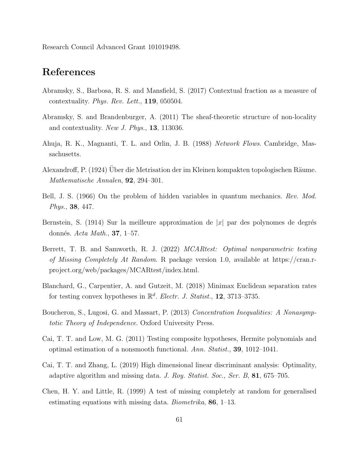Research Council Advanced Grant 101019498.

## References

- <span id="page-60-6"></span>Abramsky, S., Barbosa, R. S. and Mansfield, S. (2017) Contextual fraction as a measure of contextuality. Phys. Rev. Lett., 119, 050504.
- <span id="page-60-5"></span>Abramsky, S. and Brandenburger, A. (2011) The sheaf-theoretic structure of non-locality and contextuality. New J. Phys., 13, 113036.
- <span id="page-60-8"></span>Ahuja, R. K., Magnanti, T. L. and Orlin, J. B. (1988) Network Flows. Cambridge, Massachusetts.
- <span id="page-60-7"></span>Alexandroff, P. (1924) Über die Metrisation der im Kleinen kompakten topologischen Räume. Mathematische Annalen, 92, 294–301.
- <span id="page-60-1"></span>Bell, J. S. (1966) On the problem of hidden variables in quantum mechanics. Rev. Mod. Phys., 38, 447.
- <span id="page-60-11"></span>Bernstein, S. (1914) Sur la meilleure approximation de  $|x|$  par des polynomes de degrés donnés. Acta Math.,  $37, 1-57$ .
- <span id="page-60-2"></span>Berrett, T. B. and Samworth, R. J. (2022) MCARtest: Optimal nonparametric testing of Missing Completely At Random. R package version 1.0, available at https://cran.rproject.org/web/packages/MCARtest/index.html.
- <span id="page-60-3"></span>Blanchard, G., Carpentier, A. and Gutzeit, M. (2018) Minimax Euclidean separation rates for testing convex hypotheses in  $\mathbb{R}^d$ . Electr. J. Statist., 12, 3713-3735.
- <span id="page-60-9"></span>Boucheron, S., Lugosi, G. and Massart, P. (2013) Concentration Inequalities: A Nonasymptotic Theory of Independence. Oxford University Press.
- <span id="page-60-10"></span>Cai, T. T. and Low, M. G. (2011) Testing composite hypotheses, Hermite polynomials and optimal estimation of a nonsmooth functional. Ann. Statist., **39**, 1012–1041.
- <span id="page-60-0"></span>Cai, T. T. and Zhang, L. (2019) High dimensional linear discriminant analysis: Optimality, adaptive algorithm and missing data. J. Roy. Statist. Soc., Ser. B, 81, 675–705.
- <span id="page-60-4"></span>Chen, H. Y. and Little, R. (1999) A test of missing completely at random for generalised estimating equations with missing data. Biometrika,  $86$ , 1–13.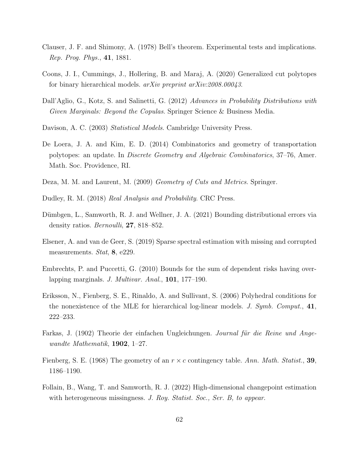- <span id="page-61-5"></span>Clauser, J. F. and Shimony, A. (1978) Bell's theorem. Experimental tests and implications. Rep. Prog. Phys., 41, 1881.
- <span id="page-61-9"></span>Coons, J. I., Cummings, J., Hollering, B. and Maraj, A. (2020) Generalized cut polytopes for binary hierarchical models. arXiv preprint arXiv:2008.00043.
- <span id="page-61-3"></span>Dall'Aglio, G., Kotz, S. and Salinetti, G. (2012) Advances in Probability Distributions with Given Marginals: Beyond the Copulas. Springer Science & Business Media.
- <span id="page-61-2"></span>Davison, A. C. (2003) Statistical Models. Cambridge University Press.
- <span id="page-61-7"></span>De Loera, J. A. and Kim, E. D. (2014) Combinatorics and geometry of transportation polytopes: an update. In Discrete Geometry and Algebraic Combinatorics, 37–76, Amer. Math. Soc. Providence, RI.
- <span id="page-61-6"></span>Deza, M. M. and Laurent, M. (2009) Geometry of Cuts and Metrics. Springer.
- <span id="page-61-12"></span>Dudley, R. M. (2018) Real Analysis and Probability. CRC Press.
- <span id="page-61-13"></span>Dümbgen, L., Samworth, R. J. and Wellner, J. A. (2021) Bounding distributional errors via density ratios. *Bernoulli*, **27**, 818–852.
- <span id="page-61-0"></span>Elsener, A. and van de Geer, S. (2019) Sparse spectral estimation with missing and corrupted measurements. Stat, 8, e229.
- <span id="page-61-4"></span>Embrechts, P. and Puccetti, G. (2010) Bounds for the sum of dependent risks having overlapping marginals. J. Multivar. Anal., 101, 177–190.
- <span id="page-61-8"></span>Eriksson, N., Fienberg, S. E., Rinaldo, A. and Sullivant, S. (2006) Polyhedral conditions for the nonexistence of the MLE for hierarchical log-linear models. J. Symb. Comput., 41, 222–233.
- <span id="page-61-10"></span>Farkas, J. (1902) Theorie der einfachen Ungleichungen. Journal für die Reine und Angewandte Mathematik, 1902, 1–27.
- <span id="page-61-11"></span>Fienberg, S. E. (1968) The geometry of an  $r \times c$  contingency table. Ann. Math. Statist., 39, 1186–1190.
- <span id="page-61-1"></span>Follain, B., Wang, T. and Samworth, R. J. (2022) High-dimensional changepoint estimation with heterogeneous missingness. J. Roy. Statist. Soc., Ser. B, to appear.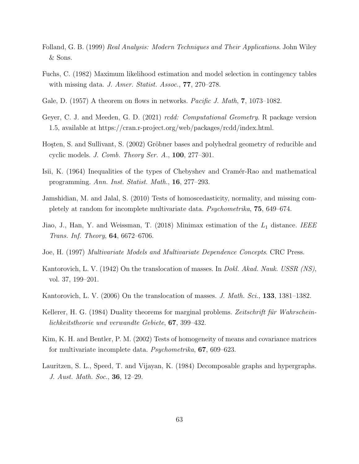- <span id="page-62-13"></span>Folland, G. B. (1999) Real Analysis: Modern Techniques and Their Applications. John Wiley & Sons.
- <span id="page-62-2"></span>Fuchs, C. (1982) Maximum likelihood estimation and model selection in contingency tables with missing data. J. Amer. Statist. Assoc., **77**, 270–278.
- <span id="page-62-5"></span>Gale, D. (1957) A theorem on flows in networks. *Pacific J. Math*, **7**, 1073–1082.
- <span id="page-62-11"></span>Geyer, C. J. and Meeden, G. D. (2021) rcdd: Computational Geometry. R package version 1.5, available at https://cran.r-project.org/web/packages/rcdd/index.html.
- <span id="page-62-12"></span>Hosten, S. and Sullivant, S. (2002) Gröbner bases and polyhedral geometry of reducible and cyclic models. J. Comb. Theory Ser.  $A_{\cdot}$ , 100, 277–301.
- <span id="page-62-9"></span>Isii, K. (1964) Inequalities of the types of Chebyshev and Cramér-Rao and mathematical programming. Ann. Inst. Statist. Math., 16, 277–293.
- <span id="page-62-7"></span>Jamshidian, M. and Jalal, S. (2010) Tests of homoscedasticity, normality, and missing completely at random for incomplete multivariate data. Psychometrika, 75, 649–674.
- <span id="page-62-10"></span>Jiao, J., Han, Y. and Weissman, T. (2018) Minimax estimation of the  $L_1$  distance. IEEE Trans. Inf. Theory, 64, 6672–6706.
- <span id="page-62-0"></span>Joe, H. (1997) Multivariate Models and Multivariate Dependence Concepts. CRC Press.
- <span id="page-62-3"></span>Kantorovich, L. V. (1942) On the translocation of masses. In *Dokl. Akad. Nauk. USSR (NS)*, vol. 37, 199–201.
- <span id="page-62-4"></span>Kantorovich, L. V. (2006) On the translocation of masses. J. Math. Sci., 133, 1381–1382.
- <span id="page-62-1"></span>Kellerer, H. G. (1984) Duality theorems for marginal problems. Zeitschrift für Wahrscheinlichkeitstheorie und verwandte Gebiete, 67, 399–432.
- <span id="page-62-6"></span>Kim, K. H. and Bentler, P. M. (2002) Tests of homogeneity of means and covariance matrices for multivariate incomplete data. Psychometrika, 67, 609–623.
- <span id="page-62-8"></span>Lauritzen, S. L., Speed, T. and Vijayan, K. (1984) Decomposable graphs and hypergraphs. J. Aust. Math. Soc., 36, 12–29.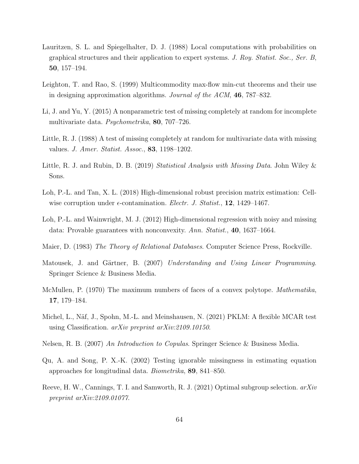- <span id="page-63-9"></span>Lauritzen, S. L. and Spiegelhalter, D. J. (1988) Local computations with probabilities on graphical structures and their application to expert systems. J. Roy. Statist. Soc., Ser. B, 50, 157–194.
- <span id="page-63-11"></span>Leighton, T. and Rao, S. (1999) Multicommodity max-flow min-cut theorems and their use in designing approximation algorithms. Journal of the ACM, 46, 787–832.
- <span id="page-63-7"></span>Li, J. and Yu, Y. (2015) A nonparametric test of missing completely at random for incomplete multivariate data. Psychometrika, 80, 707–726.
- <span id="page-63-5"></span>Little, R. J. (1988) A test of missing completely at random for multivariate data with missing values. J. Amer. Statist. Assoc., 83, 1198–1202.
- <span id="page-63-2"></span>Little, R. J. and Rubin, D. B. (2019) Statistical Analysis with Missing Data. John Wiley & Sons.
- <span id="page-63-1"></span>Loh, P.-L. and Tan, X. L. (2018) High-dimensional robust precision matrix estimation: Cellwise corruption under  $\epsilon$ -contamination. Electr. J. Statist., 12, 1429–1467.
- <span id="page-63-0"></span>Loh, P.-L. and Wainwright, M. J. (2012) High-dimensional regression with noisy and missing data: Provable guarantees with nonconvexity. Ann. Statist., 40, 1637–1664.
- <span id="page-63-4"></span>Maier, D. (1983) The Theory of Relational Databases. Computer Science Press, Rockville.
- <span id="page-63-13"></span>Matousek, J. and Gärtner, B. (2007) Understanding and Using Linear Programming. Springer Science & Business Media.
- <span id="page-63-10"></span>McMullen, P. (1970) The maximum numbers of faces of a convex polytope. *Mathematika*, 17, 179–184.
- <span id="page-63-8"></span>Michel, L., Näf, J., Spohn, M.-L. and Meinshausen, N. (2021) PKLM: A flexible MCAR test using Classification. arXiv preprint arXiv:2109.10150.
- <span id="page-63-3"></span>Nelsen, R. B. (2007) An Introduction to Copulas. Springer Science & Business Media.
- <span id="page-63-6"></span>Qu, A. and Song, P. X.-K. (2002) Testing ignorable missingness in estimating equation approaches for longitudinal data. Biometrika, 89, 841–850.
- <span id="page-63-12"></span>Reeve, H. W., Cannings, T. I. and Samworth, R. J. (2021) Optimal subgroup selection. arXiv preprint arXiv:2109.01077.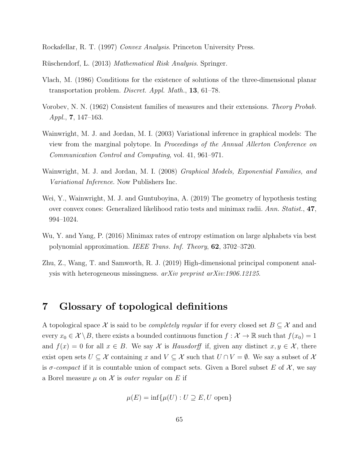<span id="page-64-8"></span>Rockafellar, R. T. (1997) Convex Analysis. Princeton University Press.

<span id="page-64-1"></span>Rüschendorf, L. (2013) Mathematical Risk Analysis. Springer.

- <span id="page-64-3"></span>Vlach, M. (1986) Conditions for the existence of solutions of the three-dimensional planar transportation problem. Discret. Appl. Math., 13, 61–78.
- <span id="page-64-2"></span>Vorobev, N. N. (1962) Consistent families of measures and their extensions. Theory Probab. Appl., 7, 147–163.
- <span id="page-64-5"></span>Wainwright, M. J. and Jordan, M. I. (2003) Variational inference in graphical models: The view from the marginal polytope. In Proceedings of the Annual Allerton Conference on Communication Control and Computing, vol. 41, 961–971.
- <span id="page-64-4"></span>Wainwright, M. J. and Jordan, M. I. (2008) Graphical Models, Exponential Families, and Variational Inference. Now Publishers Inc.
- <span id="page-64-6"></span>Wei, Y., Wainwright, M. J. and Guntuboyina, A. (2019) The geometry of hypothesis testing over convex cones: Generalized likelihood ratio tests and minimax radii. Ann. Statist., 47, 994–1024.
- <span id="page-64-9"></span>Wu, Y. and Yang, P. (2016) Minimax rates of entropy estimation on large alphabets via best polynomial approximation. IEEE Trans. Inf. Theory, 62, 3702–3720.
- <span id="page-64-0"></span>Zhu, Z., Wang, T. and Samworth, R. J. (2019) High-dimensional principal component analysis with heterogeneous missingness. arXiv preprint arXiv:1906.12125.

### <span id="page-64-7"></span>7 Glossary of topological definitions

A topological space X is said to be *completely regular* if for every closed set  $B \subseteq \mathcal{X}$  and and every  $x_0 \in \mathcal{X} \setminus B$ , there exists a bounded continuous function  $f : \mathcal{X} \to \mathbb{R}$  such that  $f(x_0) = 1$ and  $f(x) = 0$  for all  $x \in B$ . We say X is Hausdorff if, given any distinct  $x, y \in \mathcal{X}$ , there exist open sets  $U \subseteq \mathcal{X}$  containing x and  $V \subseteq \mathcal{X}$  such that  $U \cap V = \emptyset$ . We say a subset of X is  $\sigma$ -compact if it is countable union of compact sets. Given a Borel subset E of X, we say a Borel measure  $\mu$  on X is *outer regular* on E if

$$
\mu(E) = \inf \{ \mu(U) : U \supseteq E, U \text{ open} \}
$$